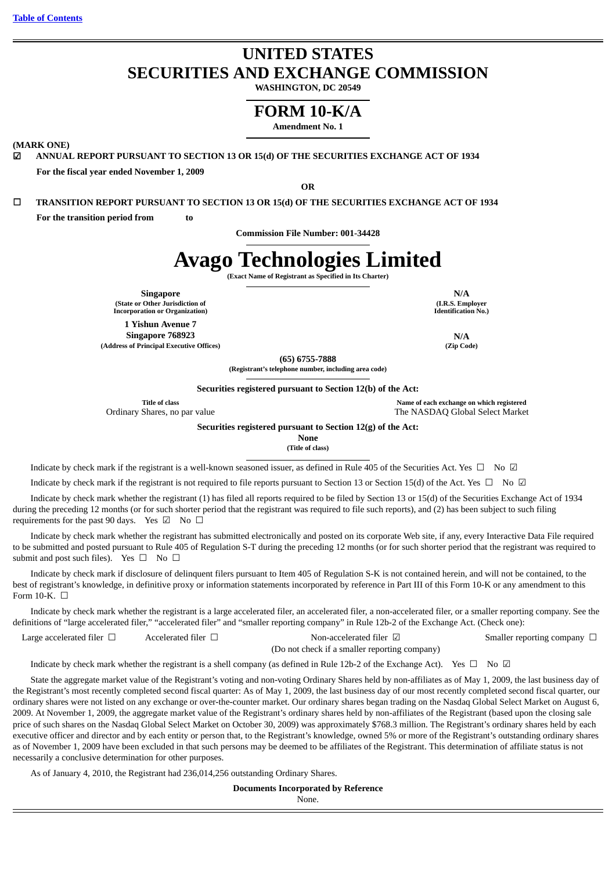# **UNITED STATES SECURITIES AND EXCHANGE COMMISSION**

**WASHINGTON, DC 20549**

# **FORM 10-K/A**

**Amendment No. 1**

**(MARK ONE)**

☑ **ANNUAL REPORT PURSUANT TO SECTION 13 OR 15(d) OF THE SECURITIES EXCHANGE ACT OF 1934 For the fiscal year ended November 1, 2009**

**OR**

☐ **TRANSITION REPORT PURSUANT TO SECTION 13 OR 15(d) OF THE SECURITIES EXCHANGE ACT OF 1934**

**For the transition period from to** 

**Commission File Number: 001-34428**

# **Avago Technologies Limited**

**(Exact Name of Registrant as Specified in Its Charter)**

**Singapore N/A (State or Other Jurisdiction of Incorporation or Organization)**

**1 Yishun Avenue 7 Singapore 768923 N/A (Address of Principal Executive Offices) (Zip Code)**

**(I.R.S. Employer Identification No.)**

**(65) 6755-7888**

**(Registrant's telephone number, including area code)**

**Securities registered pursuant to Section 12(b) of the Act:**

**Title of class Name of each exchange on which registered** The NASDAQ Global Select Market

**Securities registered pursuant to Section 12(g) of the Act:**

**None (Title of class)**

Indicate by check mark if the registrant is a well-known seasoned issuer, as defined in Rule 405 of the Securities Act. Yes □ No ☑

Indicate by check mark if the registrant is not required to file reports pursuant to Section 13 or Section 15(d) of the Act. Yes  $\Box$  No  $\Box$ 

Indicate by check mark whether the registrant (1) has filed all reports required to be filed by Section 13 or 15(d) of the Securities Exchange Act of 1934 during the preceding 12 months (or for such shorter period that the registrant was required to file such reports), and (2) has been subject to such filing requirements for the past 90 days. Yes  $\boxdot$  No  $\Box$ 

Indicate by check mark whether the registrant has submitted electronically and posted on its corporate Web site, if any, every Interactive Data File required to be submitted and posted pursuant to Rule 405 of Regulation S-T during the preceding 12 months (or for such shorter period that the registrant was required to submit and post such files). Yes  $\Box$  No  $\Box$ 

Indicate by check mark if disclosure of delinquent filers pursuant to Item 405 of Regulation S-K is not contained herein, and will not be contained, to the best of registrant's knowledge, in definitive proxy or information statements incorporated by reference in Part III of this Form 10-K or any amendment to this Form 10-K.  $\Box$ 

Indicate by check mark whether the registrant is a large accelerated filer, an accelerated filer, a non-accelerated filer, or a smaller reporting company. See the definitions of "large accelerated filer," "accelerated filer" and "smaller reporting company" in Rule 12b-2 of the Exchange Act. (Check one):

Large accelerated filer □ Accelerated filer □ Non-accelerated filer □ Smaller reporting company □ (Do not check if a smaller reporting company)

Indicate by check mark whether the registrant is a shell company (as defined in Rule 12b-2 of the Exchange Act). Yes  $\Box$  No  $\Box$ 

State the aggregate market value of the Registrant's voting and non-voting Ordinary Shares held by non-affiliates as of May 1, 2009, the last business day of the Registrant's most recently completed second fiscal quarter: As of May 1, 2009, the last business day of our most recently completed second fiscal quarter, our ordinary shares were not listed on any exchange or over-the-counter market. Our ordinary shares began trading on the Nasdaq Global Select Market on August 6, 2009. At November 1, 2009, the aggregate market value of the Registrant's ordinary shares held by non-affiliates of the Registrant (based upon the closing sale price of such shares on the Nasdaq Global Select Market on October 30, 2009) was approximately \$768.3 million. The Registrant's ordinary shares held by each executive officer and director and by each entity or person that, to the Registrant's knowledge, owned 5% or more of the Registrant's outstanding ordinary shares as of November 1, 2009 have been excluded in that such persons may be deemed to be affiliates of the Registrant. This determination of affiliate status is not necessarily a conclusive determination for other purposes.

As of January 4, 2010, the Registrant had 236,014,256 outstanding Ordinary Shares.

**Documents Incorporated by Reference**

None.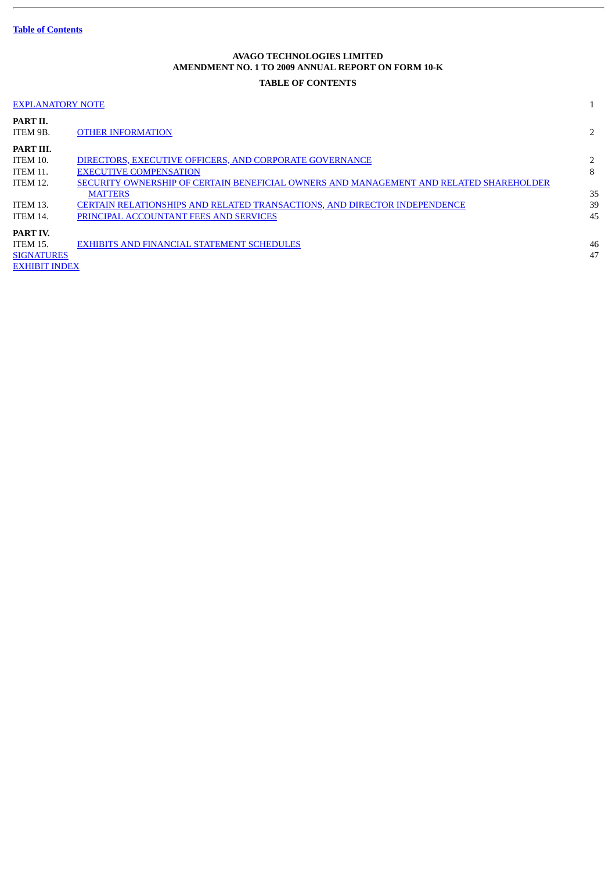# **AVAGO TECHNOLOGIES LIMITED AMENDMENT NO. 1 TO 2009 ANNUAL REPORT ON FORM 10-K**

# **TABLE OF CONTENTS**

# <span id="page-1-0"></span>**[EXPLANATORY NOTE](#page-2-0)** 1

| PART II.<br>ITEM 9B. | <b>OTHER INFORMATION</b>                                                               |    |
|----------------------|----------------------------------------------------------------------------------------|----|
| PART III.            |                                                                                        |    |
| <b>ITEM 10.</b>      | DIRECTORS, EXECUTIVE OFFICERS, AND CORPORATE GOVERNANCE                                |    |
| <b>ITEM 11.</b>      | <b>EXECUTIVE COMPENSATION</b>                                                          | 8  |
| <b>ITEM 12.</b>      | SECURITY OWNERSHIP OF CERTAIN BENEFICIAL OWNERS AND MANAGEMENT AND RELATED SHAREHOLDER |    |
|                      | <b>MATTERS</b>                                                                         | 35 |
| <b>ITEM 13.</b>      | <b>CERTAIN RELATIONSHIPS AND RELATED TRANSACTIONS, AND DIRECTOR INDEPENDENCE</b>       | 39 |
| <b>ITEM 14.</b>      | PRINCIPAL ACCOUNTANT FEES AND SERVICES                                                 | 45 |
| PART IV.             |                                                                                        |    |
| ITEM 15.             | <b>EXHIBITS AND FINANCIAL STATEMENT SCHEDULES</b>                                      | 46 |
| <b>SIGNATURES</b>    |                                                                                        | 47 |
| EXHIBIT INDEX        |                                                                                        |    |
|                      |                                                                                        |    |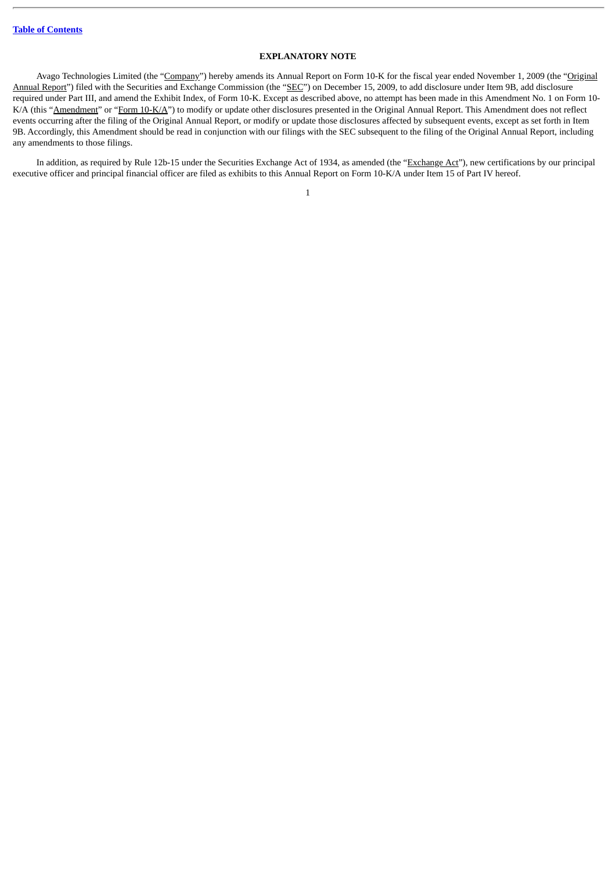## **EXPLANATORY NOTE**

<span id="page-2-0"></span>Avago Technologies Limited (the "Company") hereby amends its Annual Report on Form 10-K for the fiscal year ended November 1, 2009 (the "Original Annual Report") filed with the Securities and Exchange Commission (the "SEC") on December 15, 2009, to add disclosure under Item 9B, add disclosure required under Part III, and amend the Exhibit Index, of Form 10-K. Except as described above, no attempt has been made in this Amendment No. 1 on Form 10- K/A (this "Amendment" or "Form 10-K/A") to modify or update other disclosures presented in the Original Annual Report. This Amendment does not reflect events occurring after the filing of the Original Annual Report, or modify or update those disclosures affected by subsequent events, except as set forth in Item 9B. Accordingly, this Amendment should be read in conjunction with our filings with the SEC subsequent to the filing of the Original Annual Report, including any amendments to those filings.

In addition, as required by Rule 12b-15 under the Securities Exchange Act of 1934, as amended (the "Exchange Act"), new certifications by our principal executive officer and principal financial officer are filed as exhibits to this Annual Report on Form 10-K/A under Item 15 of Part IV hereof.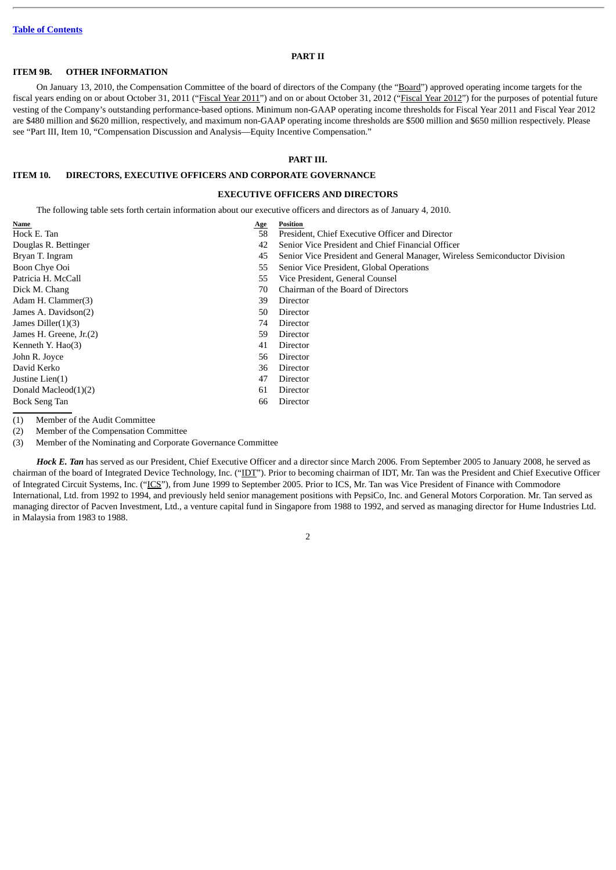#### **PART II**

### <span id="page-3-0"></span>**ITEM 9B. OTHER INFORMATION**

On January 13, 2010, the Compensation Committee of the board of directors of the Company (the "Board") approved operating income targets for the fiscal years ending on or about October 31, 2011 ("Fiscal Year 2011") and on or about October 31, 2012 ("Fiscal Year 2012") for the purposes of potential future vesting of the Company's outstanding performance-based options. Minimum non-GAAP operating income thresholds for Fiscal Year 2011 and Fiscal Year 2012 are \$480 million and \$620 million, respectively, and maximum non-GAAP operating income thresholds are \$500 million and \$650 million respectively. Please see "Part III, Item 10, "Compensation Discussion and Analysis—Equity Incentive Compensation."

## **PART III.**

# <span id="page-3-1"></span>**ITEM 10. DIRECTORS, EXECUTIVE OFFICERS AND CORPORATE GOVERNANCE**

#### **EXECUTIVE OFFICERS AND DIRECTORS**

The following table sets forth certain information about our executive officers and directors as of January 4, 2010.

| Name                                 | Age | <b>Position</b>                                                            |
|--------------------------------------|-----|----------------------------------------------------------------------------|
| Hock E. Tan                          | 58  | President, Chief Executive Officer and Director                            |
| Douglas R. Bettinger                 | 42  | Senior Vice President and Chief Financial Officer                          |
| Bryan T. Ingram                      | 45  | Senior Vice President and General Manager, Wireless Semiconductor Division |
| Boon Chye Ooi                        | 55  | Senior Vice President, Global Operations                                   |
| Patricia H. McCall                   | 55  | Vice President, General Counsel                                            |
| Dick M. Chang                        | 70  | Chairman of the Board of Directors                                         |
| Adam H. Clammer(3)                   | 39  | Director                                                                   |
| James A. Davidson(2)                 | 50  | Director                                                                   |
| James $Diller(1)(3)$                 | 74  | Director                                                                   |
| James H. Greene, Jr.(2)              | 59  | Director                                                                   |
| Kenneth Y. Hao(3)                    | 41  | Director                                                                   |
| John R. Joyce                        | 56  | Director                                                                   |
| David Kerko                          | 36  | Director                                                                   |
| Justine Lien(1)                      | 47  | Director                                                                   |
| Donald Macleod $(1)(2)$              | 61  | Director                                                                   |
| <b>Bock Seng Tan</b>                 | 66  | Director                                                                   |
| Member of the Audit Committee<br>(1) |     |                                                                            |

(2) Member of the Compensation Committee

(3) Member of the Nominating and Corporate Governance Committee

Hock E. Tan has served as our President, Chief Executive Officer and a director since March 2006. From September 2005 to January 2008, he served as chairman of the board of Integrated Device Technology, Inc. ("IDT"). Prior to becoming chairman of IDT, Mr. Tan was the President and Chief Executive Officer of Integrated Circuit Systems, Inc. ("ICS"), from June 1999 to September 2005. Prior to ICS, Mr. Tan was Vice President of Finance with Commodore International, Ltd. from 1992 to 1994, and previously held senior management positions with PepsiCo, Inc. and General Motors Corporation. Mr. Tan served as managing director of Pacven Investment, Ltd., a venture capital fund in Singapore from 1988 to 1992, and served as managing director for Hume Industries Ltd. in Malaysia from 1983 to 1988.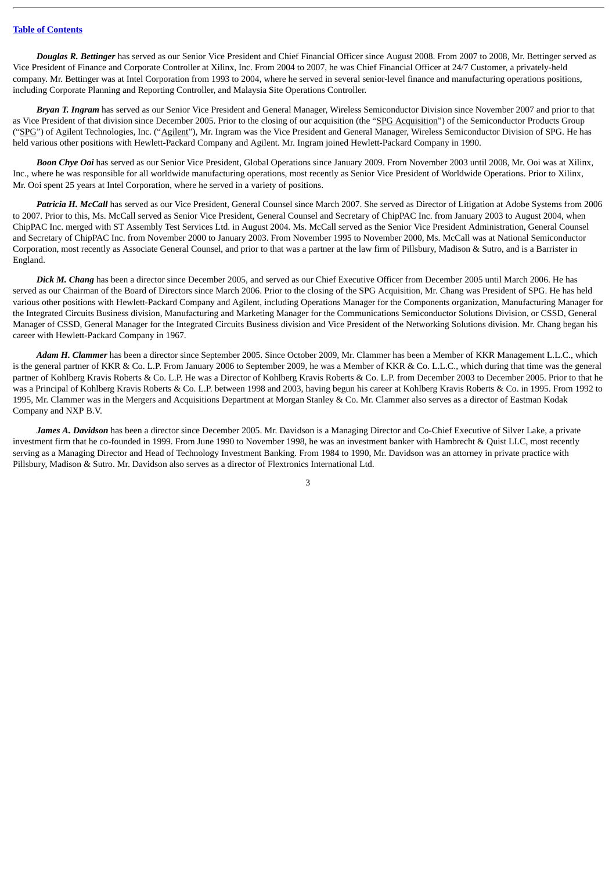*Douglas R. Bettinger* has served as our Senior Vice President and Chief Financial Officer since August 2008. From 2007 to 2008, Mr. Bettinger served as Vice President of Finance and Corporate Controller at Xilinx, Inc. From 2004 to 2007, he was Chief Financial Officer at 24/7 Customer, a privately-held company. Mr. Bettinger was at Intel Corporation from 1993 to 2004, where he served in several senior-level finance and manufacturing operations positions, including Corporate Planning and Reporting Controller, and Malaysia Site Operations Controller.

*Bryan T. Ingram* has served as our Senior Vice President and General Manager, Wireless Semiconductor Division since November 2007 and prior to that as Vice President of that division since December 2005. Prior to the closing of our acquisition (the "SPG Acquisition") of the Semiconductor Products Group ("SPG") of Agilent Technologies, Inc. ("Agilent"), Mr. Ingram was the Vice President and General Manager, Wireless Semiconductor Division of SPG. He has held various other positions with Hewlett-Packard Company and Agilent. Mr. Ingram joined Hewlett-Packard Company in 1990.

*Boon Chye Ooi* has served as our Senior Vice President, Global Operations since January 2009. From November 2003 until 2008, Mr. Ooi was at Xilinx, Inc., where he was responsible for all worldwide manufacturing operations, most recently as Senior Vice President of Worldwide Operations. Prior to Xilinx, Mr. Ooi spent 25 years at Intel Corporation, where he served in a variety of positions.

Patricia H. McCall has served as our Vice President, General Counsel since March 2007. She served as Director of Litigation at Adobe Systems from 2006 to 2007. Prior to this, Ms. McCall served as Senior Vice President, General Counsel and Secretary of ChipPAC Inc. from January 2003 to August 2004, when ChipPAC Inc. merged with ST Assembly Test Services Ltd. in August 2004. Ms. McCall served as the Senior Vice President Administration, General Counsel and Secretary of ChipPAC Inc. from November 2000 to January 2003. From November 1995 to November 2000, Ms. McCall was at National Semiconductor Corporation, most recently as Associate General Counsel, and prior to that was a partner at the law firm of Pillsbury, Madison & Sutro, and is a Barrister in England.

*Dick M. Chang* has been a director since December 2005, and served as our Chief Executive Officer from December 2005 until March 2006. He has served as our Chairman of the Board of Directors since March 2006. Prior to the closing of the SPG Acquisition, Mr. Chang was President of SPG. He has held various other positions with Hewlett-Packard Company and Agilent, including Operations Manager for the Components organization, Manufacturing Manager for the Integrated Circuits Business division, Manufacturing and Marketing Manager for the Communications Semiconductor Solutions Division, or CSSD, General Manager of CSSD, General Manager for the Integrated Circuits Business division and Vice President of the Networking Solutions division. Mr. Chang began his career with Hewlett-Packard Company in 1967.

*Adam H. Clammer* has been a director since September 2005. Since October 2009, Mr. Clammer has been a Member of KKR Management L.L.C., which is the general partner of KKR & Co. L.P. From January 2006 to September 2009, he was a Member of KKR & Co. L.L.C., which during that time was the general partner of Kohlberg Kravis Roberts & Co. L.P. He was a Director of Kohlberg Kravis Roberts & Co. L.P. from December 2003 to December 2005. Prior to that he was a Principal of Kohlberg Kravis Roberts & Co. L.P. between 1998 and 2003, having begun his career at Kohlberg Kravis Roberts & Co. in 1995. From 1992 to 1995, Mr. Clammer was in the Mergers and Acquisitions Department at Morgan Stanley & Co. Mr. Clammer also serves as a director of Eastman Kodak Company and NXP B.V.

James A. Davidson has been a director since December 2005. Mr. Davidson is a Managing Director and Co-Chief Executive of Silver Lake, a private investment firm that he co-founded in 1999. From June 1990 to November 1998, he was an investment banker with Hambrecht & Quist LLC, most recently serving as a Managing Director and Head of Technology Investment Banking. From 1984 to 1990, Mr. Davidson was an attorney in private practice with Pillsbury, Madison & Sutro. Mr. Davidson also serves as a director of Flextronics International Ltd.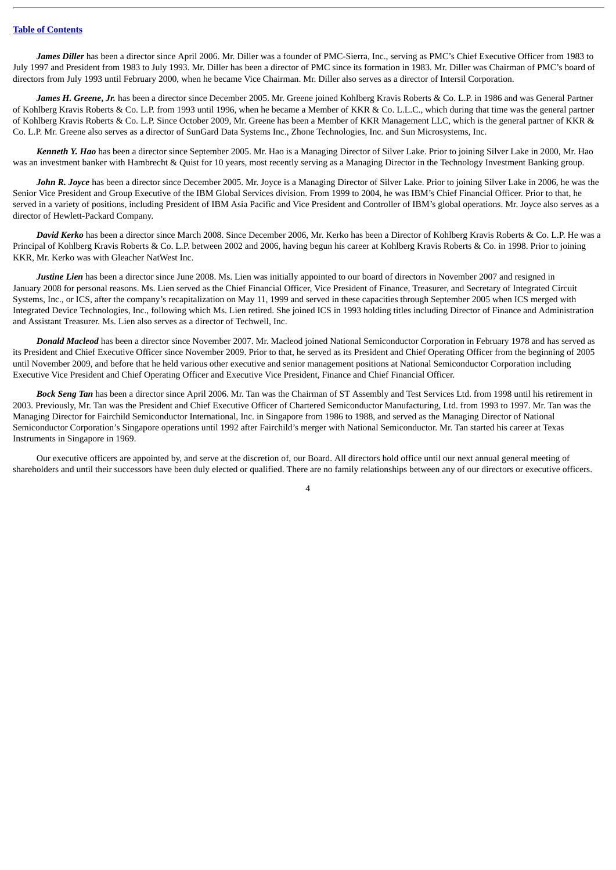James Diller has been a director since April 2006. Mr. Diller was a founder of PMC-Sierra, Inc., serving as PMC's Chief Executive Officer from 1983 to July 1997 and President from 1983 to July 1993. Mr. Diller has been a director of PMC since its formation in 1983. Mr. Diller was Chairman of PMC's board of directors from July 1993 until February 2000, when he became Vice Chairman. Mr. Diller also serves as a director of Intersil Corporation.

*James H. Greene***,** *Jr.* has been a director since December 2005. Mr. Greene joined Kohlberg Kravis Roberts & Co. L.P. in 1986 and was General Partner of Kohlberg Kravis Roberts & Co. L.P. from 1993 until 1996, when he became a Member of KKR & Co. L.L.C., which during that time was the general partner of Kohlberg Kravis Roberts & Co. L.P. Since October 2009, Mr. Greene has been a Member of KKR Management LLC, which is the general partner of KKR & Co. L.P. Mr. Greene also serves as a director of SunGard Data Systems Inc., Zhone Technologies, Inc. and Sun Microsystems, Inc.

*Kenneth Y. Hao* has been a director since September 2005. Mr. Hao is a Managing Director of Silver Lake. Prior to joining Silver Lake in 2000, Mr. Hao was an investment banker with Hambrecht & Quist for 10 years, most recently serving as a Managing Director in the Technology Investment Banking group.

John R. Joyce has been a director since December 2005. Mr. Joyce is a Managing Director of Silver Lake. Prior to joining Silver Lake in 2006, he was the Senior Vice President and Group Executive of the IBM Global Services division. From 1999 to 2004, he was IBM's Chief Financial Officer. Prior to that, he served in a variety of positions, including President of IBM Asia Pacific and Vice President and Controller of IBM's global operations. Mr. Joyce also serves as a director of Hewlett-Packard Company.

*David Kerko* has been a director since March 2008. Since December 2006, Mr. Kerko has been a Director of Kohlberg Kravis Roberts & Co. L.P. He was a Principal of Kohlberg Kravis Roberts & Co. L.P. between 2002 and 2006, having begun his career at Kohlberg Kravis Roberts & Co. in 1998. Prior to joining KKR, Mr. Kerko was with Gleacher NatWest Inc.

Justine Lien has been a director since June 2008. Ms. Lien was initially appointed to our board of directors in November 2007 and resigned in January 2008 for personal reasons. Ms. Lien served as the Chief Financial Officer, Vice President of Finance, Treasurer, and Secretary of Integrated Circuit Systems, Inc., or ICS, after the company's recapitalization on May 11, 1999 and served in these capacities through September 2005 when ICS merged with Integrated Device Technologies, Inc., following which Ms. Lien retired. She joined ICS in 1993 holding titles including Director of Finance and Administration and Assistant Treasurer. Ms. Lien also serves as a director of Techwell, Inc.

*Donald Macleod* has been a director since November 2007. Mr. Macleod joined National Semiconductor Corporation in February 1978 and has served as its President and Chief Executive Officer since November 2009. Prior to that, he served as its President and Chief Operating Officer from the beginning of 2005 until November 2009, and before that he held various other executive and senior management positions at National Semiconductor Corporation including Executive Vice President and Chief Operating Officer and Executive Vice President, Finance and Chief Financial Officer.

*Bock Seng Tan* has been a director since April 2006. Mr. Tan was the Chairman of ST Assembly and Test Services Ltd. from 1998 until his retirement in 2003. Previously, Mr. Tan was the President and Chief Executive Officer of Chartered Semiconductor Manufacturing, Ltd. from 1993 to 1997. Mr. Tan was the Managing Director for Fairchild Semiconductor International, Inc. in Singapore from 1986 to 1988, and served as the Managing Director of National Semiconductor Corporation's Singapore operations until 1992 after Fairchild's merger with National Semiconductor. Mr. Tan started his career at Texas Instruments in Singapore in 1969.

Our executive officers are appointed by, and serve at the discretion of, our Board. All directors hold office until our next annual general meeting of shareholders and until their successors have been duly elected or qualified. There are no family relationships between any of our directors or executive officers.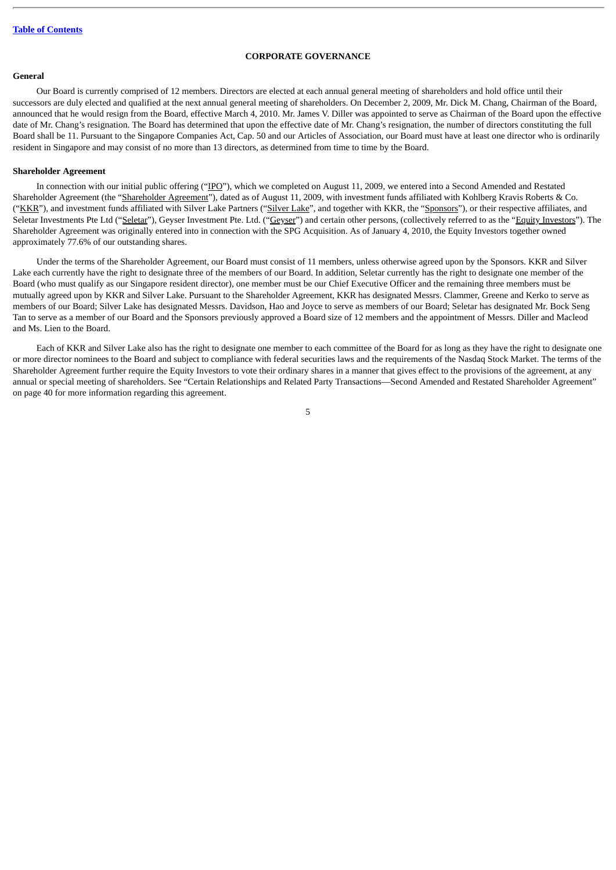#### **CORPORATE GOVERNANCE**

#### **General**

Our Board is currently comprised of 12 members. Directors are elected at each annual general meeting of shareholders and hold office until their successors are duly elected and qualified at the next annual general meeting of shareholders. On December 2, 2009, Mr. Dick M. Chang, Chairman of the Board, announced that he would resign from the Board, effective March 4, 2010. Mr. James V. Diller was appointed to serve as Chairman of the Board upon the effective date of Mr. Chang's resignation. The Board has determined that upon the effective date of Mr. Chang's resignation, the number of directors constituting the full Board shall be 11. Pursuant to the Singapore Companies Act, Cap. 50 and our Articles of Association, our Board must have at least one director who is ordinarily resident in Singapore and may consist of no more than 13 directors, as determined from time to time by the Board.

#### **Shareholder Agreement**

In connection with our initial public offering ("IPO"), which we completed on August 11, 2009, we entered into a Second Amended and Restated Shareholder Agreement (the "Shareholder Agreement"), dated as of August 11, 2009, with investment funds affiliated with Kohlberg Kravis Roberts & Co. ("KKR"), and investment funds affiliated with Silver Lake Partners ("Silver Lake", and together with KKR, the "Sponsors"), or their respective affiliates, and Seletar Investments Pte Ltd ("Seletar"), Geyser Investment Pte. Ltd. ("Geyser") and certain other persons, (collectively referred to as the "Equity Investors"). The Shareholder Agreement was originally entered into in connection with the SPG Acquisition. As of January 4, 2010, the Equity Investors together owned approximately 77.6% of our outstanding shares.

Under the terms of the Shareholder Agreement, our Board must consist of 11 members, unless otherwise agreed upon by the Sponsors. KKR and Silver Lake each currently have the right to designate three of the members of our Board. In addition, Seletar currently has the right to designate one member of the Board (who must qualify as our Singapore resident director), one member must be our Chief Executive Officer and the remaining three members must be mutually agreed upon by KKR and Silver Lake. Pursuant to the Shareholder Agreement, KKR has designated Messrs. Clammer, Greene and Kerko to serve as members of our Board; Silver Lake has designated Messrs. Davidson, Hao and Joyce to serve as members of our Board; Seletar has designated Mr. Bock Seng Tan to serve as a member of our Board and the Sponsors previously approved a Board size of 12 members and the appointment of Messrs. Diller and Macleod and Ms. Lien to the Board.

Each of KKR and Silver Lake also has the right to designate one member to each committee of the Board for as long as they have the right to designate one or more director nominees to the Board and subject to compliance with federal securities laws and the requirements of the Nasdaq Stock Market. The terms of the Shareholder Agreement further require the Equity Investors to vote their ordinary shares in a manner that gives effect to the provisions of the agreement, at any annual or special meeting of shareholders. See "Certain Relationships and Related Party Transactions—Second Amended and Restated Shareholder Agreement" on page 40 for more information regarding this agreement.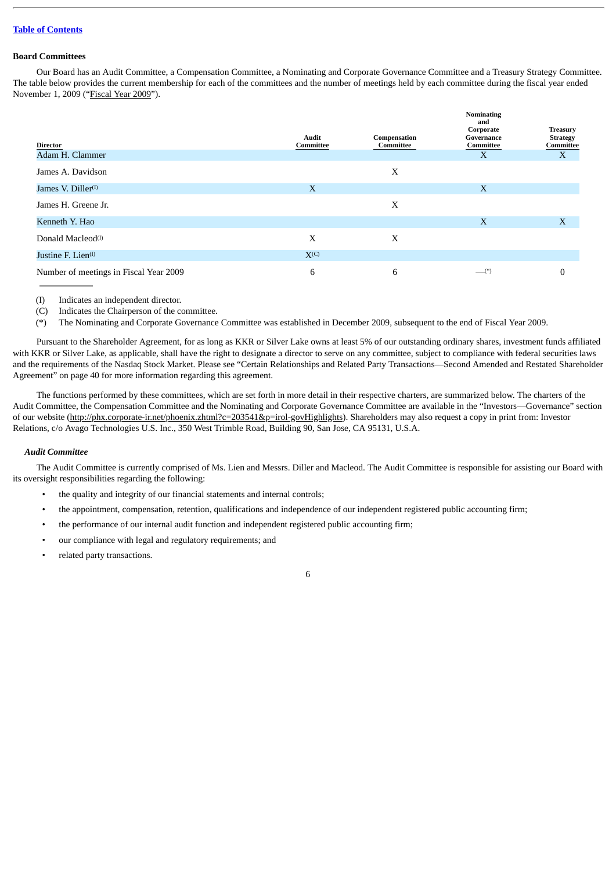#### **Board Committees**

Our Board has an Audit Committee, a Compensation Committee, a Nominating and Corporate Governance Committee and a Treasury Strategy Committee. The table below provides the current membership for each of the committees and the number of meetings held by each committee during the fiscal year ended November 1, 2009 ("Fiscal Year 2009").

|                                        | Audit     | Compensation | Nominating<br>and<br>Corporate<br>Governance | <b>Treasury</b><br><b>Strategy</b> |
|----------------------------------------|-----------|--------------|----------------------------------------------|------------------------------------|
| Director                               | Committee | Committee    | Committee                                    | Committee                          |
| Adam H. Clammer                        |           |              | X                                            | X                                  |
| James A. Davidson                      |           | X            |                                              |                                    |
| James V. Diller <sup>(I)</sup>         | X         |              | X                                            |                                    |
| James H. Greene Jr.                    |           | X            |                                              |                                    |
| Kenneth Y. Hao                         |           |              | $\mathbf{X}$                                 | X                                  |
| Donald Macleod <sup>(I)</sup>          | X         | X            |                                              |                                    |
| Justine F. Lien <sup>(I)</sup>         | $X^{(C)}$ |              |                                              |                                    |
| Number of meetings in Fiscal Year 2009 | 6         | 6            | $ ($ *                                       | $\mathbf{0}$                       |

(I) Indicates an independent director.

(C) Indicates the Chairperson of the committee.

(\*) The Nominating and Corporate Governance Committee was established in December 2009, subsequent to the end of Fiscal Year 2009.

Pursuant to the Shareholder Agreement, for as long as KKR or Silver Lake owns at least 5% of our outstanding ordinary shares, investment funds affiliated with KKR or Silver Lake, as applicable, shall have the right to designate a director to serve on any committee, subject to compliance with federal securities laws and the requirements of the Nasdaq Stock Market. Please see "Certain Relationships and Related Party Transactions—Second Amended and Restated Shareholder Agreement" on page 40 for more information regarding this agreement.

The functions performed by these committees, which are set forth in more detail in their respective charters, are summarized below. The charters of the Audit Committee, the Compensation Committee and the Nominating and Corporate Governance Committee are available in the "Investors—Governance" section of our website (http://phx.corporate-ir.net/phoenix.zhtml?c=203541&p=irol-govHighlights). Shareholders may also request a copy in print from: Investor Relations, c/o Avago Technologies U.S. Inc., 350 West Trimble Road, Building 90, San Jose, CA 95131, U.S.A.

#### *Audit Committee*

The Audit Committee is currently comprised of Ms. Lien and Messrs. Diller and Macleod. The Audit Committee is responsible for assisting our Board with its oversight responsibilities regarding the following:

- the quality and integrity of our financial statements and internal controls;
- the appointment, compensation, retention, qualifications and independence of our independent registered public accounting firm;
- the performance of our internal audit function and independent registered public accounting firm;
- our compliance with legal and regulatory requirements; and
- related party transactions.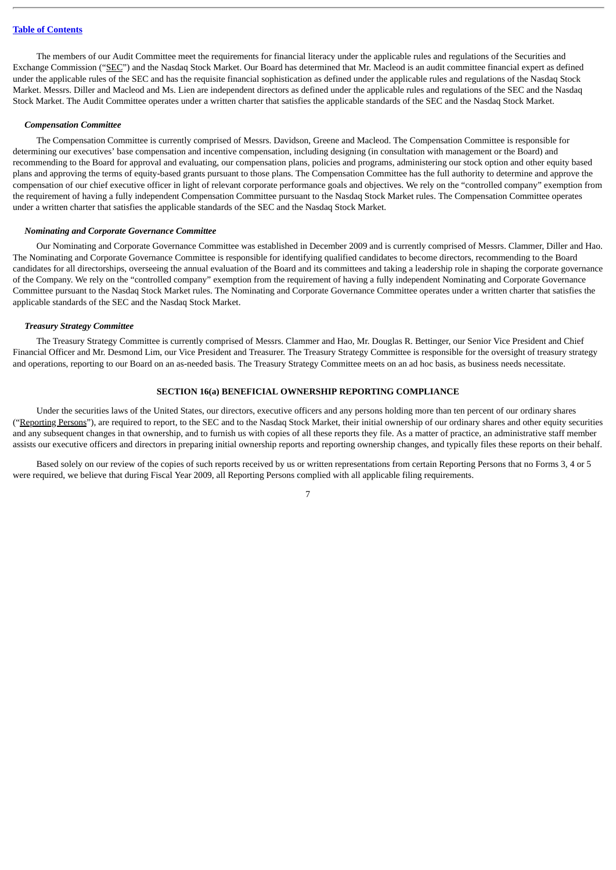The members of our Audit Committee meet the requirements for financial literacy under the applicable rules and regulations of the Securities and Exchange Commission ("SEC") and the Nasdaq Stock Market. Our Board has determined that Mr. Macleod is an audit committee financial expert as defined under the applicable rules of the SEC and has the requisite financial sophistication as defined under the applicable rules and regulations of the Nasdaq Stock Market. Messrs. Diller and Macleod and Ms. Lien are independent directors as defined under the applicable rules and regulations of the SEC and the Nasdaq Stock Market. The Audit Committee operates under a written charter that satisfies the applicable standards of the SEC and the Nasdaq Stock Market.

#### *Compensation Committee*

The Compensation Committee is currently comprised of Messrs. Davidson, Greene and Macleod. The Compensation Committee is responsible for determining our executives' base compensation and incentive compensation, including designing (in consultation with management or the Board) and recommending to the Board for approval and evaluating, our compensation plans, policies and programs, administering our stock option and other equity based plans and approving the terms of equity-based grants pursuant to those plans. The Compensation Committee has the full authority to determine and approve the compensation of our chief executive officer in light of relevant corporate performance goals and objectives. We rely on the "controlled company" exemption from the requirement of having a fully independent Compensation Committee pursuant to the Nasdaq Stock Market rules. The Compensation Committee operates under a written charter that satisfies the applicable standards of the SEC and the Nasdaq Stock Market.

#### *Nominating and Corporate Governance Committee*

Our Nominating and Corporate Governance Committee was established in December 2009 and is currently comprised of Messrs. Clammer, Diller and Hao. The Nominating and Corporate Governance Committee is responsible for identifying qualified candidates to become directors, recommending to the Board candidates for all directorships, overseeing the annual evaluation of the Board and its committees and taking a leadership role in shaping the corporate governance of the Company. We rely on the "controlled company" exemption from the requirement of having a fully independent Nominating and Corporate Governance Committee pursuant to the Nasdaq Stock Market rules. The Nominating and Corporate Governance Committee operates under a written charter that satisfies the applicable standards of the SEC and the Nasdaq Stock Market.

#### *Treasury Strategy Committee*

The Treasury Strategy Committee is currently comprised of Messrs. Clammer and Hao, Mr. Douglas R. Bettinger, our Senior Vice President and Chief Financial Officer and Mr. Desmond Lim, our Vice President and Treasurer. The Treasury Strategy Committee is responsible for the oversight of treasury strategy and operations, reporting to our Board on an as-needed basis. The Treasury Strategy Committee meets on an ad hoc basis, as business needs necessitate.

#### **SECTION 16(a) BENEFICIAL OWNERSHIP REPORTING COMPLIANCE**

Under the securities laws of the United States, our directors, executive officers and any persons holding more than ten percent of our ordinary shares ("Reporting Persons"), are required to report, to the SEC and to the Nasdaq Stock Market, their initial ownership of our ordinary shares and other equity securities and any subsequent changes in that ownership, and to furnish us with copies of all these reports they file. As a matter of practice, an administrative staff member assists our executive officers and directors in preparing initial ownership reports and reporting ownership changes, and typically files these reports on their behalf.

Based solely on our review of the copies of such reports received by us or written representations from certain Reporting Persons that no Forms 3, 4 or 5 were required, we believe that during Fiscal Year 2009, all Reporting Persons complied with all applicable filing requirements.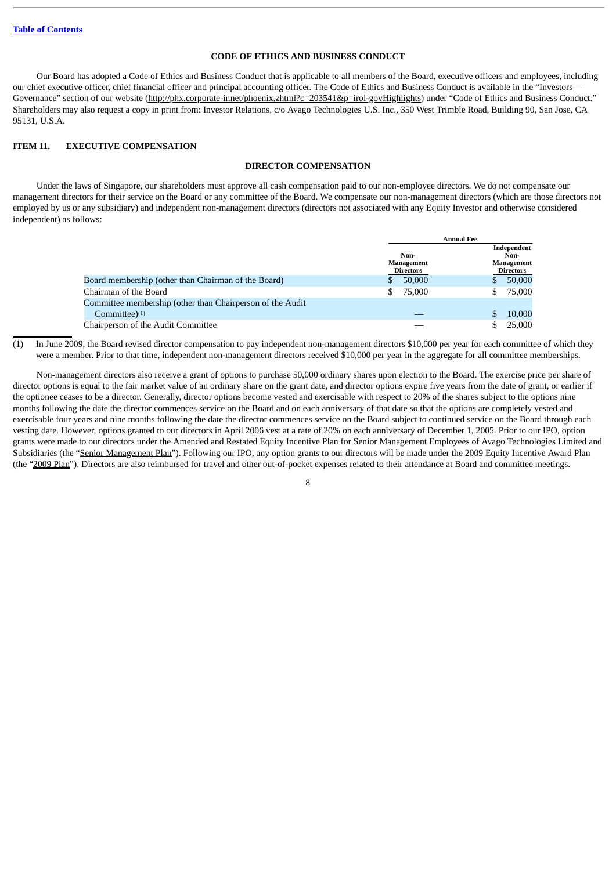## **CODE OF ETHICS AND BUSINESS CONDUCT**

Our Board has adopted a Code of Ethics and Business Conduct that is applicable to all members of the Board, executive officers and employees, including our chief executive officer, chief financial officer and principal accounting officer. The Code of Ethics and Business Conduct is available in the "Investors— Governance" section of our website (http://phx.corporate-ir.net/phoenix.zhtml?c=203541&p=irol-govHighlights) under "Code of Ethics and Business Conduct." Shareholders may also request a copy in print from: Investor Relations, c/o Avago Technologies U.S. Inc., 350 West Trimble Road, Building 90, San Jose, CA 95131, U.S.A.

# <span id="page-9-0"></span>**ITEM 11. EXECUTIVE COMPENSATION**

#### **DIRECTOR COMPENSATION**

Under the laws of Singapore, our shareholders must approve all cash compensation paid to our non-employee directors. We do not compensate our management directors for their service on the Board or any committee of the Board. We compensate our non-management directors (which are those directors not employed by us or any subsidiary) and independent non-management directors (directors not associated with any Equity Investor and otherwise considered independent) as follows:

|                                                           | <b>Annual Fee</b>                      |                                                       |  |
|-----------------------------------------------------------|----------------------------------------|-------------------------------------------------------|--|
|                                                           | Non-<br>Management<br><b>Directors</b> | Independent<br>Non-<br>Management<br><b>Directors</b> |  |
| Board membership (other than Chairman of the Board)       | 50,000                                 | 50,000                                                |  |
| Chairman of the Board                                     | 75.000                                 | 75,000<br>S                                           |  |
| Committee membership (other than Chairperson of the Audit |                                        |                                                       |  |
| Committee $)$ <sup>(1)</sup>                              |                                        | 10,000                                                |  |
| Chairperson of the Audit Committee                        |                                        | 25,000                                                |  |

(1) In June 2009, the Board revised director compensation to pay independent non-management directors \$10,000 per year for each committee of which they were a member. Prior to that time, independent non-management directors received \$10,000 per year in the aggregate for all committee memberships.

Non-management directors also receive a grant of options to purchase 50,000 ordinary shares upon election to the Board. The exercise price per share of director options is equal to the fair market value of an ordinary share on the grant date, and director options expire five years from the date of grant, or earlier if the optionee ceases to be a director. Generally, director options become vested and exercisable with respect to 20% of the shares subject to the options nine months following the date the director commences service on the Board and on each anniversary of that date so that the options are completely vested and exercisable four years and nine months following the date the director commences service on the Board subject to continued service on the Board through each vesting date. However, options granted to our directors in April 2006 vest at a rate of 20% on each anniversary of December 1, 2005. Prior to our IPO, option grants were made to our directors under the Amended and Restated Equity Incentive Plan for Senior Management Employees of Avago Technologies Limited and Subsidiaries (the "Senior Management Plan"). Following our IPO, any option grants to our directors will be made under the 2009 Equity Incentive Award Plan (the "2009 Plan"). Directors are also reimbursed for travel and other out-of-pocket expenses related to their attendance at Board and committee meetings.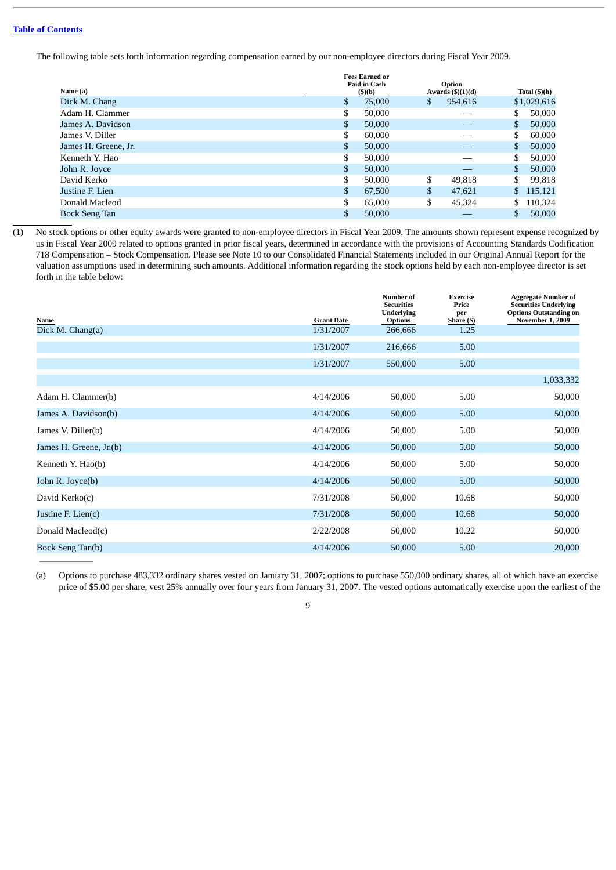The following table sets forth information regarding compensation earned by our non-employee directors during Fiscal Year 2009.

| Name (a)             |              | <b>Fees Earned or</b><br><b>Paid in Cash</b><br>$($ (\$)(b) | Option<br>Awards $(\text{\$})(1)(d)$ | Total $(\text{\$})(h)$ |
|----------------------|--------------|-------------------------------------------------------------|--------------------------------------|------------------------|
| Dick M. Chang        | S            | 75,000                                                      | \$<br>954,616                        | \$1,029,616            |
| Adam H. Clammer      | \$           | 50,000                                                      |                                      | \$<br>50,000           |
| James A. Davidson    | $\mathbb{S}$ | 50,000                                                      |                                      | \$<br>50,000           |
| James V. Diller      | \$           | 60,000                                                      |                                      | \$<br>60,000           |
| James H. Greene, Jr. | $\mathbb{S}$ | 50,000                                                      |                                      | \$<br>50,000           |
| Kenneth Y. Hao       | \$           | 50,000                                                      |                                      | \$<br>50,000           |
| John R. Joyce        | $\mathbb{S}$ | 50,000                                                      |                                      | \$<br>50,000           |
| David Kerko          | \$.          | 50,000                                                      | \$<br>49.818                         | \$<br>99.818           |
| Justine F. Lien      | \$           | 67,500                                                      | \$<br>47,621                         | \$<br>115,121          |
| Donald Macleod       | \$           | 65,000                                                      | \$<br>45,324                         | \$<br>110,324          |
| <b>Bock Seng Tan</b> |              | 50,000                                                      |                                      | \$<br>50,000           |
|                      |              |                                                             |                                      |                        |

(1) No stock options or other equity awards were granted to non-employee directors in Fiscal Year 2009. The amounts shown represent expense recognized by us in Fiscal Year 2009 related to options granted in prior fiscal years, determined in accordance with the provisions of Accounting Standards Codification 718 Compensation – Stock Compensation. Please see Note 10 to our Consolidated Financial Statements included in our Original Annual Report for the valuation assumptions used in determining such amounts. Additional information regarding the stock options held by each non-employee director is set forth in the table below:

|                          |                                | <b>Number of</b><br><b>Securities</b><br><b>Underlying</b> | <b>Exercise</b><br>Price<br>per | <b>Aggregate Number of</b><br><b>Securities Underlying</b><br><b>Options Outstanding on</b> |
|--------------------------|--------------------------------|------------------------------------------------------------|---------------------------------|---------------------------------------------------------------------------------------------|
| Name<br>Dick M. Chang(a) | <b>Grant Date</b><br>1/31/2007 | <b>Options</b><br>266,666                                  | Share (\$)<br>1.25              | <b>November 1, 2009</b>                                                                     |
|                          |                                |                                                            |                                 |                                                                                             |
|                          | 1/31/2007                      | 216,666                                                    | 5.00                            |                                                                                             |
|                          | 1/31/2007                      | 550,000                                                    | 5.00                            |                                                                                             |
|                          |                                |                                                            |                                 | 1,033,332                                                                                   |
| Adam H. Clammer(b)       | 4/14/2006                      | 50,000                                                     | 5.00                            | 50,000                                                                                      |
| James A. Davidson(b)     | 4/14/2006                      | 50,000                                                     | 5.00                            | 50,000                                                                                      |
| James V. Diller(b)       | 4/14/2006                      | 50,000                                                     | 5.00                            | 50,000                                                                                      |
| James H. Greene, Jr.(b)  | 4/14/2006                      | 50,000                                                     | 5.00                            | 50,000                                                                                      |
| Kenneth Y. Hao(b)        | 4/14/2006                      | 50,000                                                     | 5.00                            | 50,000                                                                                      |
| John R. Joyce(b)         | 4/14/2006                      | 50,000                                                     | 5.00                            | 50,000                                                                                      |
| David Kerko(c)           | 7/31/2008                      | 50,000                                                     | 10.68                           | 50,000                                                                                      |
| Justine F. Lien $(c)$    | 7/31/2008                      | 50,000                                                     | 10.68                           | 50,000                                                                                      |
| Donald Macleod(c)        | 2/22/2008                      | 50,000                                                     | 10.22                           | 50,000                                                                                      |
| Bock Seng Tan(b)         | 4/14/2006                      | 50,000                                                     | 5.00                            | 20,000                                                                                      |

(a) Options to purchase 483,332 ordinary shares vested on January 31, 2007; options to purchase 550,000 ordinary shares, all of which have an exercise price of \$5.00 per share, vest 25% annually over four years from January 31, 2007. The vested options automatically exercise upon the earliest of the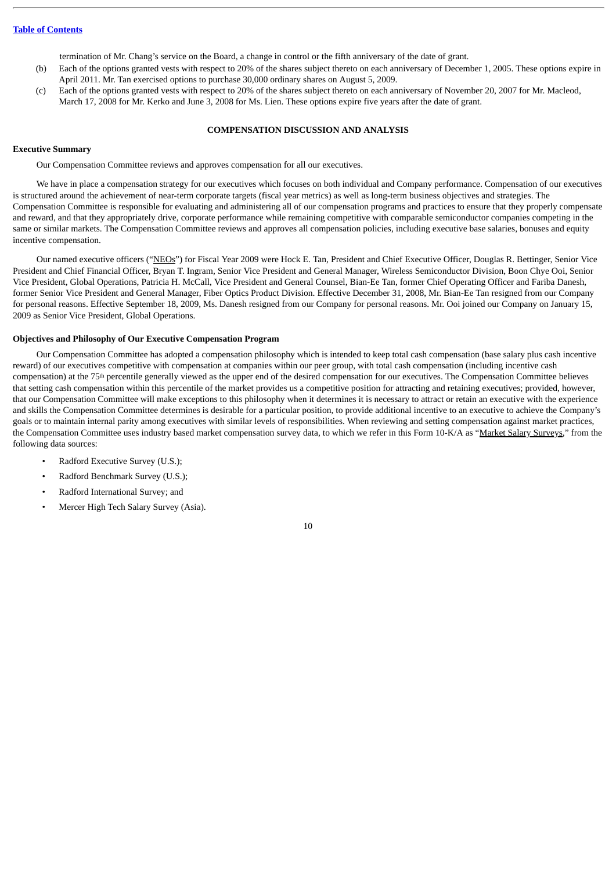termination of Mr. Chang's service on the Board, a change in control or the fifth anniversary of the date of grant.

- (b) Each of the options granted vests with respect to 20% of the shares subject thereto on each anniversary of December 1, 2005. These options expire in April 2011. Mr. Tan exercised options to purchase 30,000 ordinary shares on August 5, 2009.
- (c) Each of the options granted vests with respect to 20% of the shares subject thereto on each anniversary of November 20, 2007 for Mr. Macleod,
- March 17, 2008 for Mr. Kerko and June 3, 2008 for Ms. Lien. These options expire five years after the date of grant.

#### **COMPENSATION DISCUSSION AND ANALYSIS**

#### **Executive Summary**

Our Compensation Committee reviews and approves compensation for all our executives.

We have in place a compensation strategy for our executives which focuses on both individual and Company performance. Compensation of our executives is structured around the achievement of near-term corporate targets (fiscal year metrics) as well as long-term business objectives and strategies. The Compensation Committee is responsible for evaluating and administering all of our compensation programs and practices to ensure that they properly compensate and reward, and that they appropriately drive, corporate performance while remaining competitive with comparable semiconductor companies competing in the same or similar markets. The Compensation Committee reviews and approves all compensation policies, including executive base salaries, bonuses and equity incentive compensation.

Our named executive officers ("NEOs") for Fiscal Year 2009 were Hock E. Tan, President and Chief Executive Officer, Douglas R. Bettinger, Senior Vice President and Chief Financial Officer, Bryan T. Ingram, Senior Vice President and General Manager, Wireless Semiconductor Division, Boon Chye Ooi, Senior Vice President, Global Operations, Patricia H. McCall, Vice President and General Counsel, Bian-Ee Tan, former Chief Operating Officer and Fariba Danesh, former Senior Vice President and General Manager, Fiber Optics Product Division. Effective December 31, 2008, Mr. Bian-Ee Tan resigned from our Company for personal reasons. Effective September 18, 2009, Ms. Danesh resigned from our Company for personal reasons. Mr. Ooi joined our Company on January 15, 2009 as Senior Vice President, Global Operations.

# **Objectives and Philosophy of Our Executive Compensation Program**

Our Compensation Committee has adopted a compensation philosophy which is intended to keep total cash compensation (base salary plus cash incentive reward) of our executives competitive with compensation at companies within our peer group, with total cash compensation (including incentive cash compensation) at the 75<sup>th</sup> percentile generally viewed as the upper end of the desired compensation for our executives. The Compensation Committee believes that setting cash compensation within this percentile of the market provides us a competitive position for attracting and retaining executives; provided, however, that our Compensation Committee will make exceptions to this philosophy when it determines it is necessary to attract or retain an executive with the experience and skills the Compensation Committee determines is desirable for a particular position, to provide additional incentive to an executive to achieve the Company's goals or to maintain internal parity among executives with similar levels of responsibilities. When reviewing and setting compensation against market practices, the Compensation Committee uses industry based market compensation survey data, to which we refer in this Form 10-K/A as "Market Salary Surveys," from the following data sources:

- Radford Executive Survey (U.S.);
- Radford Benchmark Survey (U.S.);
- Radford International Survey; and
- Mercer High Tech Salary Survey (Asia).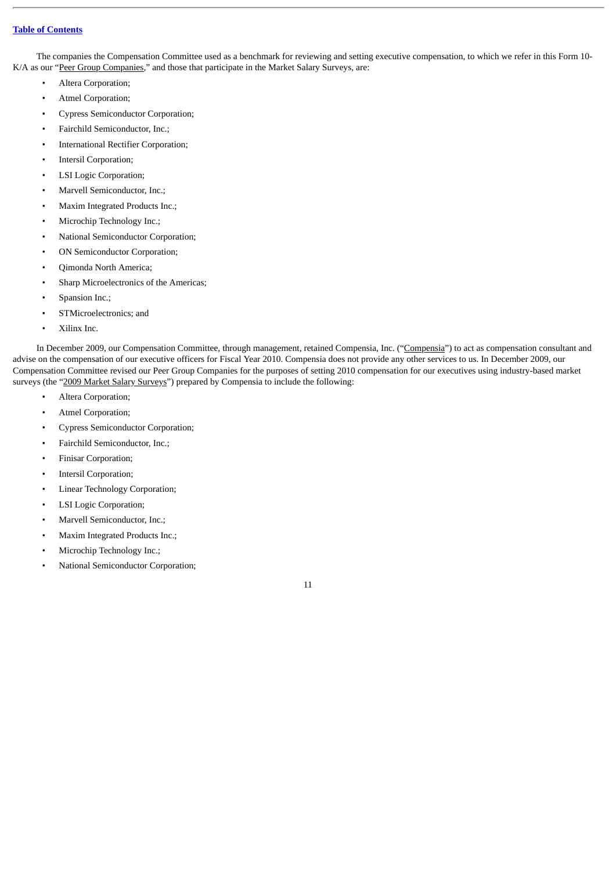The companies the Compensation Committee used as a benchmark for reviewing and setting executive compensation, to which we refer in this Form 10- K/A as our "Peer Group Companies," and those that participate in the Market Salary Surveys, are:

- Altera Corporation;
- Atmel Corporation;
- Cypress Semiconductor Corporation;
- Fairchild Semiconductor, Inc.;
- International Rectifier Corporation;
- Intersil Corporation;
- LSI Logic Corporation;
- Marvell Semiconductor, Inc.;
- Maxim Integrated Products Inc.;
- Microchip Technology Inc.;
- National Semiconductor Corporation;
- ON Semiconductor Corporation;
- Qimonda North America;
- Sharp Microelectronics of the Americas;
- Spansion Inc.;
- STMicroelectronics: and
- Xilinx Inc.

In December 2009, our Compensation Committee, through management, retained Compensia, Inc. ("Compensia") to act as compensation consultant and advise on the compensation of our executive officers for Fiscal Year 2010. Compensia does not provide any other services to us. In December 2009, our Compensation Committee revised our Peer Group Companies for the purposes of setting 2010 compensation for our executives using industry-based market surveys (the "2009 Market Salary Surveys") prepared by Compensia to include the following:

- Altera Corporation;
- Atmel Corporation;
- Cypress Semiconductor Corporation;
- Fairchild Semiconductor, Inc.;
- Finisar Corporation;
- Intersil Corporation;
- **Linear Technology Corporation;**
- LSI Logic Corporation;
- Marvell Semiconductor, Inc.;
- Maxim Integrated Products Inc.;
- Microchip Technology Inc.;
- National Semiconductor Corporation;

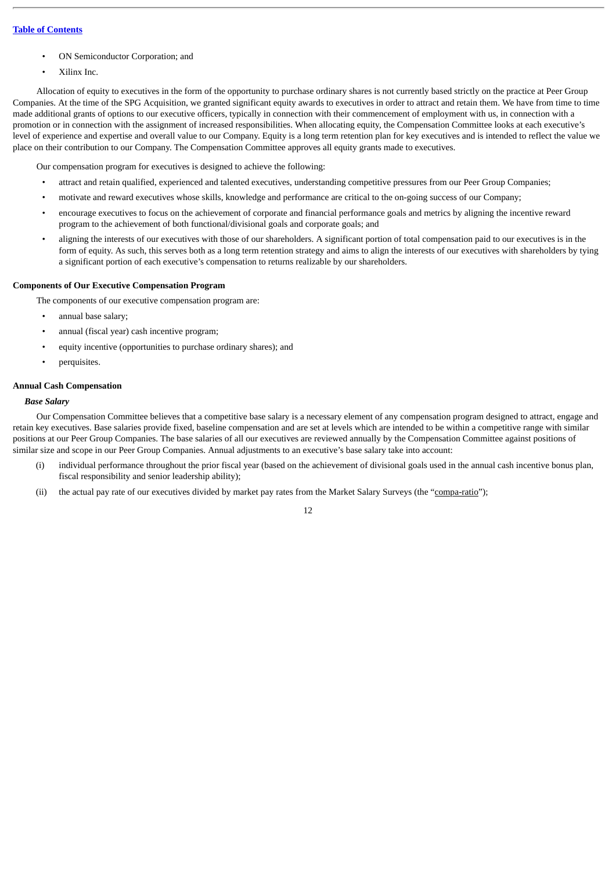- ON Semiconductor Corporation; and
- Xilinx Inc.

Allocation of equity to executives in the form of the opportunity to purchase ordinary shares is not currently based strictly on the practice at Peer Group Companies. At the time of the SPG Acquisition, we granted significant equity awards to executives in order to attract and retain them. We have from time to time made additional grants of options to our executive officers, typically in connection with their commencement of employment with us, in connection with a promotion or in connection with the assignment of increased responsibilities. When allocating equity, the Compensation Committee looks at each executive's level of experience and expertise and overall value to our Company. Equity is a long term retention plan for key executives and is intended to reflect the value we place on their contribution to our Company. The Compensation Committee approves all equity grants made to executives.

Our compensation program for executives is designed to achieve the following:

- attract and retain qualified, experienced and talented executives, understanding competitive pressures from our Peer Group Companies;
- motivate and reward executives whose skills, knowledge and performance are critical to the on-going success of our Company;
- encourage executives to focus on the achievement of corporate and financial performance goals and metrics by aligning the incentive reward program to the achievement of both functional/divisional goals and corporate goals; and
- aligning the interests of our executives with those of our shareholders. A significant portion of total compensation paid to our executives is in the form of equity. As such, this serves both as a long term retention strategy and aims to align the interests of our executives with shareholders by tying a significant portion of each executive's compensation to returns realizable by our shareholders.

#### **Components of Our Executive Compensation Program**

The components of our executive compensation program are:

- annual base salary;
- annual (fiscal year) cash incentive program;
- equity incentive (opportunities to purchase ordinary shares); and
- perquisites.

#### **Annual Cash Compensation**

#### *Base Salary*

Our Compensation Committee believes that a competitive base salary is a necessary element of any compensation program designed to attract, engage and retain key executives. Base salaries provide fixed, baseline compensation and are set at levels which are intended to be within a competitive range with similar positions at our Peer Group Companies. The base salaries of all our executives are reviewed annually by the Compensation Committee against positions of similar size and scope in our Peer Group Companies. Annual adjustments to an executive's base salary take into account:

- (i) individual performance throughout the prior fiscal year (based on the achievement of divisional goals used in the annual cash incentive bonus plan, fiscal responsibility and senior leadership ability);
- (ii) the actual pay rate of our executives divided by market pay rates from the Market Salary Surveys (the "compa-ratio");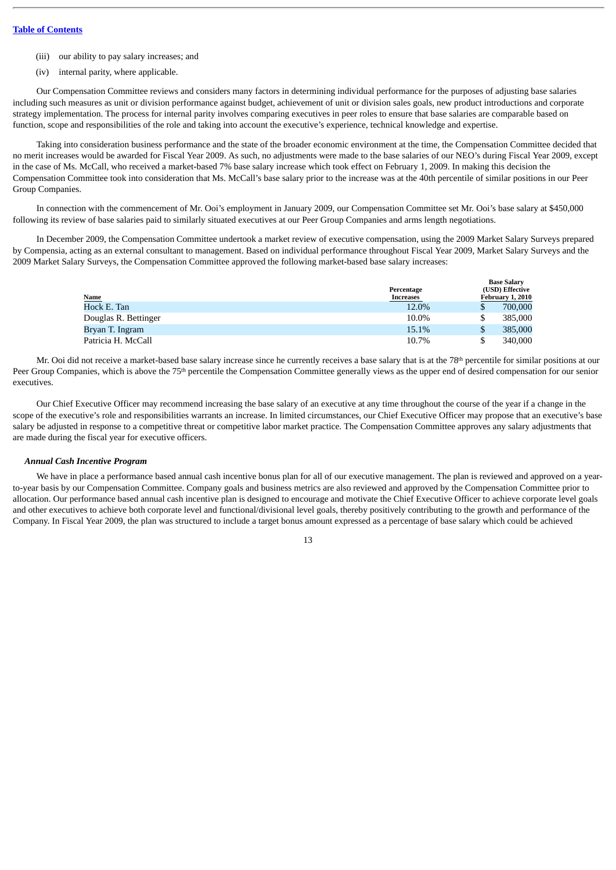- (iii) our ability to pay salary increases; and
- (iv) internal parity, where applicable.

Our Compensation Committee reviews and considers many factors in determining individual performance for the purposes of adjusting base salaries including such measures as unit or division performance against budget, achievement of unit or division sales goals, new product introductions and corporate strategy implementation. The process for internal parity involves comparing executives in peer roles to ensure that base salaries are comparable based on function, scope and responsibilities of the role and taking into account the executive's experience, technical knowledge and expertise.

Taking into consideration business performance and the state of the broader economic environment at the time, the Compensation Committee decided that no merit increases would be awarded for Fiscal Year 2009. As such, no adjustments were made to the base salaries of our NEO's during Fiscal Year 2009, except in the case of Ms. McCall, who received a market-based 7% base salary increase which took effect on February 1, 2009. In making this decision the Compensation Committee took into consideration that Ms. McCall's base salary prior to the increase was at the 40th percentile of similar positions in our Peer Group Companies.

In connection with the commencement of Mr. Ooi's employment in January 2009, our Compensation Committee set Mr. Ooi's base salary at \$450,000 following its review of base salaries paid to similarly situated executives at our Peer Group Companies and arms length negotiations.

In December 2009, the Compensation Committee undertook a market review of executive compensation, using the 2009 Market Salary Surveys prepared by Compensia, acting as an external consultant to management. Based on individual performance throughout Fiscal Year 2009, Market Salary Surveys and the 2009 Market Salary Surveys, the Compensation Committee approved the following market-based base salary increases:

| Percentage<br><b>Increases</b> | <b>Base Salary</b><br>(USD) Effective<br>February 1, 2010 |
|--------------------------------|-----------------------------------------------------------|
| 12.0%                          | \$<br>700,000                                             |
| 10.0%                          | \$<br>385,000                                             |
| 15.1%                          | \$<br>385,000                                             |
| 10.7%                          | \$<br>340,000                                             |
|                                |                                                           |

Mr. Ooi did not receive a market-based base salary increase since he currently receives a base salary that is at the 78<sup>th</sup> percentile for similar positions at our Peer Group Companies, which is above the 75<sup>th</sup> percentile the Compensation Committee generally views as the upper end of desired compensation for our senior executives.

Our Chief Executive Officer may recommend increasing the base salary of an executive at any time throughout the course of the year if a change in the scope of the executive's role and responsibilities warrants an increase. In limited circumstances, our Chief Executive Officer may propose that an executive's base salary be adjusted in response to a competitive threat or competitive labor market practice. The Compensation Committee approves any salary adjustments that are made during the fiscal year for executive officers.

#### *Annual Cash Incentive Program*

We have in place a performance based annual cash incentive bonus plan for all of our executive management. The plan is reviewed and approved on a yearto-year basis by our Compensation Committee. Company goals and business metrics are also reviewed and approved by the Compensation Committee prior to allocation. Our performance based annual cash incentive plan is designed to encourage and motivate the Chief Executive Officer to achieve corporate level goals and other executives to achieve both corporate level and functional/divisional level goals, thereby positively contributing to the growth and performance of the Company. In Fiscal Year 2009, the plan was structured to include a target bonus amount expressed as a percentage of base salary which could be achieved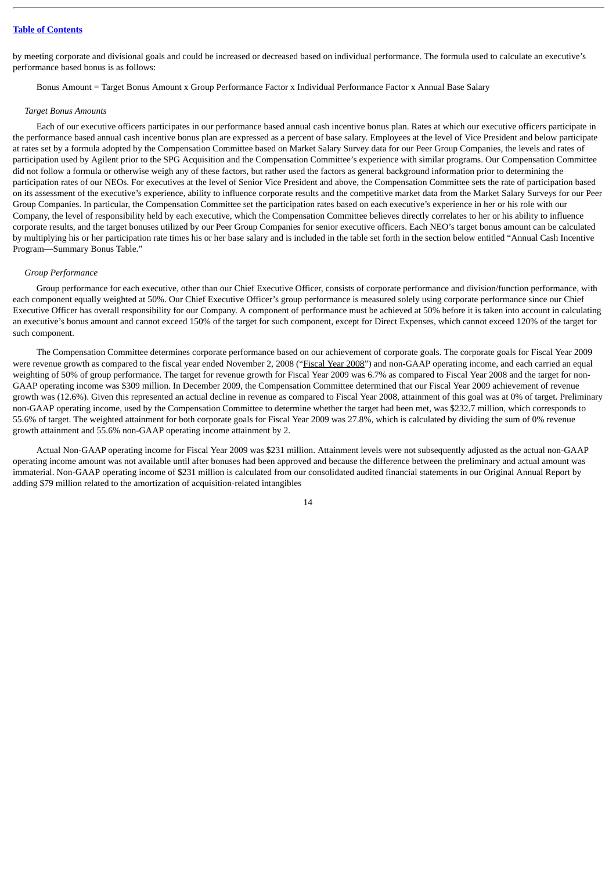by meeting corporate and divisional goals and could be increased or decreased based on individual performance. The formula used to calculate an executive's performance based bonus is as follows:

Bonus Amount = Target Bonus Amount x Group Performance Factor x Individual Performance Factor x Annual Base Salary

#### *Target Bonus Amounts*

Each of our executive officers participates in our performance based annual cash incentive bonus plan. Rates at which our executive officers participate in the performance based annual cash incentive bonus plan are expressed as a percent of base salary. Employees at the level of Vice President and below participate at rates set by a formula adopted by the Compensation Committee based on Market Salary Survey data for our Peer Group Companies, the levels and rates of participation used by Agilent prior to the SPG Acquisition and the Compensation Committee's experience with similar programs. Our Compensation Committee did not follow a formula or otherwise weigh any of these factors, but rather used the factors as general background information prior to determining the participation rates of our NEOs. For executives at the level of Senior Vice President and above, the Compensation Committee sets the rate of participation based on its assessment of the executive's experience, ability to influence corporate results and the competitive market data from the Market Salary Surveys for our Peer Group Companies. In particular, the Compensation Committee set the participation rates based on each executive's experience in her or his role with our Company, the level of responsibility held by each executive, which the Compensation Committee believes directly correlates to her or his ability to influence corporate results, and the target bonuses utilized by our Peer Group Companies for senior executive officers. Each NEO's target bonus amount can be calculated by multiplying his or her participation rate times his or her base salary and is included in the table set forth in the section below entitled "Annual Cash Incentive Program—Summary Bonus Table."

#### *Group Performance*

Group performance for each executive, other than our Chief Executive Officer, consists of corporate performance and division/function performance, with each component equally weighted at 50%. Our Chief Executive Officer's group performance is measured solely using corporate performance since our Chief Executive Officer has overall responsibility for our Company. A component of performance must be achieved at 50% before it is taken into account in calculating an executive's bonus amount and cannot exceed 150% of the target for such component, except for Direct Expenses, which cannot exceed 120% of the target for such component.

The Compensation Committee determines corporate performance based on our achievement of corporate goals. The corporate goals for Fiscal Year 2009 were revenue growth as compared to the fiscal year ended November 2, 2008 ("Fiscal Year 2008") and non-GAAP operating income, and each carried an equal weighting of 50% of group performance. The target for revenue growth for Fiscal Year 2009 was 6.7% as compared to Fiscal Year 2008 and the target for non-GAAP operating income was \$309 million. In December 2009, the Compensation Committee determined that our Fiscal Year 2009 achievement of revenue growth was (12.6%). Given this represented an actual decline in revenue as compared to Fiscal Year 2008, attainment of this goal was at 0% of target. Preliminary non-GAAP operating income, used by the Compensation Committee to determine whether the target had been met, was \$232.7 million, which corresponds to 55.6% of target. The weighted attainment for both corporate goals for Fiscal Year 2009 was 27.8%, which is calculated by dividing the sum of 0% revenue growth attainment and 55.6% non-GAAP operating income attainment by 2.

Actual Non-GAAP operating income for Fiscal Year 2009 was \$231 million. Attainment levels were not subsequently adjusted as the actual non-GAAP operating income amount was not available until after bonuses had been approved and because the difference between the preliminary and actual amount was immaterial. Non-GAAP operating income of \$231 million is calculated from our consolidated audited financial statements in our Original Annual Report by adding \$79 million related to the amortization of acquisition-related intangibles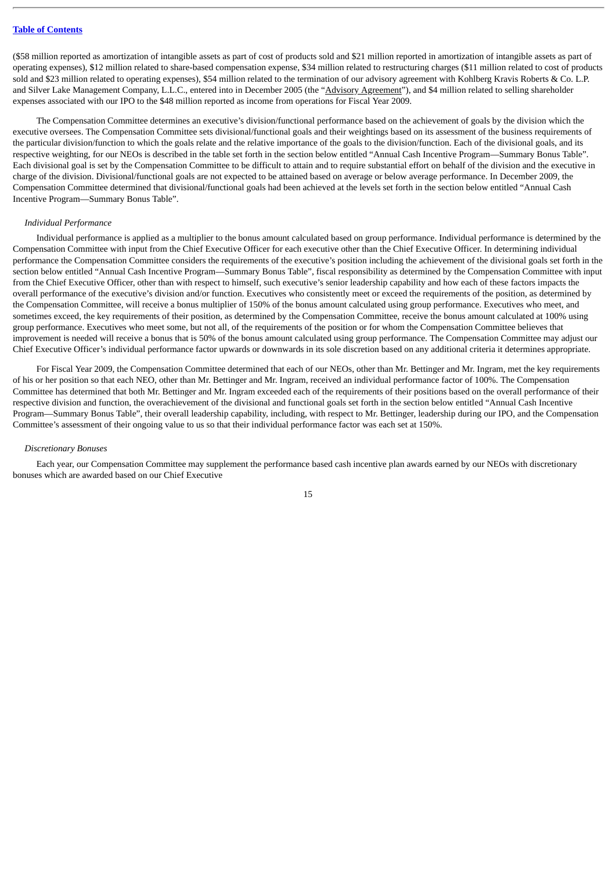(\$58 million reported as amortization of intangible assets as part of cost of products sold and \$21 million reported in amortization of intangible assets as part of operating expenses), \$12 million related to share-based compensation expense, \$34 million related to restructuring charges (\$11 million related to cost of products sold and \$23 million related to operating expenses), \$54 million related to the termination of our advisory agreement with Kohlberg Kravis Roberts & Co. L.P. and Silver Lake Management Company, L.L.C., entered into in December 2005 (the "Advisory Agreement"), and \$4 million related to selling shareholder expenses associated with our IPO to the \$48 million reported as income from operations for Fiscal Year 2009.

The Compensation Committee determines an executive's division/functional performance based on the achievement of goals by the division which the executive oversees. The Compensation Committee sets divisional/functional goals and their weightings based on its assessment of the business requirements of the particular division/function to which the goals relate and the relative importance of the goals to the division/function. Each of the divisional goals, and its respective weighting, for our NEOs is described in the table set forth in the section below entitled "Annual Cash Incentive Program—Summary Bonus Table". Each divisional goal is set by the Compensation Committee to be difficult to attain and to require substantial effort on behalf of the division and the executive in charge of the division. Divisional/functional goals are not expected to be attained based on average or below average performance. In December 2009, the Compensation Committee determined that divisional/functional goals had been achieved at the levels set forth in the section below entitled "Annual Cash Incentive Program—Summary Bonus Table".

#### *Individual Performance*

Individual performance is applied as a multiplier to the bonus amount calculated based on group performance. Individual performance is determined by the Compensation Committee with input from the Chief Executive Officer for each executive other than the Chief Executive Officer. In determining individual performance the Compensation Committee considers the requirements of the executive's position including the achievement of the divisional goals set forth in the section below entitled "Annual Cash Incentive Program—Summary Bonus Table", fiscal responsibility as determined by the Compensation Committee with input from the Chief Executive Officer, other than with respect to himself, such executive's senior leadership capability and how each of these factors impacts the overall performance of the executive's division and/or function. Executives who consistently meet or exceed the requirements of the position, as determined by the Compensation Committee, will receive a bonus multiplier of 150% of the bonus amount calculated using group performance. Executives who meet, and sometimes exceed, the key requirements of their position, as determined by the Compensation Committee, receive the bonus amount calculated at 100% using group performance. Executives who meet some, but not all, of the requirements of the position or for whom the Compensation Committee believes that improvement is needed will receive a bonus that is 50% of the bonus amount calculated using group performance. The Compensation Committee may adjust our Chief Executive Officer's individual performance factor upwards or downwards in its sole discretion based on any additional criteria it determines appropriate.

For Fiscal Year 2009, the Compensation Committee determined that each of our NEOs, other than Mr. Bettinger and Mr. Ingram, met the key requirements of his or her position so that each NEO, other than Mr. Bettinger and Mr. Ingram, received an individual performance factor of 100%. The Compensation Committee has determined that both Mr. Bettinger and Mr. Ingram exceeded each of the requirements of their positions based on the overall performance of their respective division and function, the overachievement of the divisional and functional goals set forth in the section below entitled "Annual Cash Incentive Program—Summary Bonus Table", their overall leadership capability, including, with respect to Mr. Bettinger, leadership during our IPO, and the Compensation Committee's assessment of their ongoing value to us so that their individual performance factor was each set at 150%.

#### *Discretionary Bonuses*

Each year, our Compensation Committee may supplement the performance based cash incentive plan awards earned by our NEOs with discretionary bonuses which are awarded based on our Chief Executive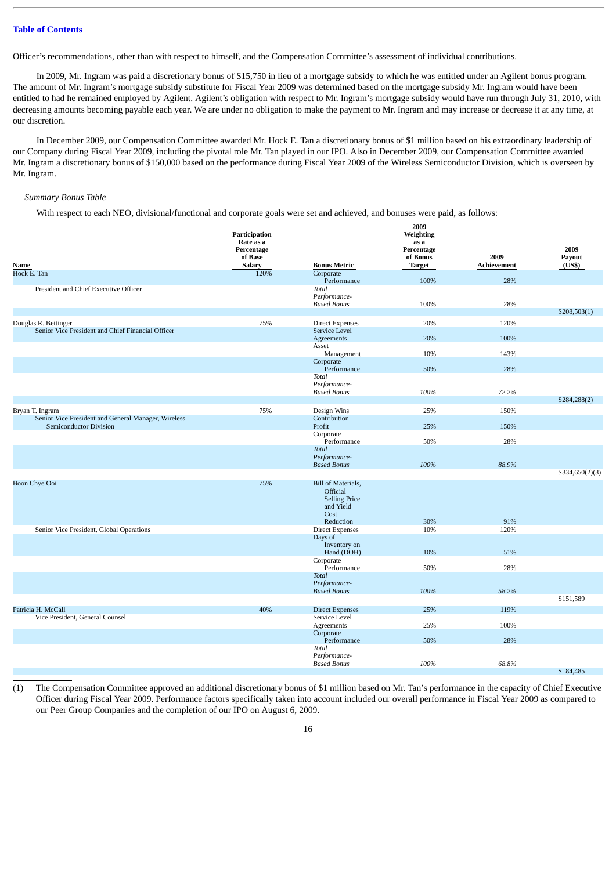Officer's recommendations, other than with respect to himself, and the Compensation Committee's assessment of individual contributions.

In 2009, Mr. Ingram was paid a discretionary bonus of \$15,750 in lieu of a mortgage subsidy to which he was entitled under an Agilent bonus program. The amount of Mr. Ingram's mortgage subsidy substitute for Fiscal Year 2009 was determined based on the mortgage subsidy Mr. Ingram would have been entitled to had he remained employed by Agilent. Agilent's obligation with respect to Mr. Ingram's mortgage subsidy would have run through July 31, 2010, with decreasing amounts becoming payable each year. We are under no obligation to make the payment to Mr. Ingram and may increase or decrease it at any time, at our discretion.

In December 2009, our Compensation Committee awarded Mr. Hock E. Tan a discretionary bonus of \$1 million based on his extraordinary leadership of our Company during Fiscal Year 2009, including the pivotal role Mr. Tan played in our IPO. Also in December 2009, our Compensation Committee awarded Mr. Ingram a discretionary bonus of \$150,000 based on the performance during Fiscal Year 2009 of the Wireless Semiconductor Division, which is overseen by Mr. Ingram.

#### *Summary Bonus Table*

With respect to each NEO, divisional/functional and corporate goals were set and achieved, and bonuses were paid, as follows:

| Name                                                                                                    | Participation<br>Rate as a<br>Percentage<br>of Base<br><b>Salary</b> | <b>Bonus Metric</b>                                                         | 2009<br>Weighting<br>as a<br>Percentage<br>of Bonus<br>Target | 2009<br>Achievement | 2009<br>Payout<br>(US\$) |
|---------------------------------------------------------------------------------------------------------|----------------------------------------------------------------------|-----------------------------------------------------------------------------|---------------------------------------------------------------|---------------------|--------------------------|
| Hock E. Tan                                                                                             | 120%                                                                 | Corporate<br>Performance                                                    | 100%                                                          | 28%                 |                          |
| President and Chief Executive Officer                                                                   |                                                                      | Total<br>Performance-<br><b>Based Bonus</b>                                 | 100%                                                          | 28%                 | \$208,503(1)             |
| Douglas R. Bettinger                                                                                    | 75%                                                                  | <b>Direct Expenses</b>                                                      | 20%                                                           | 120%                |                          |
| Senior Vice President and Chief Financial Officer                                                       |                                                                      | Service Level<br>Agreements                                                 | 20%                                                           | 100%                |                          |
|                                                                                                         |                                                                      | Asset<br>Management                                                         | 10%                                                           | 143%                |                          |
|                                                                                                         |                                                                      | Corporate<br>Performance                                                    | 50%                                                           | 28%                 |                          |
|                                                                                                         |                                                                      | Total<br>Performance-<br><b>Based Bonus</b>                                 | 100%                                                          | 72.2%               |                          |
|                                                                                                         |                                                                      |                                                                             |                                                               |                     | \$284,288(2)             |
| Bryan T. Ingram<br>Senior Vice President and General Manager, Wireless<br><b>Semiconductor Division</b> | 75%                                                                  | Design Wins<br>Contribution<br>Profit                                       | 25%<br>25%                                                    | 150%<br>150%        |                          |
|                                                                                                         |                                                                      | Corporate<br>Performance                                                    | 50%                                                           | 28%                 |                          |
|                                                                                                         |                                                                      | <b>Total</b><br>Performance-<br><b>Based Bonus</b>                          | 100%                                                          | 88.9%               |                          |
|                                                                                                         | 75%                                                                  |                                                                             |                                                               |                     | \$334,650(2)(3)          |
| <b>Boon Chye Ooi</b>                                                                                    |                                                                      | Bill of Materials,<br>Official<br><b>Selling Price</b><br>and Yield<br>Cost |                                                               |                     |                          |
| Senior Vice President, Global Operations                                                                |                                                                      | Reduction<br><b>Direct Expenses</b>                                         | 30%<br>10%                                                    | 91%<br>120%         |                          |
|                                                                                                         |                                                                      | Days of<br>Inventory on<br>Hand (DOH)                                       | 10%                                                           | 51%                 |                          |
|                                                                                                         |                                                                      | Corporate<br>Performance                                                    | 50%                                                           | 28%                 |                          |
|                                                                                                         |                                                                      | <b>Total</b><br>Performance-<br><b>Based Bonus</b>                          | 100%                                                          | 58.2%               | \$151,589                |
| Patricia H. McCall                                                                                      | 40%                                                                  | <b>Direct Expenses</b>                                                      | 25%                                                           | 119%                |                          |
| Vice President, General Counsel                                                                         |                                                                      | Service Level                                                               |                                                               |                     |                          |
|                                                                                                         |                                                                      | Agreements<br>Corporate                                                     | 25%                                                           | 100%                |                          |
|                                                                                                         |                                                                      | Performance<br>Total                                                        | 50%                                                           | 28%                 |                          |
|                                                                                                         |                                                                      | Performance-<br><b>Based Bonus</b>                                          | 100%                                                          | 68.8%               | \$84,485                 |
|                                                                                                         |                                                                      |                                                                             |                                                               |                     |                          |

(1) The Compensation Committee approved an additional discretionary bonus of \$1 million based on Mr. Tan's performance in the capacity of Chief Executive Officer during Fiscal Year 2009. Performance factors specifically taken into account included our overall performance in Fiscal Year 2009 as compared to our Peer Group Companies and the completion of our IPO on August 6, 2009.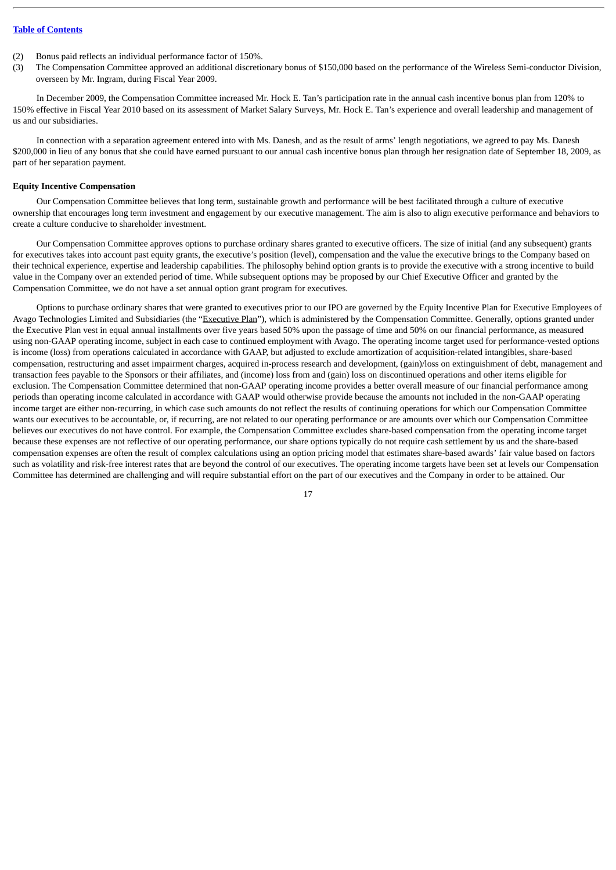- (2) Bonus paid reflects an individual performance factor of 150%.
- (3) The Compensation Committee approved an additional discretionary bonus of \$150,000 based on the performance of the Wireless Semi-conductor Division, overseen by Mr. Ingram, during Fiscal Year 2009.

In December 2009, the Compensation Committee increased Mr. Hock E. Tan's participation rate in the annual cash incentive bonus plan from 120% to 150% effective in Fiscal Year 2010 based on its assessment of Market Salary Surveys, Mr. Hock E. Tan's experience and overall leadership and management of us and our subsidiaries.

In connection with a separation agreement entered into with Ms. Danesh, and as the result of arms' length negotiations, we agreed to pay Ms. Danesh \$200,000 in lieu of any bonus that she could have earned pursuant to our annual cash incentive bonus plan through her resignation date of September 18, 2009, as part of her separation payment.

#### **Equity Incentive Compensation**

Our Compensation Committee believes that long term, sustainable growth and performance will be best facilitated through a culture of executive ownership that encourages long term investment and engagement by our executive management. The aim is also to align executive performance and behaviors to create a culture conducive to shareholder investment.

Our Compensation Committee approves options to purchase ordinary shares granted to executive officers. The size of initial (and any subsequent) grants for executives takes into account past equity grants, the executive's position (level), compensation and the value the executive brings to the Company based on their technical experience, expertise and leadership capabilities. The philosophy behind option grants is to provide the executive with a strong incentive to build value in the Company over an extended period of time. While subsequent options may be proposed by our Chief Executive Officer and granted by the Compensation Committee, we do not have a set annual option grant program for executives.

Options to purchase ordinary shares that were granted to executives prior to our IPO are governed by the Equity Incentive Plan for Executive Employees of Avago Technologies Limited and Subsidiaries (the "Executive Plan"), which is administered by the Compensation Committee. Generally, options granted under the Executive Plan vest in equal annual installments over five years based 50% upon the passage of time and 50% on our financial performance, as measured using non-GAAP operating income, subject in each case to continued employment with Avago. The operating income target used for performance-vested options is income (loss) from operations calculated in accordance with GAAP, but adjusted to exclude amortization of acquisition-related intangibles, share-based compensation, restructuring and asset impairment charges, acquired in-process research and development, (gain)/loss on extinguishment of debt, management and transaction fees payable to the Sponsors or their affiliates, and (income) loss from and (gain) loss on discontinued operations and other items eligible for exclusion. The Compensation Committee determined that non-GAAP operating income provides a better overall measure of our financial performance among periods than operating income calculated in accordance with GAAP would otherwise provide because the amounts not included in the non-GAAP operating income target are either non-recurring, in which case such amounts do not reflect the results of continuing operations for which our Compensation Committee wants our executives to be accountable, or, if recurring, are not related to our operating performance or are amounts over which our Compensation Committee believes our executives do not have control. For example, the Compensation Committee excludes share-based compensation from the operating income target because these expenses are not reflective of our operating performance, our share options typically do not require cash settlement by us and the share-based compensation expenses are often the result of complex calculations using an option pricing model that estimates share-based awards' fair value based on factors such as volatility and risk-free interest rates that are beyond the control of our executives. The operating income targets have been set at levels our Compensation Committee has determined are challenging and will require substantial effort on the part of our executives and the Company in order to be attained. Our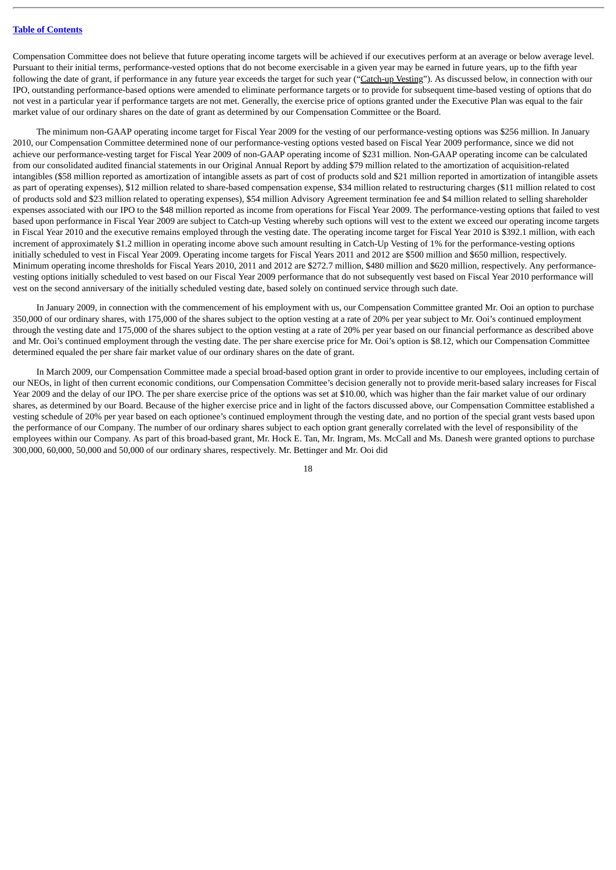Compensation Committee does not believe that future operating income targets will be achieved if our executives perform at an average or below average level. Pursuant to their initial terms, performance-vested options that do not become exercisable in a given year may be earned in future years, up to the fifth year following the date of grant, if performance in any future year exceeds the target for such year ("Catch-up Vesting"). As discussed below, in connection with our IPO, outstanding performance-based options were amended to eliminate performance targets or to provide for subsequent time-based vesting of options that do not vest in a particular year if performance targets are not met. Generally, the exercise price of options granted under the Executive Plan was equal to the fair market value of our ordinary shares on the date of grant as determined by our Compensation Committee or the Board.

The minimum non-GAAP operating income target for Fiscal Year 2009 for the vesting of our performance-vesting options was \$256 million. In January 2010, our Compensation Committee determined none of our performance-vesting options vested based on Fiscal Year 2009 performance, since we did not achieve our performance-vesting target for Fiscal Year 2009 of non-GAAP operating income of \$231 million. Non-GAAP operating income can be calculated from our consolidated audited financial statements in our Original Annual Report by adding \$79 million related to the amortization of acquisition-related intangibles (\$58 million reported as amortization of intangible assets as part of cost of products sold and \$21 million reported in amortization of intangible assets as part of operating expenses), \$12 million related to share-based compensation expense, \$34 million related to restructuring charges (\$11 million related to cost of products sold and \$23 million related to operating expenses), \$54 million Advisory Agreement termination fee and \$4 million related to selling shareholder expenses associated with our IPO to the \$48 million reported as income from operations for Fiscal Year 2009. The performance-vesting options that failed to vest based upon performance in Fiscal Year 2009 are subject to Catch-up Vesting whereby such options will vest to the extent we exceed our operating income targets in Fiscal Year 2010 and the executive remains employed through the vesting date. The operating income target for Fiscal Year 2010 is \$392.1 million, with each increment of approximately \$1.2 million in operating income above such amount resulting in Catch-Up Vesting of 1% for the performance-vesting options initially scheduled to vest in Fiscal Year 2009. Operating income targets for Fiscal Years 2011 and 2012 are \$500 million and \$650 million, respectively. Minimum operating income thresholds for Fiscal Years 2010, 2011 and 2012 are \$272.7 million, \$480 million and \$620 million, respectively. Any performancevesting options initially scheduled to vest based on our Fiscal Year 2009 performance that do not subsequently vest based on Fiscal Year 2010 performance will vest on the second anniversary of the initially scheduled vesting date, based solely on continued service through such date.

In January 2009, in connection with the commencement of his employment with us, our Compensation Committee granted Mr. Ooi an option to purchase 350,000 of our ordinary shares, with 175,000 of the shares subject to the option vesting at a rate of 20% per year subject to Mr. Ooi's continued employment through the vesting date and 175,000 of the shares subject to the option vesting at a rate of 20% per year based on our financial performance as described above and Mr. Ooi's continued employment through the vesting date. The per share exercise price for Mr. Ooi's option is \$8.12, which our Compensation Committee determined equaled the per share fair market value of our ordinary shares on the date of grant.

In March 2009, our Compensation Committee made a special broad-based option grant in order to provide incentive to our employees, including certain of our NEOs, in light of then current economic conditions, our Compensation Committee's decision generally not to provide merit-based salary increases for Fiscal Year 2009 and the delay of our IPO. The per share exercise price of the options was set at \$10.00, which was higher than the fair market value of our ordinary shares, as determined by our Board. Because of the higher exercise price and in light of the factors discussed above, our Compensation Committee established a vesting schedule of 20% per year based on each optionee's continued employment through the vesting date, and no portion of the special grant vests based upon the performance of our Company. The number of our ordinary shares subject to each option grant generally correlated with the level of responsibility of the employees within our Company. As part of this broad-based grant, Mr. Hock E. Tan, Mr. Ingram, Ms. McCall and Ms. Danesh were granted options to purchase 300,000, 60,000, 50,000 and 50,000 of our ordinary shares, respectively. Mr. Bettinger and Mr. Ooi did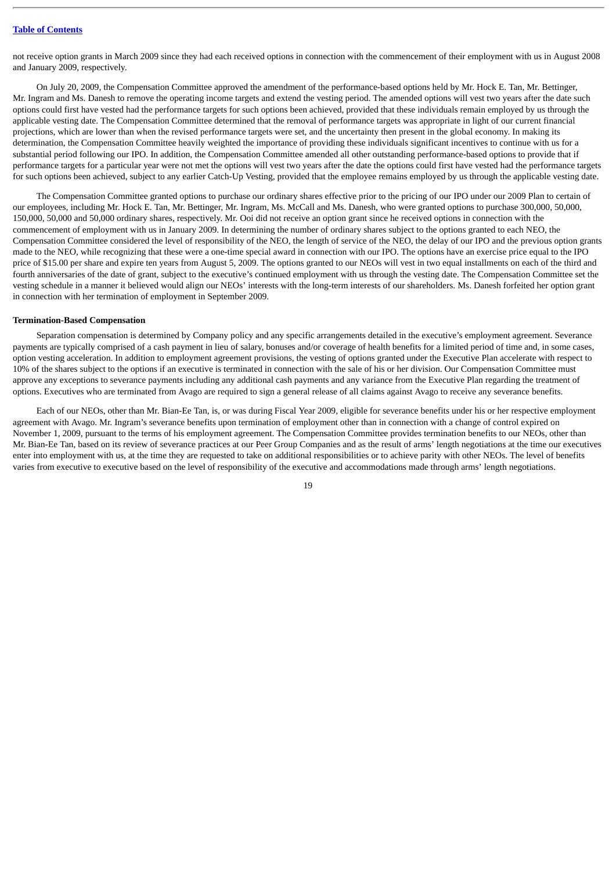not receive option grants in March 2009 since they had each received options in connection with the commencement of their employment with us in August 2008 and January 2009, respectively.

On July 20, 2009, the Compensation Committee approved the amendment of the performance-based options held by Mr. Hock E. Tan, Mr. Bettinger, Mr. Ingram and Ms. Danesh to remove the operating income targets and extend the vesting period. The amended options will vest two years after the date such options could first have vested had the performance targets for such options been achieved, provided that these individuals remain employed by us through the applicable vesting date. The Compensation Committee determined that the removal of performance targets was appropriate in light of our current financial projections, which are lower than when the revised performance targets were set, and the uncertainty then present in the global economy. In making its determination, the Compensation Committee heavily weighted the importance of providing these individuals significant incentives to continue with us for a substantial period following our IPO. In addition, the Compensation Committee amended all other outstanding performance-based options to provide that if performance targets for a particular year were not met the options will vest two years after the date the options could first have vested had the performance targets for such options been achieved, subject to any earlier Catch-Up Vesting, provided that the employee remains employed by us through the applicable vesting date.

The Compensation Committee granted options to purchase our ordinary shares effective prior to the pricing of our IPO under our 2009 Plan to certain of our employees, including Mr. Hock E. Tan, Mr. Bettinger, Mr. Ingram, Ms. McCall and Ms. Danesh, who were granted options to purchase 300,000, 50,000, 150,000, 50,000 and 50,000 ordinary shares, respectively. Mr. Ooi did not receive an option grant since he received options in connection with the commencement of employment with us in January 2009. In determining the number of ordinary shares subject to the options granted to each NEO, the Compensation Committee considered the level of responsibility of the NEO, the length of service of the NEO, the delay of our IPO and the previous option grants made to the NEO, while recognizing that these were a one-time special award in connection with our IPO. The options have an exercise price equal to the IPO price of \$15.00 per share and expire ten years from August 5, 2009. The options granted to our NEOs will vest in two equal installments on each of the third and fourth anniversaries of the date of grant, subject to the executive's continued employment with us through the vesting date. The Compensation Committee set the vesting schedule in a manner it believed would align our NEOs' interests with the long-term interests of our shareholders. Ms. Danesh forfeited her option grant in connection with her termination of employment in September 2009.

#### **Termination-Based Compensation**

Separation compensation is determined by Company policy and any specific arrangements detailed in the executive's employment agreement. Severance payments are typically comprised of a cash payment in lieu of salary, bonuses and/or coverage of health benefits for a limited period of time and, in some cases, option vesting acceleration. In addition to employment agreement provisions, the vesting of options granted under the Executive Plan accelerate with respect to 10% of the shares subject to the options if an executive is terminated in connection with the sale of his or her division. Our Compensation Committee must approve any exceptions to severance payments including any additional cash payments and any variance from the Executive Plan regarding the treatment of options. Executives who are terminated from Avago are required to sign a general release of all claims against Avago to receive any severance benefits.

Each of our NEOs, other than Mr. Bian-Ee Tan, is, or was during Fiscal Year 2009, eligible for severance benefits under his or her respective employment agreement with Avago. Mr. Ingram's severance benefits upon termination of employment other than in connection with a change of control expired on November 1, 2009, pursuant to the terms of his employment agreement. The Compensation Committee provides termination benefits to our NEOs, other than Mr. Bian-Ee Tan, based on its review of severance practices at our Peer Group Companies and as the result of arms' length negotiations at the time our executives enter into employment with us, at the time they are requested to take on additional responsibilities or to achieve parity with other NEOs. The level of benefits varies from executive to executive based on the level of responsibility of the executive and accommodations made through arms' length negotiations.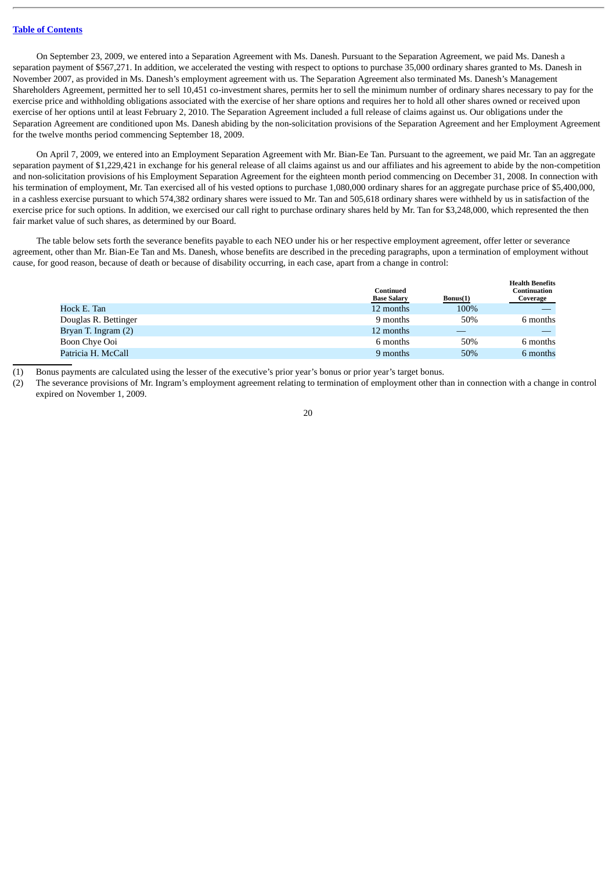On September 23, 2009, we entered into a Separation Agreement with Ms. Danesh. Pursuant to the Separation Agreement, we paid Ms. Danesh a separation payment of \$567,271. In addition, we accelerated the vesting with respect to options to purchase 35,000 ordinary shares granted to Ms. Danesh in November 2007, as provided in Ms. Danesh's employment agreement with us. The Separation Agreement also terminated Ms. Danesh's Management Shareholders Agreement, permitted her to sell 10,451 co-investment shares, permits her to sell the minimum number of ordinary shares necessary to pay for the exercise price and withholding obligations associated with the exercise of her share options and requires her to hold all other shares owned or received upon exercise of her options until at least February 2, 2010. The Separation Agreement included a full release of claims against us. Our obligations under the Separation Agreement are conditioned upon Ms. Danesh abiding by the non-solicitation provisions of the Separation Agreement and her Employment Agreement for the twelve months period commencing September 18, 2009.

On April 7, 2009, we entered into an Employment Separation Agreement with Mr. Bian-Ee Tan. Pursuant to the agreement, we paid Mr. Tan an aggregate separation payment of \$1,229,421 in exchange for his general release of all claims against us and our affiliates and his agreement to abide by the non-competition and non-solicitation provisions of his Employment Separation Agreement for the eighteen month period commencing on December 31, 2008. In connection with his termination of employment, Mr. Tan exercised all of his vested options to purchase 1,080,000 ordinary shares for an aggregate purchase price of \$5,400,000, in a cashless exercise pursuant to which 574,382 ordinary shares were issued to Mr. Tan and 505,618 ordinary shares were withheld by us in satisfaction of the exercise price for such options. In addition, we exercised our call right to purchase ordinary shares held by Mr. Tan for \$3,248,000, which represented the then fair market value of such shares, as determined by our Board.

The table below sets forth the severance benefits payable to each NEO under his or her respective employment agreement, offer letter or severance agreement, other than Mr. Bian-Ee Tan and Ms. Danesh, whose benefits are described in the preceding paragraphs, upon a termination of employment without cause, for good reason, because of death or because of disability occurring, in each case, apart from a change in control:

|                      | Continued          |          | пеанн Denems<br><b>Continuation</b> |
|----------------------|--------------------|----------|-------------------------------------|
|                      | <b>Base Salary</b> | Bonus(1) | Coverage                            |
| Hock E. Tan          | 12 months          | 100%     |                                     |
| Douglas R. Bettinger | 9 months           | 50%      | 6 months                            |
| Bryan T. Ingram (2)  | 12 months          |          |                                     |
| Boon Chye Ooi        | 6 months           | 50%      | 6 months                            |
| Patricia H. McCall   | 9 months           | 50%      | 6 months                            |
|                      |                    |          |                                     |

**Health Benefits**

(1) Bonus payments are calculated using the lesser of the executive's prior year's bonus or prior year's target bonus.

(2) The severance provisions of Mr. Ingram's employment agreement relating to termination of employment other than in connection with a change in control expired on November 1, 2009.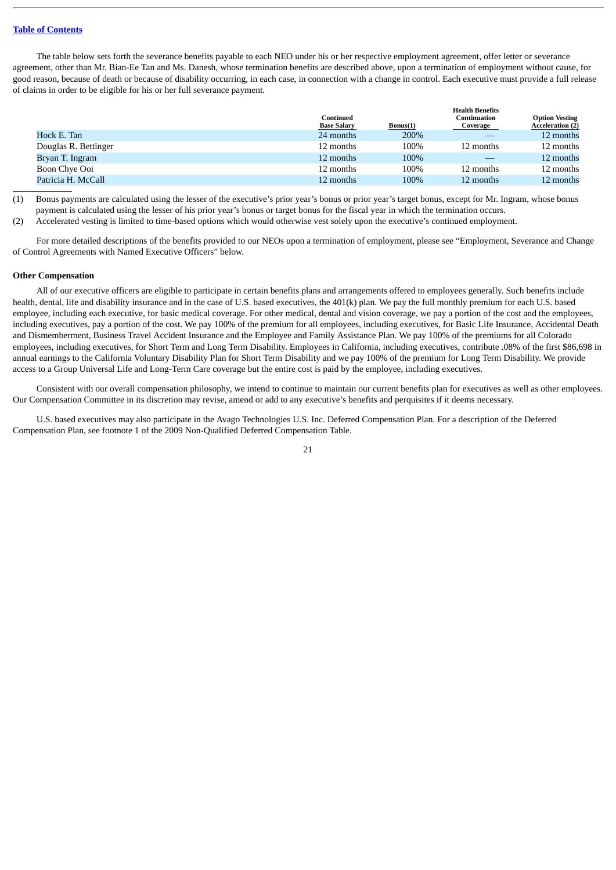The table below sets forth the severance benefits payable to each NEO under his or her respective employment agreement, offer letter or severance agreement, other than Mr. Bian-Ee Tan and Ms. Danesh, whose termination benefits are described above, upon a termination of employment without cause, for good reason, because of death or because of disability occurring, in each case, in connection with a change in control. Each executive must provide a full release of claims in order to be eligible for his or her full severance payment.

|                      | Continued<br><b>Base Salary</b> | Bonus(1) | <b>Health Benefits</b><br>Continuation<br>Coverage | <b>Option Vesting</b><br><b>Acceleration (2)</b> |
|----------------------|---------------------------------|----------|----------------------------------------------------|--------------------------------------------------|
| Hock E. Tan          | 24 months                       | 200%     |                                                    | 12 months                                        |
| Douglas R. Bettinger | 12 months                       | 100%     | 12 months                                          | 12 months                                        |
| Bryan T. Ingram      | 12 months                       | 100%     |                                                    | 12 months                                        |
| Boon Chye Ooi        | 12 months                       | 100%     | 12 months                                          | 12 months                                        |
| Patricia H. McCall   | 12 months                       | 100%     | 12 months                                          | 12 months                                        |

(1) Bonus payments are calculated using the lesser of the executive's prior year's bonus or prior year's target bonus, except for Mr. Ingram, whose bonus payment is calculated using the lesser of his prior year's bonus or target bonus for the fiscal year in which the termination occurs.

(2) Accelerated vesting is limited to time-based options which would otherwise vest solely upon the executive's continued employment.

For more detailed descriptions of the benefits provided to our NEOs upon a termination of employment, please see "Employment, Severance and Change of Control Agreements with Named Executive Officers" below.

#### **Other Compensation**

All of our executive officers are eligible to participate in certain benefits plans and arrangements offered to employees generally. Such benefits include health, dental, life and disability insurance and in the case of U.S. based executives, the 401(k) plan. We pay the full monthly premium for each U.S. based employee, including each executive, for basic medical coverage. For other medical, dental and vision coverage, we pay a portion of the cost and the employees, including executives, pay a portion of the cost. We pay 100% of the premium for all employees, including executives, for Basic Life Insurance, Accidental Death and Dismemberment, Business Travel Accident Insurance and the Employee and Family Assistance Plan. We pay 100% of the premiums for all Colorado employees, including executives, for Short Term and Long Term Disability. Employees in California, including executives, contribute .08% of the first \$86,698 in annual earnings to the California Voluntary Disability Plan for Short Term Disability and we pay 100% of the premium for Long Term Disability. We provide access to a Group Universal Life and Long-Term Care coverage but the entire cost is paid by the employee, including executives.

Consistent with our overall compensation philosophy, we intend to continue to maintain our current benefits plan for executives as well as other employees. Our Compensation Committee in its discretion may revise, amend or add to any executive's benefits and perquisites if it deems necessary.

U.S. based executives may also participate in the Avago Technologies U.S. Inc. Deferred Compensation Plan. For a description of the Deferred Compensation Plan, see footnote 1 of the 2009 Non-Qualified Deferred Compensation Table.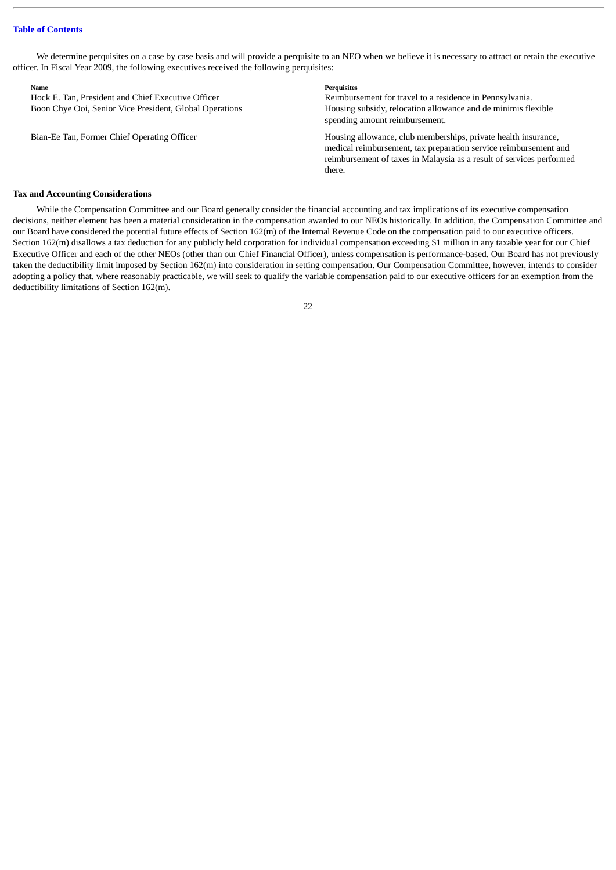We determine perquisites on a case by case basis and will provide a perquisite to an NEO when we believe it is necessary to attract or retain the executive officer. In Fiscal Year 2009, the following executives received the following perquisites:

| Name                                                    | <b>Perquisites</b>                                                                                                                                                                                                   |
|---------------------------------------------------------|----------------------------------------------------------------------------------------------------------------------------------------------------------------------------------------------------------------------|
| Hock E. Tan, President and Chief Executive Officer      | Reimbursement for travel to a residence in Pennsylvania.                                                                                                                                                             |
| Boon Chye Ooi, Senior Vice President, Global Operations | Housing subsidy, relocation allowance and de minimis flexible                                                                                                                                                        |
|                                                         | spending amount reimbursement.                                                                                                                                                                                       |
| Bian-Ee Tan, Former Chief Operating Officer             | Housing allowance, club memberships, private health insurance,<br>medical reimbursement, tax preparation service reimbursement and<br>reimbursement of taxes in Malaysia as a result of services performed<br>there. |

#### **Tax and Accounting Considerations**

While the Compensation Committee and our Board generally consider the financial accounting and tax implications of its executive compensation decisions, neither element has been a material consideration in the compensation awarded to our NEOs historically. In addition, the Compensation Committee and our Board have considered the potential future effects of Section 162(m) of the Internal Revenue Code on the compensation paid to our executive officers. Section 162(m) disallows a tax deduction for any publicly held corporation for individual compensation exceeding \$1 million in any taxable year for our Chief Executive Officer and each of the other NEOs (other than our Chief Financial Officer), unless compensation is performance-based. Our Board has not previously taken the deductibility limit imposed by Section 162(m) into consideration in setting compensation. Our Compensation Committee, however, intends to consider adopting a policy that, where reasonably practicable, we will seek to qualify the variable compensation paid to our executive officers for an exemption from the deductibility limitations of Section 162(m).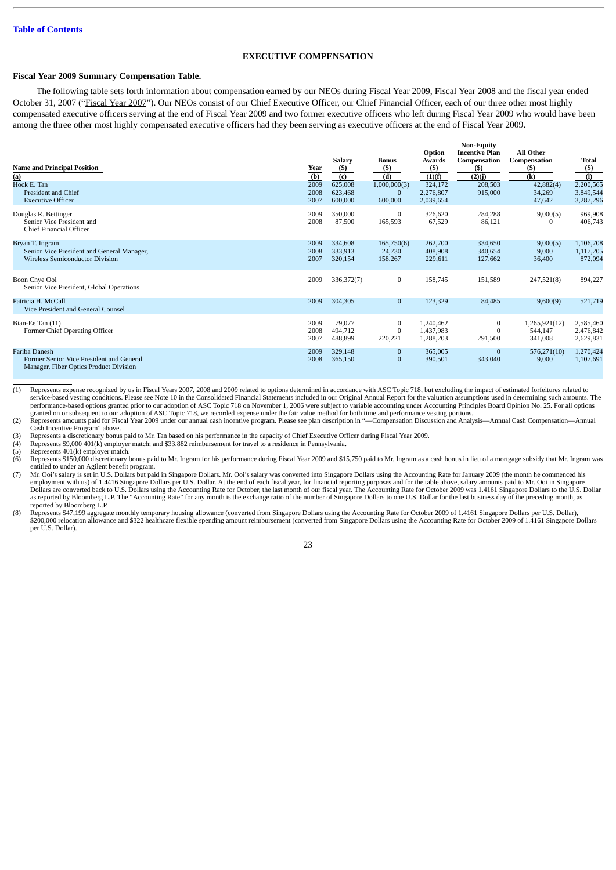#### **EXECUTIVE COMPENSATION**

### **Fiscal Year 2009 Summary Compensation Table.**

The following table sets forth information about compensation earned by our NEOs during Fiscal Year 2009, Fiscal Year 2008 and the fiscal year ended October 31, 2007 ("Fiscal Year 2007"). Our NEOs consist of our Chief Executive Officer, our Chief Financial Officer, each of our three other most highly compensated executive officers serving at the end of Fiscal Year 2009 and two former executive officers who left during Fiscal Year 2009 who would have been among the three other most highly compensated executive officers had they been serving as executive officers at the end of Fiscal Year 2009.

| <b>Name and Principal Position</b><br>(a)<br>Hock E. Tan<br>President and Chief<br><b>Executive Officer</b> | Year<br>(b)<br>2009<br>2008<br>2007 | Salary<br>$($)$<br>(c)<br>625,008<br>623,468<br>600,000 | <b>Bonus</b><br>(5)<br>(d)<br>1,000,000(3)<br>600,000 | Option<br>Awards<br>$($)$<br>(1)(f)<br>324,172<br>2,276,807<br>2,039,654 | <b>Non-Equity</b><br><b>Incentive Plan</b><br>Compensation<br>(S)<br>(2)(j)<br>208,503<br>915,000 | All Other<br>Compensation<br>(5)<br>(k)<br>42,882(4)<br>34,269<br>47,642 | <b>Total</b><br>$(5)$<br>(1)<br>2,200,565<br>3,849,544<br>3,287,296 |
|-------------------------------------------------------------------------------------------------------------|-------------------------------------|---------------------------------------------------------|-------------------------------------------------------|--------------------------------------------------------------------------|---------------------------------------------------------------------------------------------------|--------------------------------------------------------------------------|---------------------------------------------------------------------|
| Douglas R. Bettinger<br>Senior Vice President and<br>Chief Financial Officer                                | 2009<br>2008                        | 350,000<br>87,500                                       | 165,593                                               | 326,620<br>67,529                                                        | 284,288<br>86,121                                                                                 | 9,000(5)<br>0                                                            | 969,908<br>406,743                                                  |
| Bryan T. Ingram<br>Senior Vice President and General Manager,<br>Wireless Semiconductor Division            | 2009<br>2008<br>2007                | 334,608<br>333,913<br>320,154                           | 165,750(6)<br>24,730<br>158,267                       | 262,700<br>408,908<br>229,611                                            | 334,650<br>340,654<br>127,662                                                                     | 9,000(5)<br>9,000<br>36,400                                              | 1,106,708<br>1,117,205<br>872,094                                   |
| Boon Chye Ooi<br>Senior Vice President, Global Operations                                                   | 2009                                | 336,372(7)                                              | $\mathbf{0}$                                          | 158,745                                                                  | 151,589                                                                                           | 247,521(8)                                                               | 894,227                                                             |
| Patricia H. McCall<br>Vice President and General Counsel                                                    | 2009                                | 304,305                                                 | $\mathbf{0}$                                          | 123,329                                                                  | 84,485                                                                                            | 9,600(9)                                                                 | 521,719                                                             |
| Bian-Ee Tan (11)<br>Former Chief Operating Officer                                                          | 2009<br>2008<br>2007                | 79,077<br>494,712<br>488,899                            | 0<br>$\Omega$<br>220,221                              | 1,240,462<br>1,437,983<br>1,288,203                                      | $\bf{0}$<br>$^{\circ}$<br>291,500                                                                 | 1,265,921(12)<br>544,147<br>341,008                                      | 2,585,460<br>2,476,842<br>2,629,831                                 |
| <b>Fariba Danesh</b><br>Former Senior Vice President and General<br>Manager, Fiber Optics Product Division  | 2009<br>2008                        | 329,148<br>365,150                                      | $\bf{0}$<br>$\mathbf{0}$                              | 365,005<br>390,501                                                       | $\mathbf{0}$<br>343,040                                                                           | 576,271(10)<br>9,000                                                     | 1,270,424<br>1,107,691                                              |

(1) Represents expense recognized by us in Fiscal Years 2007, 2008 and 2009 related to options determined in accordance with ASC Topic 718, but excluding the impact of estimated forfeitures related to<br>service-based vesting performance-based options granted prior to our adoption of ASC Topic 718 on November 1, 2006 were subject to variable accounting under Accounting Principles Board Opinion No. 25. For all options<br>granted on or subsequent to

(2) Represents amounts paid for Fiscal Year 2009 under our annual cash incentive program. Please see plan description in "—Compensation Discussion and Analysis—Annual Cash Compensation—Annual Cash Incentive Program" above.

(3) Represents a discretionary bonus paid to Mr. Tan based on his performance in the capacity of Chief Executive Officer during Fiscal Year 2009.<br>(4) Represents \$9,000 401(k) employer match; and \$33,882 reimbursement for t

(5) Represents 401(k) employer match.

(6) Represents \$150,000 discretionary bonus paid to Mr. Ingram for his performance during Fiscal Year 2009 and \$15,750 paid to Mr. Ingram as a cash bonus in lieu of a mortgage subsidy that Mr. Ingram was entitled to under an Agilent benefit program.

Mr. Ooi's salary is set in U.S. Dollars but paid in Singapore Dollars. Mr. Ooi's salary was converted into Singapore Dollars using the Accounting Rate for January 2009 (the month he commenced his employment with us) of 1.4 as reported by Bloomberg L.P. The "Accounting Rate" for any month is the exchange ratio of the number of Singapore Dollars to one U.S. Dollar for the last business day of the preceding month, as reported by Bloomberg L.P.

(8) Represents \$47,199 aggregate monthly temporary housing allowance (converted from Singapore Dollars using the Accounting Rate for October 2009 of 1.4161 Singapore Dollars per U.S. Dollar), \$200,000 relocation allowance and \$322 healthcare flexible spending amount reimbursement (converted from Singapore Dollars using the Accounting Rate for October 2009 of 1.4161 Singapore Dollars per U.S. Dollar).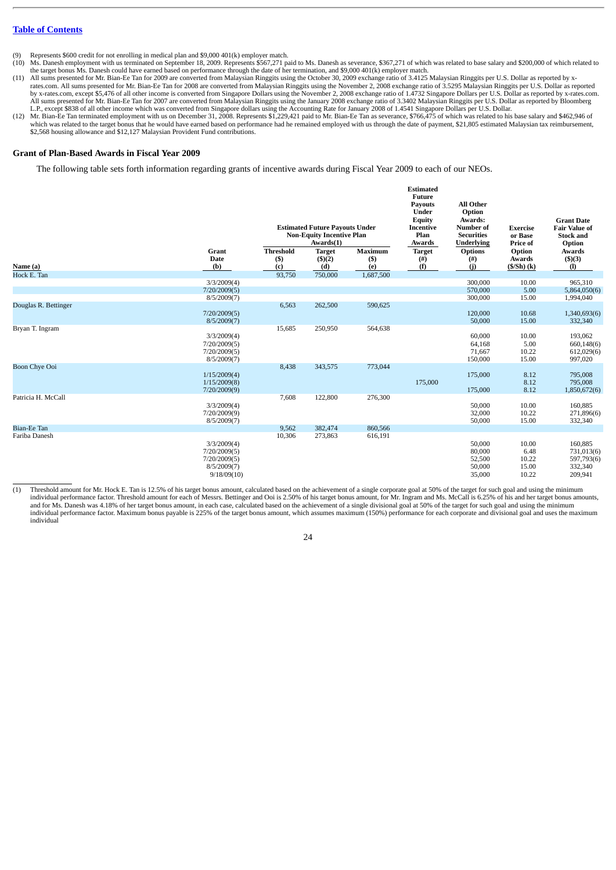- Represents \$600 credit for not enrolling in medical plan and \$9,000 401(k) employer match.
- (10) Ms. Danesh employment with us terminated on September 18, 2009. Represents \$567,271 paid to Ms. Danesh as severance, \$367,271 of which was related to base salary and \$200,000 of which related to the target bonus Ms. D
- rates.com. All sums presented for Mr. Bian-Ee Tan for 2008 are converted from Malaysian Ringgits using the November 2, 2008 exchange ratio of 3.5295 Malaysian Ringgits per U.S. Dollar as reported by x-rates.com.<br>by x-rates
- L.P., except \$838 of all other income which was converted from Singapore dollars using the Accounting Rate for January 2008 of 1.4541 Singapore Dollars per U.S. Dollar.<br>(12) Mr. Bian-Ee Tan terminated employment with us on which was related to the target bonus that he would have earned based on performance had he remained employed with us through the date of payment, \$21,805 estimated Malaysian tax reimbursement, \$2,568 housing allowance and \$12,127 Malaysian Provident Fund contributions.

#### **Grant of Plan-Based Awards in Fiscal Year 2009**

The following table sets forth information regarding grants of incentive awards during Fiscal Year 2009 to each of our NEOs.

|                      |                                                                           | <b>Estimated Future Payouts Under</b><br><b>Non-Equity Incentive Plan</b><br>Awards(1) |                                |                                  |                              | <b>All Other</b><br>Option<br>Awards:<br>Number of<br><b>Securities</b><br><b>Underlying</b> | <b>Exercise</b><br>or Base<br><b>Price of</b> | <b>Grant Date</b><br><b>Fair Value of</b><br><b>Stock and</b><br>Option |
|----------------------|---------------------------------------------------------------------------|----------------------------------------------------------------------------------------|--------------------------------|----------------------------------|------------------------------|----------------------------------------------------------------------------------------------|-----------------------------------------------|-------------------------------------------------------------------------|
| Name (a)             | Grant<br><b>Date</b><br>(b)                                               | <b>Threshold</b><br>$($ \$<br>(c)                                                      | <b>Target</b><br>(5)(2)<br>(d) | <b>Maximum</b><br>$($ \$)<br>(e) | <b>Target</b><br>(# )<br>(f) | <b>Options</b><br>$^{(#)}$<br>(i)                                                            | Option<br>Awards<br>$(S/\text{Sh})$ $(k)$     | Awards<br>$($ \$ $)(3)$<br>(1)                                          |
| Hock E. Tan          |                                                                           | 93,750                                                                                 | 750,000                        | 1,687,500                        |                              |                                                                                              |                                               |                                                                         |
|                      | 3/3/2009(4)<br>7/20/2009(5)                                               |                                                                                        |                                |                                  |                              | 300,000<br>570,000                                                                           | 10.00<br>5.00                                 | 965,310<br>5,864,050(6)                                                 |
|                      | 8/5/2009(7)                                                               |                                                                                        |                                |                                  |                              | 300,000                                                                                      | 15.00                                         | 1,994,040                                                               |
| Douglas R. Bettinger | 7/20/2009(5)<br>8/5/2009(7)                                               | 6,563                                                                                  | 262,500                        | 590,625                          |                              | 120,000<br>50,000                                                                            | 10.68<br>15.00                                | 1,340,693(6)<br>332,340                                                 |
| Bryan T. Ingram      | 3/3/2009(4)<br>7/20/2009(5)<br>7/20/2009(5)<br>8/5/2009(7)                | 15,685                                                                                 | 250,950                        | 564,638                          |                              | 60,000<br>64,168<br>71,667<br>150,000                                                        | 10.00<br>5.00<br>10.22<br>15.00               | 193,062<br>660,148(6)<br>612,029(6)<br>997,020                          |
| <b>Boon Chye Ooi</b> | 1/15/2009(4)<br>1/15/2009(8)<br>7/20/2009(9)                              | 8,438                                                                                  | 343,575                        | 773,044                          | 175,000                      | 175,000<br>175,000                                                                           | 8.12<br>8.12<br>8.12                          | 795,008<br>795,008<br>1,850,672(6)                                      |
| Patricia H. McCall   | 3/3/2009(4)<br>7/20/2009(9)<br>8/5/2009(7)                                | 7,608                                                                                  | 122,800                        | 276,300                          |                              | 50,000<br>32,000<br>50,000                                                                   | 10.00<br>10.22<br>15.00                       | 160,885<br>271,896(6)<br>332,340                                        |
| Bian-Ee Tan          |                                                                           | 9,562                                                                                  | 382,474                        | 860,566                          |                              |                                                                                              |                                               |                                                                         |
| Fariba Danesh        | 3/3/2009(4)<br>7/20/2009(5)<br>7/20/2009(5)<br>8/5/2009(7)<br>9/18/09(10) | 10,306                                                                                 | 273,863                        | 616,191                          |                              | 50,000<br>80,000<br>52,500<br>50,000<br>35,000                                               | 10.00<br>6.48<br>10.22<br>15.00<br>10.22      | 160,885<br>731,013(6)<br>597,793(6)<br>332,340<br>209,941               |

(1) Threshold amount for Mr. Hock E. Tan is 12.5% of his target bonus amount, calculated based on the achievement of a single corporate goal at 50% of the target for such goal and using the minimum individual performance factor. Threshold amount for each of Messrs. Bettinger and Ooi is 2.50% of his target bonus amount, for Mr. Ingram and Ms. McCall is 6.25% of his and her target bonus amounts,<br>and for Ms. Danesh was individual performance factor. Maximum bonus payable is 225% of the target bonus amount, which assumes maximum (150%) performance for each corporate and divisional goal and uses the maximum in the assume maximum (150%) per individual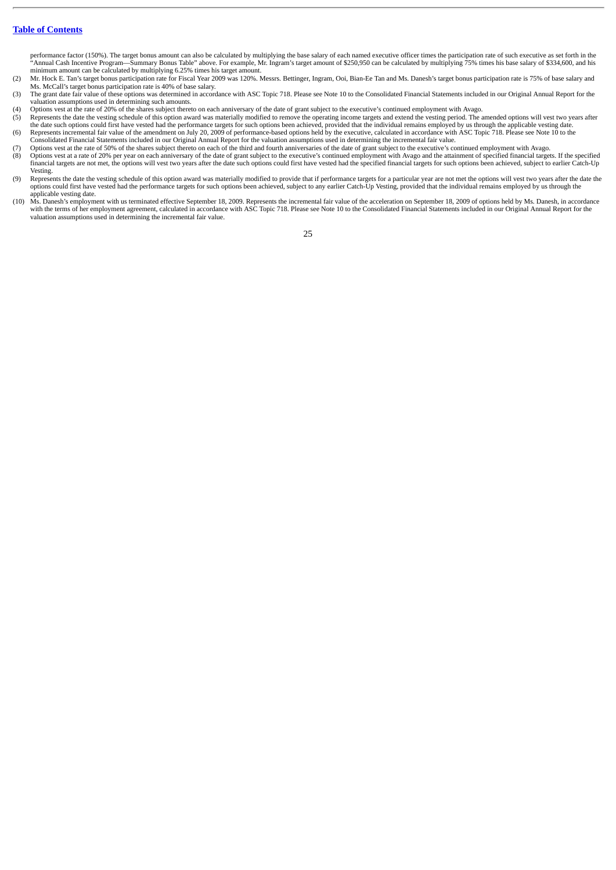performance factor (150%). The target bonus amount can also be calculated by multiplying the base salary of each named executive officer times the participation rate of such executive as set forth in the "Annual Cash Incentive Program—Summary Bonus Table" above. For example, Mr. Ingram's target amount of \$250,950 can be calculated by multiplying 75% times his base salary of \$334,600, and his minimum amount can be calculated by multiplying 6.25% times his target amount.

- (2) Mr. Hock E. Tan's target bonus participation rate for Fiscal Year 2009 was 120%. Messrs. Bettinger, Ingram, Ooi, Bian-Ee Tan and Ms. Danesh's target bonus participation rate is 75% of base salary and Ms. McCall's target bonus participation rate is 40% of base salary.
- (3) The grant date fair value of these options was determined in accordance with ASC Topic 718. Please see Note 10 to the Consolidated Financial Statements included in our Original Annual Report for the valuation assumptions used in determining such amounts.
- (4) Options vest at the rate of 20% of the shares subject thereto on each anniversary of the date of grant subject to the executive's continued employment with Avago.<br>(5) Represents the date the vesting schedule of this op
- (5) Represents the date the vesting schedule of this option award was materially modified to remove the operating income targets and extend the vesting period. The amended options will vest two years after the date such op (6) Represents incremental fair value of the amendment on July 20, 2009 of performance-based options held by the executive, calculated in accordance with ASC Topic 718. Please see Note 10 to the
- Consolidated Financial Statements included in our Original Annual Report for the valuation assumptions used in determining the incremental fair value.<br>(7) Options vest at the rate of 50% of the shares subject thereto on ea
- (8) Options vest at a rate of 20% per year on each anniversary of the date of grant subject to the executive's continued employment with Avago and the attainment of specified financial targets. If the specified financial targets are not met, the options will vest two years after the date such options could first have vested had the specified financial targets for such options been achieved, subject to earlier Catch-Up Vesting.
- (9) Represents the date the vesting schedule of this option award was materially modified to provide that if performance targets for a particular year are not met the options will vest two years after the date the options could first have vested had the performance targets for such options been achieved, subject to any earlier Catch-Up Vesting, provided that the individual remains employed by us through the applicable vesting date.
- (10) Ms. Danesh's employment with us terminated effective September 18, 2009. Represents the incremental fair value of the acceleration on September 18, 2009 of options held by Ms. Danesh, in accordance with ASC Topic 718. valuation assumptions used in determining the incremental fair value.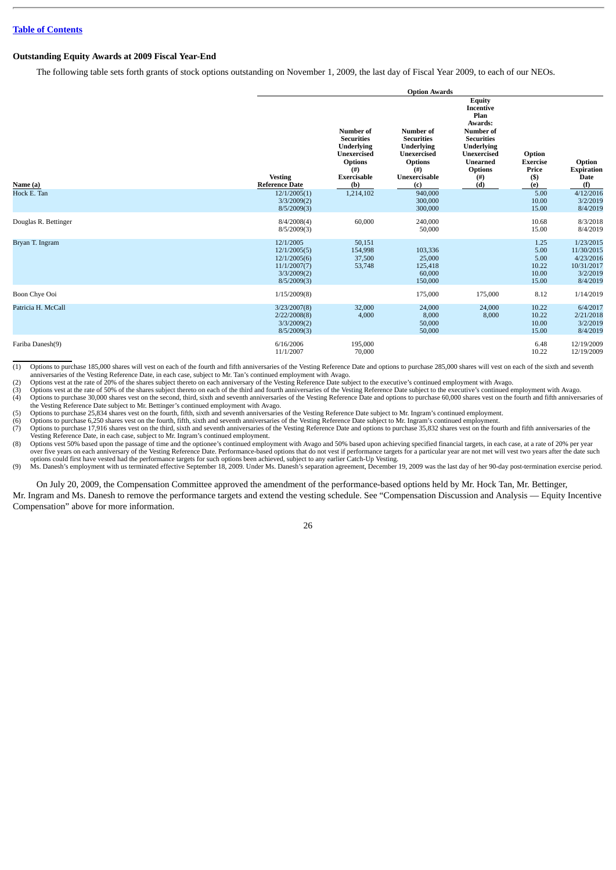## **Outstanding Equity Awards at 2009 Fiscal Year-End**

The following table sets forth grants of stock options outstanding on November 1, 2009, the last day of Fiscal Year 2009, to each of our NEOs.

|                         | <b>Option Awards</b>                                                                    |                                                                                                                                            |                                                                                                                                                  |                                                                                                                                                                             |                                                                               |                                                                                        |
|-------------------------|-----------------------------------------------------------------------------------------|--------------------------------------------------------------------------------------------------------------------------------------------|--------------------------------------------------------------------------------------------------------------------------------------------------|-----------------------------------------------------------------------------------------------------------------------------------------------------------------------------|-------------------------------------------------------------------------------|----------------------------------------------------------------------------------------|
| Name (a)<br>Hock E. Tan | <b>Vesting</b><br><b>Reference Date</b><br>12/1/2005(1)<br>3/3/2009(2)<br>8/5/2009(3)   | Number of<br><b>Securities</b><br>Underlying<br><b>Unexercised</b><br><b>Options</b><br>$^{(#)}$<br><b>Exercisable</b><br>(b)<br>1,214,102 | Number of<br><b>Securities</b><br>Underlying<br>Unexercised<br><b>Options</b><br>$($ #)<br>Unexercisable<br>(c)<br>940,000<br>300,000<br>300,000 | <b>Equity</b><br>Incentive<br>Plan<br>Awards:<br>Number of<br><b>Securities</b><br>Underlying<br><b>Unexercised</b><br><b>Unearned</b><br><b>Options</b><br>$^{(#)}$<br>(d) | Option<br><b>Exercise</b><br>Price<br>$($ \$<br>(e)<br>5.00<br>10.00<br>15.00 | Option<br><b>Expiration</b><br><b>Date</b><br>(f)<br>4/12/2016<br>3/2/2019<br>8/4/2019 |
| Douglas R. Bettinger    | 8/4/2008(4)<br>8/5/2009(3)                                                              | 60,000                                                                                                                                     | 240,000<br>50,000                                                                                                                                |                                                                                                                                                                             | 10.68<br>15.00                                                                | 8/3/2018<br>8/4/2019                                                                   |
| Bryan T. Ingram         | 12/1/2005<br>12/1/2005(5)<br>12/1/2005(6)<br>11/1/2007(7)<br>3/3/2009(2)<br>8/5/2009(3) | 50,151<br>154,998<br>37,500<br>53,748                                                                                                      | 103,336<br>25,000<br>125,418<br>60,000<br>150,000                                                                                                |                                                                                                                                                                             | 1.25<br>5.00<br>5.00<br>10.22<br>10.00<br>15.00                               | 1/23/2015<br>11/30/2015<br>4/23/2016<br>10/31/2017<br>3/2/2019<br>8/4/2019             |
| Boon Chye Ooi           | 1/15/2009(8)                                                                            |                                                                                                                                            | 175,000                                                                                                                                          | 175,000                                                                                                                                                                     | 8.12                                                                          | 1/14/2019                                                                              |
| Patricia H. McCall      | 3/23/2007(8)<br>2/22/2008(8)<br>3/3/2009(2)<br>8/5/2009(3)                              | 32,000<br>4,000                                                                                                                            | 24,000<br>8,000<br>50,000<br>50,000                                                                                                              | 24,000<br>8,000                                                                                                                                                             | 10.22<br>10.22<br>10.00<br>15.00                                              | 6/4/2017<br>2/21/2018<br>3/2/2019<br>8/4/2019                                          |
| Fariba Danesh(9)        | 6/16/2006<br>11/1/2007                                                                  | 195,000<br>70,000                                                                                                                          |                                                                                                                                                  |                                                                                                                                                                             | 6.48<br>10.22                                                                 | 12/19/2009<br>12/19/2009                                                               |
|                         |                                                                                         |                                                                                                                                            |                                                                                                                                                  |                                                                                                                                                                             |                                                                               |                                                                                        |

(1) Options to purchase 185,000 shares will vest on each of the fourth and fifth anniversaries of the Vesting Reference Date and options to purchase 285,000 shares will vest on each of the sixth and seventh anniversaries of the Vesting Reference Date, in each case, subject to Mr. Tan's continued employment with Avago.

(2) Options vest at the rate of 20% of the shares subject thereto on each anniversary of the Vesting Reference Date subject to the executive's continued employment with Avago.<br>
(3) Options vest at the rate of 50% of the sh (3) Options vest at the rate of 50% of the shares subject thereto on each of the third and fourth anniversaries of the Vesting Reference Date subject to the executive's continued employment with Avago.<br>(4) Options to purch

the Vesting Reference Date subject to Mr. Bettinger's continued employment with Avago.

(5) Options to purchase 25,834 shares vest on the fourth, fifth, sixth and seventh anniversaries of the Vesting Reference Date subject to Mr. Ingram's continued employment.<br>(6) Options to purchase 6,250 shares vest on the

(6) Options to purchase 6,250 shares vest on the fourth, fifth, sixth and seventh anniversaries of the Vesting Reference Date subject to Mr. Ingram's continued employment.<br>(7) Options to purchase 17,916 shares vest on the

(7) Options to purchase 17,916 shares vest on the third, sixth and seventh anniversaries of the Vesting Reference Date and options to purchase 35,832 shares vest on the fourth and fifth anniversaries of the Vesting Reference Date, in each case, subject to Mr. Ingram's continued employment.<br>(8) Options vest 50% based upon the passage of time and the optionee's continued employment with Avago and 50% based upon achieving specif

over five years on each anniversary of the Vesting Reference Date. Performance-based options that do not vest if performance targets for a particular year are not met will vest two years after the date such

options could first have vested had the performance targets for such options been achieved, subject to any earlier Catch-Up Vesting.<br>(9) Ms. Danesh's employment with us terminated effective September 18, 2009. Under Ms. Da

On July 20, 2009, the Compensation Committee approved the amendment of the performance-based options held by Mr. Hock Tan, Mr. Bettinger, Mr. Ingram and Ms. Danesh to remove the performance targets and extend the vesting schedule. See "Compensation Discussion and Analysis — Equity Incentive Compensation" above for more information.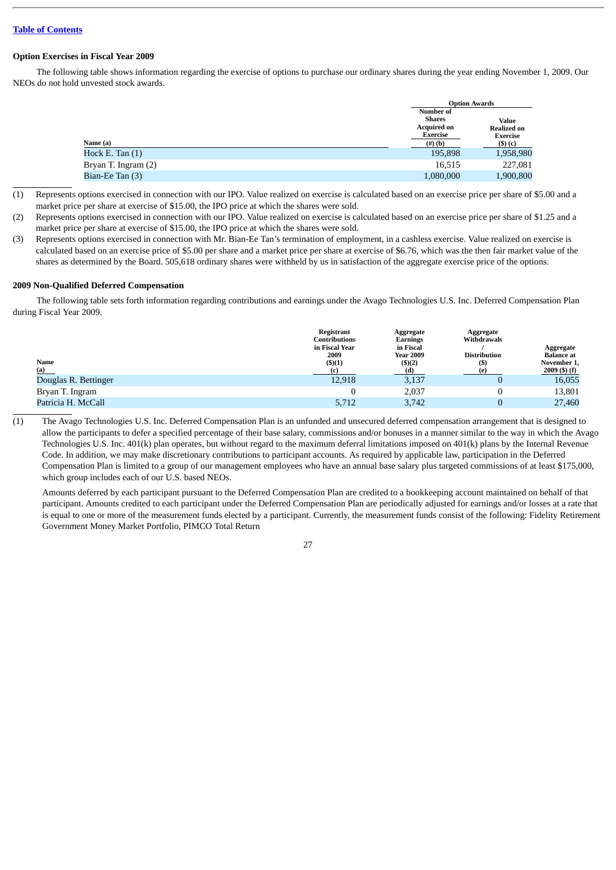#### **Option Exercises in Fiscal Year 2009**

The following table shows information regarding the exercise of options to purchase our ordinary shares during the year ending November 1, 2009. Our NEOs do not hold unvested stock awards.

|                     | <b>Option Awards</b>                                         |                                         |  |
|---------------------|--------------------------------------------------------------|-----------------------------------------|--|
|                     | Number of<br><b>Shares</b><br><b>Acquired on</b><br>Exercise | Value<br><b>Realized on</b><br>Exercise |  |
| Name (a)            | $(\#)$ (b)                                                   | $($ \$) $($ c $)$                       |  |
| Hock E. Tan (1)     | 195,898                                                      | 1,958,980                               |  |
| Bryan T. Ingram (2) | 16,515                                                       | 227,081                                 |  |
| Bian-Ee Tan (3)     | 1,080,000                                                    | 1,900,800                               |  |
|                     |                                                              |                                         |  |

- (1) Represents options exercised in connection with our IPO. Value realized on exercise is calculated based on an exercise price per share of \$5.00 and a market price per share at exercise of \$15.00, the IPO price at which the shares were sold.
- (2) Represents options exercised in connection with our IPO. Value realized on exercise is calculated based on an exercise price per share of \$1.25 and a market price per share at exercise of \$15.00, the IPO price at which the shares were sold.
- (3) Represents options exercised in connection with Mr. Bian-Ee Tan's termination of employment, in a cashless exercise. Value realized on exercise is calculated based on an exercise price of \$5.00 per share and a market price per share at exercise of \$6.76, which was the then fair market value of the shares as determined by the Board. 505,618 ordinary shares were withheld by us in satisfaction of the aggregate exercise price of the options.

#### **2009 Non-Qualified Deferred Compensation**

The following table sets forth information regarding contributions and earnings under the Avago Technologies U.S. Inc. Deferred Compensation Plan during Fiscal Year 2009.

| Name<br>(a)          | Registrant<br><b>Contributions</b><br>in Fiscal Year<br>2009<br>(5)(1) | Aggregate<br>Earnings<br>in Fiscal<br><b>Year 2009</b><br>(3)(2)<br>(d) | Aggregate<br>Withdrawals<br><b>Distribution</b><br>$($ \$<br>(e) | Aggregate<br><b>Balance</b> at<br>November 1,<br>$2009($ \$) $(f)$ |
|----------------------|------------------------------------------------------------------------|-------------------------------------------------------------------------|------------------------------------------------------------------|--------------------------------------------------------------------|
| Douglas R. Bettinger | 12,918                                                                 | 3,137                                                                   |                                                                  | 16,055                                                             |
| Bryan T. Ingram      |                                                                        | 2,037                                                                   |                                                                  | 13,801                                                             |
| Patricia H. McCall   | 5,712                                                                  | 3,742                                                                   |                                                                  | 27,460                                                             |

(1) The Avago Technologies U.S. Inc. Deferred Compensation Plan is an unfunded and unsecured deferred compensation arrangement that is designed to allow the participants to defer a specified percentage of their base salary, commissions and/or bonuses in a manner similar to the way in which the Avago Technologies U.S. Inc. 401(k) plan operates, but without regard to the maximum deferral limitations imposed on 401(k) plans by the Internal Revenue Code. In addition, we may make discretionary contributions to participant accounts. As required by applicable law, participation in the Deferred Compensation Plan is limited to a group of our management employees who have an annual base salary plus targeted commissions of at least \$175,000, which group includes each of our U.S. based NEOs.

Amounts deferred by each participant pursuant to the Deferred Compensation Plan are credited to a bookkeeping account maintained on behalf of that participant. Amounts credited to each participant under the Deferred Compensation Plan are periodically adjusted for earnings and/or losses at a rate that is equal to one or more of the measurement funds elected by a participant. Currently, the measurement funds consist of the following: Fidelity Retirement Government Money Market Portfolio, PIMCO Total Return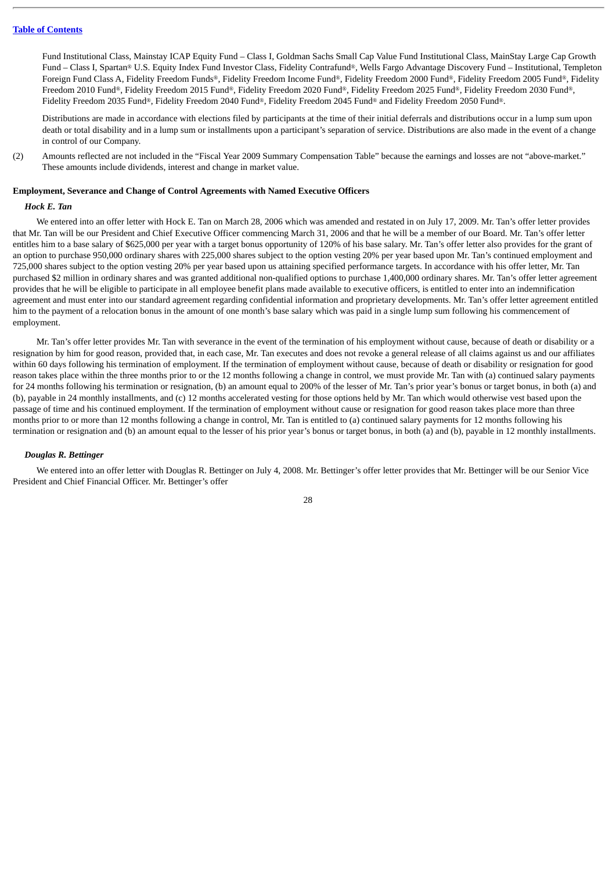Fund Institutional Class, Mainstay ICAP Equity Fund – Class I, Goldman Sachs Small Cap Value Fund Institutional Class, MainStay Large Cap Growth Fund – Class I, Spartan® U.S. Equity Index Fund Investor Class, Fidelity Contrafund®, Wells Fargo Advantage Discovery Fund – Institutional, Templeton Foreign Fund Class A, Fidelity Freedom Funds®, Fidelity Freedom Income Fund®, Fidelity Freedom 2000 Fund®, Fidelity Freedom 2005 Fund®, Fidelity Freedom 2010 Fund®, Fidelity Freedom 2015 Fund®, Fidelity Freedom 2020 Fund®, Fidelity Freedom 2025 Fund®, Fidelity Freedom 2030 Fund®, Fidelity Freedom 2035 Fund®, Fidelity Freedom 2040 Fund®, Fidelity Freedom 2045 Fund® and Fidelity Freedom 2050 Fund®.

Distributions are made in accordance with elections filed by participants at the time of their initial deferrals and distributions occur in a lump sum upon death or total disability and in a lump sum or installments upon a participant's separation of service. Distributions are also made in the event of a change in control of our Company.

(2) Amounts reflected are not included in the "Fiscal Year 2009 Summary Compensation Table" because the earnings and losses are not "above-market." These amounts include dividends, interest and change in market value.

#### **Employment, Severance and Change of Control Agreements with Named Executive Officers**

#### *Hock E. Tan*

We entered into an offer letter with Hock E. Tan on March 28, 2006 which was amended and restated in on July 17, 2009. Mr. Tan's offer letter provides that Mr. Tan will be our President and Chief Executive Officer commencing March 31, 2006 and that he will be a member of our Board. Mr. Tan's offer letter entitles him to a base salary of \$625,000 per year with a target bonus opportunity of 120% of his base salary. Mr. Tan's offer letter also provides for the grant of an option to purchase 950,000 ordinary shares with 225,000 shares subject to the option vesting 20% per year based upon Mr. Tan's continued employment and 725,000 shares subject to the option vesting 20% per year based upon us attaining specified performance targets. In accordance with his offer letter, Mr. Tan purchased \$2 million in ordinary shares and was granted additional non-qualified options to purchase 1,400,000 ordinary shares. Mr. Tan's offer letter agreement provides that he will be eligible to participate in all employee benefit plans made available to executive officers, is entitled to enter into an indemnification agreement and must enter into our standard agreement regarding confidential information and proprietary developments. Mr. Tan's offer letter agreement entitled him to the payment of a relocation bonus in the amount of one month's base salary which was paid in a single lump sum following his commencement of employment.

Mr. Tan's offer letter provides Mr. Tan with severance in the event of the termination of his employment without cause, because of death or disability or a resignation by him for good reason, provided that, in each case, Mr. Tan executes and does not revoke a general release of all claims against us and our affiliates within 60 days following his termination of employment. If the termination of employment without cause, because of death or disability or resignation for good reason takes place within the three months prior to or the 12 months following a change in control, we must provide Mr. Tan with (a) continued salary payments for 24 months following his termination or resignation, (b) an amount equal to 200% of the lesser of Mr. Tan's prior year's bonus or target bonus, in both (a) and (b), payable in 24 monthly installments, and (c) 12 months accelerated vesting for those options held by Mr. Tan which would otherwise vest based upon the passage of time and his continued employment. If the termination of employment without cause or resignation for good reason takes place more than three months prior to or more than 12 months following a change in control, Mr. Tan is entitled to (a) continued salary payments for 12 months following his termination or resignation and (b) an amount equal to the lesser of his prior year's bonus or target bonus, in both (a) and (b), payable in 12 monthly installments.

#### *Douglas R. Bettinger*

We entered into an offer letter with Douglas R. Bettinger on July 4, 2008. Mr. Bettinger's offer letter provides that Mr. Bettinger will be our Senior Vice President and Chief Financial Officer. Mr. Bettinger's offer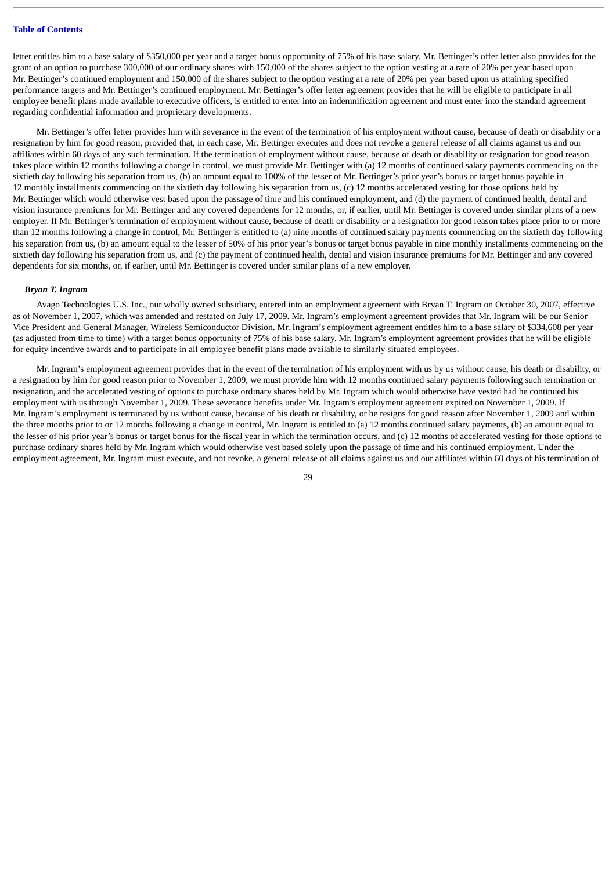letter entitles him to a base salary of \$350,000 per year and a target bonus opportunity of 75% of his base salary. Mr. Bettinger's offer letter also provides for the grant of an option to purchase 300,000 of our ordinary shares with 150,000 of the shares subject to the option vesting at a rate of 20% per year based upon Mr. Bettinger's continued employment and 150,000 of the shares subject to the option vesting at a rate of 20% per year based upon us attaining specified performance targets and Mr. Bettinger's continued employment. Mr. Bettinger's offer letter agreement provides that he will be eligible to participate in all employee benefit plans made available to executive officers, is entitled to enter into an indemnification agreement and must enter into the standard agreement regarding confidential information and proprietary developments.

Mr. Bettinger's offer letter provides him with severance in the event of the termination of his employment without cause, because of death or disability or a resignation by him for good reason, provided that, in each case, Mr. Bettinger executes and does not revoke a general release of all claims against us and our affiliates within 60 days of any such termination. If the termination of employment without cause, because of death or disability or resignation for good reason takes place within 12 months following a change in control, we must provide Mr. Bettinger with (a) 12 months of continued salary payments commencing on the sixtieth day following his separation from us, (b) an amount equal to 100% of the lesser of Mr. Bettinger's prior year's bonus or target bonus payable in 12 monthly installments commencing on the sixtieth day following his separation from us, (c) 12 months accelerated vesting for those options held by Mr. Bettinger which would otherwise vest based upon the passage of time and his continued employment, and (d) the payment of continued health, dental and vision insurance premiums for Mr. Bettinger and any covered dependents for 12 months, or, if earlier, until Mr. Bettinger is covered under similar plans of a new employer. If Mr. Bettinger's termination of employment without cause, because of death or disability or a resignation for good reason takes place prior to or more than 12 months following a change in control, Mr. Bettinger is entitled to (a) nine months of continued salary payments commencing on the sixtieth day following his separation from us, (b) an amount equal to the lesser of 50% of his prior year's bonus or target bonus payable in nine monthly installments commencing on the sixtieth day following his separation from us, and (c) the payment of continued health, dental and vision insurance premiums for Mr. Bettinger and any covered dependents for six months, or, if earlier, until Mr. Bettinger is covered under similar plans of a new employer.

#### *Bryan T. Ingram*

Avago Technologies U.S. Inc., our wholly owned subsidiary, entered into an employment agreement with Bryan T. Ingram on October 30, 2007, effective as of November 1, 2007, which was amended and restated on July 17, 2009. Mr. Ingram's employment agreement provides that Mr. Ingram will be our Senior Vice President and General Manager, Wireless Semiconductor Division. Mr. Ingram's employment agreement entitles him to a base salary of \$334,608 per year (as adjusted from time to time) with a target bonus opportunity of 75% of his base salary. Mr. Ingram's employment agreement provides that he will be eligible for equity incentive awards and to participate in all employee benefit plans made available to similarly situated employees.

Mr. Ingram's employment agreement provides that in the event of the termination of his employment with us by us without cause, his death or disability, or a resignation by him for good reason prior to November 1, 2009, we must provide him with 12 months continued salary payments following such termination or resignation, and the accelerated vesting of options to purchase ordinary shares held by Mr. Ingram which would otherwise have vested had he continued his employment with us through November 1, 2009. These severance benefits under Mr. Ingram's employment agreement expired on November 1, 2009. If Mr. Ingram's employment is terminated by us without cause, because of his death or disability, or he resigns for good reason after November 1, 2009 and within the three months prior to or 12 months following a change in control, Mr. Ingram is entitled to (a) 12 months continued salary payments, (b) an amount equal to the lesser of his prior year's bonus or target bonus for the fiscal year in which the termination occurs, and (c) 12 months of accelerated vesting for those options to purchase ordinary shares held by Mr. Ingram which would otherwise vest based solely upon the passage of time and his continued employment. Under the employment agreement, Mr. Ingram must execute, and not revoke, a general release of all claims against us and our affiliates within 60 days of his termination of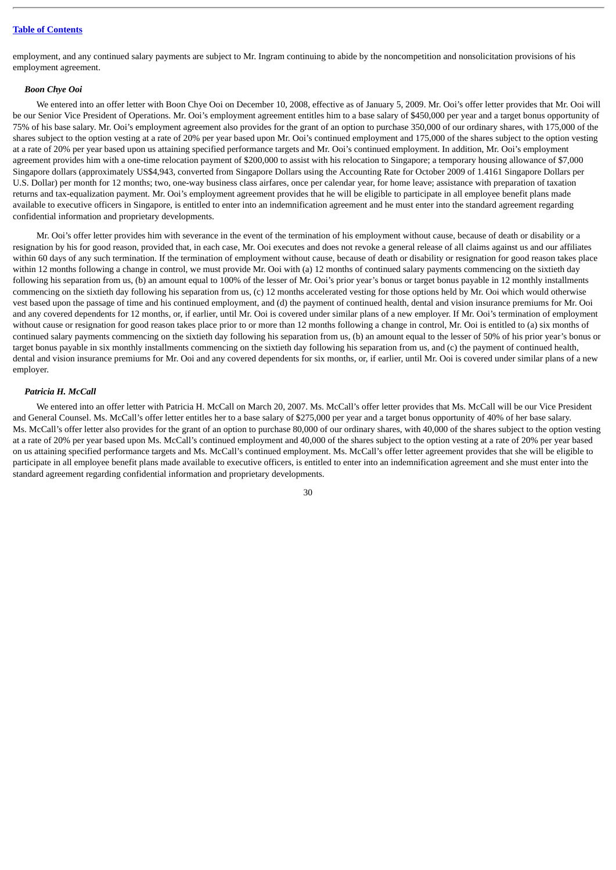employment, and any continued salary payments are subject to Mr. Ingram continuing to abide by the noncompetition and nonsolicitation provisions of his employment agreement.

#### *Boon Chye Ooi*

We entered into an offer letter with Boon Chye Ooi on December 10, 2008, effective as of January 5, 2009. Mr. Ooi's offer letter provides that Mr. Ooi will be our Senior Vice President of Operations. Mr. Ooi's employment agreement entitles him to a base salary of \$450,000 per year and a target bonus opportunity of 75% of his base salary. Mr. Ooi's employment agreement also provides for the grant of an option to purchase 350,000 of our ordinary shares, with 175,000 of the shares subject to the option vesting at a rate of 20% per year based upon Mr. Ooi's continued employment and 175,000 of the shares subject to the option vesting at a rate of 20% per year based upon us attaining specified performance targets and Mr. Ooi's continued employment. In addition, Mr. Ooi's employment agreement provides him with a one-time relocation payment of \$200,000 to assist with his relocation to Singapore; a temporary housing allowance of \$7,000 Singapore dollars (approximately US\$4,943, converted from Singapore Dollars using the Accounting Rate for October 2009 of 1.4161 Singapore Dollars per U.S. Dollar) per month for 12 months; two, one-way business class airfares, once per calendar year, for home leave; assistance with preparation of taxation returns and tax-equalization payment. Mr. Ooi's employment agreement provides that he will be eligible to participate in all employee benefit plans made available to executive officers in Singapore, is entitled to enter into an indemnification agreement and he must enter into the standard agreement regarding confidential information and proprietary developments.

Mr. Ooi's offer letter provides him with severance in the event of the termination of his employment without cause, because of death or disability or a resignation by his for good reason, provided that, in each case, Mr. Ooi executes and does not revoke a general release of all claims against us and our affiliates within 60 days of any such termination. If the termination of employment without cause, because of death or disability or resignation for good reason takes place within 12 months following a change in control, we must provide Mr. Ooi with (a) 12 months of continued salary payments commencing on the sixtieth day following his separation from us, (b) an amount equal to 100% of the lesser of Mr. Ooi's prior year's bonus or target bonus payable in 12 monthly installments commencing on the sixtieth day following his separation from us, (c) 12 months accelerated vesting for those options held by Mr. Ooi which would otherwise vest based upon the passage of time and his continued employment, and (d) the payment of continued health, dental and vision insurance premiums for Mr. Ooi and any covered dependents for 12 months, or, if earlier, until Mr. Ooi is covered under similar plans of a new employer. If Mr. Ooi's termination of employment without cause or resignation for good reason takes place prior to or more than 12 months following a change in control, Mr. Ooi is entitled to (a) six months of continued salary payments commencing on the sixtieth day following his separation from us, (b) an amount equal to the lesser of 50% of his prior year's bonus or target bonus payable in six monthly installments commencing on the sixtieth day following his separation from us, and (c) the payment of continued health, dental and vision insurance premiums for Mr. Ooi and any covered dependents for six months, or, if earlier, until Mr. Ooi is covered under similar plans of a new employer.

#### *Patricia H. McCall*

We entered into an offer letter with Patricia H. McCall on March 20, 2007. Ms. McCall's offer letter provides that Ms. McCall will be our Vice President and General Counsel. Ms. McCall's offer letter entitles her to a base salary of \$275,000 per year and a target bonus opportunity of 40% of her base salary. Ms. McCall's offer letter also provides for the grant of an option to purchase 80,000 of our ordinary shares, with 40,000 of the shares subject to the option vesting at a rate of 20% per year based upon Ms. McCall's continued employment and 40,000 of the shares subject to the option vesting at a rate of 20% per year based on us attaining specified performance targets and Ms. McCall's continued employment. Ms. McCall's offer letter agreement provides that she will be eligible to participate in all employee benefit plans made available to executive officers, is entitled to enter into an indemnification agreement and she must enter into the standard agreement regarding confidential information and proprietary developments.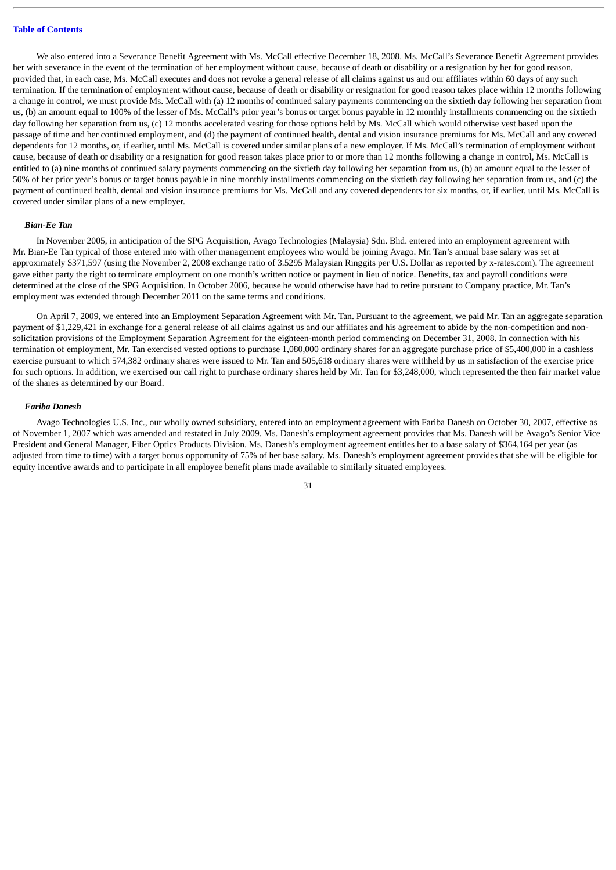We also entered into a Severance Benefit Agreement with Ms. McCall effective December 18, 2008. Ms. McCall's Severance Benefit Agreement provides her with severance in the event of the termination of her employment without cause, because of death or disability or a resignation by her for good reason, provided that, in each case, Ms. McCall executes and does not revoke a general release of all claims against us and our affiliates within 60 days of any such termination. If the termination of employment without cause, because of death or disability or resignation for good reason takes place within 12 months following a change in control, we must provide Ms. McCall with (a) 12 months of continued salary payments commencing on the sixtieth day following her separation from us, (b) an amount equal to 100% of the lesser of Ms. McCall's prior year's bonus or target bonus payable in 12 monthly installments commencing on the sixtieth day following her separation from us, (c) 12 months accelerated vesting for those options held by Ms. McCall which would otherwise vest based upon the passage of time and her continued employment, and (d) the payment of continued health, dental and vision insurance premiums for Ms. McCall and any covered dependents for 12 months, or, if earlier, until Ms. McCall is covered under similar plans of a new employer. If Ms. McCall's termination of employment without cause, because of death or disability or a resignation for good reason takes place prior to or more than 12 months following a change in control, Ms. McCall is entitled to (a) nine months of continued salary payments commencing on the sixtieth day following her separation from us, (b) an amount equal to the lesser of 50% of her prior year's bonus or target bonus payable in nine monthly installments commencing on the sixtieth day following her separation from us, and (c) the payment of continued health, dental and vision insurance premiums for Ms. McCall and any covered dependents for six months, or, if earlier, until Ms. McCall is covered under similar plans of a new employer.

#### *Bian-Ee Tan*

In November 2005, in anticipation of the SPG Acquisition, Avago Technologies (Malaysia) Sdn. Bhd. entered into an employment agreement with Mr. Bian-Ee Tan typical of those entered into with other management employees who would be joining Avago. Mr. Tan's annual base salary was set at approximately \$371,597 (using the November 2, 2008 exchange ratio of 3.5295 Malaysian Ringgits per U.S. Dollar as reported by x-rates.com). The agreement gave either party the right to terminate employment on one month's written notice or payment in lieu of notice. Benefits, tax and payroll conditions were determined at the close of the SPG Acquisition. In October 2006, because he would otherwise have had to retire pursuant to Company practice, Mr. Tan's employment was extended through December 2011 on the same terms and conditions.

On April 7, 2009, we entered into an Employment Separation Agreement with Mr. Tan. Pursuant to the agreement, we paid Mr. Tan an aggregate separation payment of \$1,229,421 in exchange for a general release of all claims against us and our affiliates and his agreement to abide by the non-competition and nonsolicitation provisions of the Employment Separation Agreement for the eighteen-month period commencing on December 31, 2008. In connection with his termination of employment, Mr. Tan exercised vested options to purchase 1,080,000 ordinary shares for an aggregate purchase price of \$5,400,000 in a cashless exercise pursuant to which 574,382 ordinary shares were issued to Mr. Tan and 505,618 ordinary shares were withheld by us in satisfaction of the exercise price for such options. In addition, we exercised our call right to purchase ordinary shares held by Mr. Tan for \$3,248,000, which represented the then fair market value of the shares as determined by our Board.

#### *Fariba Danesh*

Avago Technologies U.S. Inc., our wholly owned subsidiary, entered into an employment agreement with Fariba Danesh on October 30, 2007, effective as of November 1, 2007 which was amended and restated in July 2009. Ms. Danesh's employment agreement provides that Ms. Danesh will be Avago's Senior Vice President and General Manager, Fiber Optics Products Division. Ms. Danesh's employment agreement entitles her to a base salary of \$364,164 per year (as adjusted from time to time) with a target bonus opportunity of 75% of her base salary. Ms. Danesh's employment agreement provides that she will be eligible for equity incentive awards and to participate in all employee benefit plans made available to similarly situated employees.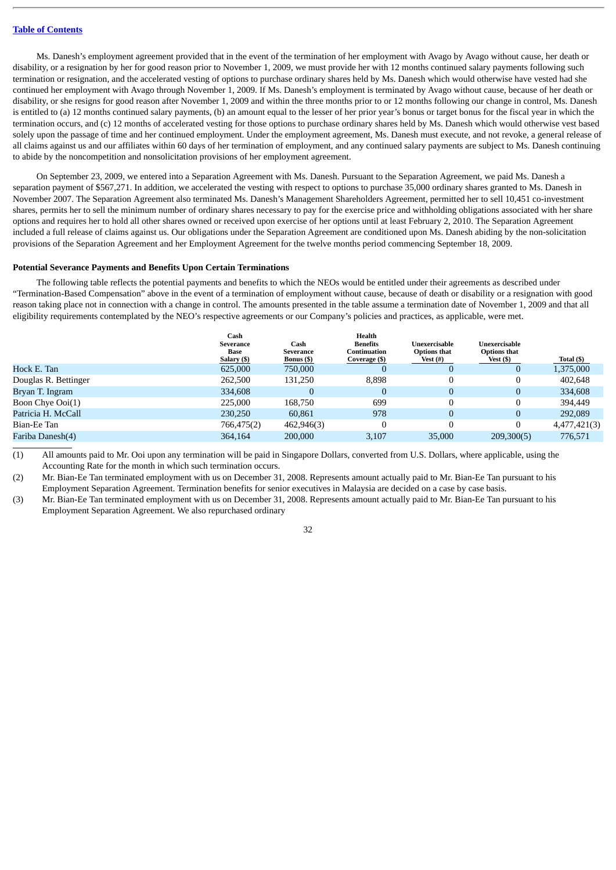Ms. Danesh's employment agreement provided that in the event of the termination of her employment with Avago by Avago without cause, her death or disability, or a resignation by her for good reason prior to November 1, 2009, we must provide her with 12 months continued salary payments following such termination or resignation, and the accelerated vesting of options to purchase ordinary shares held by Ms. Danesh which would otherwise have vested had she continued her employment with Avago through November 1, 2009. If Ms. Danesh's employment is terminated by Avago without cause, because of her death or disability, or she resigns for good reason after November 1, 2009 and within the three months prior to or 12 months following our change in control, Ms. Danesh is entitled to (a) 12 months continued salary payments, (b) an amount equal to the lesser of her prior year's bonus or target bonus for the fiscal year in which the termination occurs, and (c) 12 months of accelerated vesting for those options to purchase ordinary shares held by Ms. Danesh which would otherwise vest based solely upon the passage of time and her continued employment. Under the employment agreement, Ms. Danesh must execute, and not revoke, a general release of all claims against us and our affiliates within 60 days of her termination of employment, and any continued salary payments are subject to Ms. Danesh continuing to abide by the noncompetition and nonsolicitation provisions of her employment agreement.

On September 23, 2009, we entered into a Separation Agreement with Ms. Danesh. Pursuant to the Separation Agreement, we paid Ms. Danesh a separation payment of \$567,271. In addition, we accelerated the vesting with respect to options to purchase 35,000 ordinary shares granted to Ms. Danesh in November 2007. The Separation Agreement also terminated Ms. Danesh's Management Shareholders Agreement, permitted her to sell 10,451 co-investment shares, permits her to sell the minimum number of ordinary shares necessary to pay for the exercise price and withholding obligations associated with her share options and requires her to hold all other shares owned or received upon exercise of her options until at least February 2, 2010. The Separation Agreement included a full release of claims against us. Our obligations under the Separation Agreement are conditioned upon Ms. Danesh abiding by the non-solicitation provisions of the Separation Agreement and her Employment Agreement for the twelve months period commencing September 18, 2009.

#### **Potential Severance Payments and Benefits Upon Certain Terminations**

The following table reflects the potential payments and benefits to which the NEOs would be entitled under their agreements as described under "Termination-Based Compensation" above in the event of a termination of employment without cause, because of death or disability or a resignation with good reason taking place not in connection with a change in control. The amounts presented in the table assume a termination date of November 1, 2009 and that all eligibility requirements contemplated by the NEO's respective agreements or our Company's policies and practices, as applicable, were met.

|                      | Cash<br>Severance<br>Base<br>Salary (\$) | Cash<br>Severance<br><b>Bonus</b> (\$) | Health<br><b>Benefits</b><br>Continuation<br>Coverage (\$) | Unexercisable<br>Options that<br>Vest $(\#)$ | Unexercisable<br><b>Options that</b><br>$Vest($ \$) | Total (\$)   |
|----------------------|------------------------------------------|----------------------------------------|------------------------------------------------------------|----------------------------------------------|-----------------------------------------------------|--------------|
| Hock E. Tan          | 625,000                                  | 750,000                                | O                                                          | U                                            | 0                                                   | 1,375,000    |
| Douglas R. Bettinger | 262,500                                  | 131,250                                | 8,898                                                      | 0                                            | $\mathbf{0}$                                        | 402,648      |
| Bryan T. Ingram      | 334,608                                  |                                        | 0                                                          | $\overline{0}$                               | $\overline{0}$                                      | 334,608      |
| Boon Chye Ooi(1)     | 225,000                                  | 168.750                                | 699                                                        | 0                                            | 0                                                   | 394,449      |
| Patricia H. McCall   | 230,250                                  | 60.861                                 | 978                                                        | $\Omega$                                     | $\overline{0}$                                      | 292,089      |
| Bian-Ee Tan          | 766,475(2)                               | 462,946(3)                             |                                                            | $\Omega$                                     | 0                                                   | 4,477,421(3) |
| Fariba Danesh(4)     | 364,164                                  | 200,000                                | 3,107                                                      | 35,000                                       | 209,300(5)                                          | 776,571      |

(1) All amounts paid to Mr. Ooi upon any termination will be paid in Singapore Dollars, converted from U.S. Dollars, where applicable, using the Accounting Rate for the month in which such termination occurs.

(2) Mr. Bian-Ee Tan terminated employment with us on December 31, 2008. Represents amount actually paid to Mr. Bian-Ee Tan pursuant to his Employment Separation Agreement. Termination benefits for senior executives in Malaysia are decided on a case by case basis.

(3) Mr. Bian-Ee Tan terminated employment with us on December 31, 2008. Represents amount actually paid to Mr. Bian-Ee Tan pursuant to his Employment Separation Agreement. We also repurchased ordinary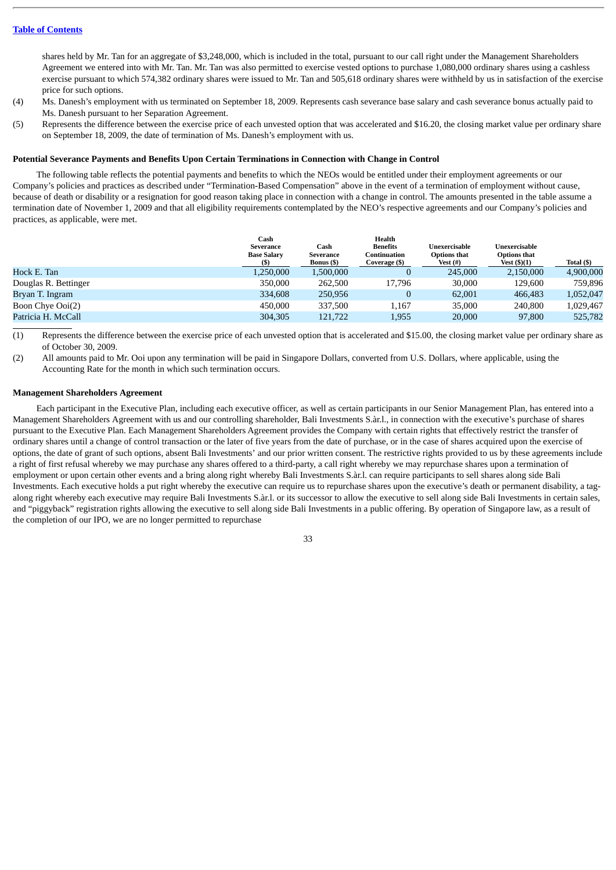shares held by Mr. Tan for an aggregate of \$3,248,000, which is included in the total, pursuant to our call right under the Management Shareholders Agreement we entered into with Mr. Tan. Mr. Tan was also permitted to exercise vested options to purchase 1,080,000 ordinary shares using a cashless exercise pursuant to which 574,382 ordinary shares were issued to Mr. Tan and 505,618 ordinary shares were withheld by us in satisfaction of the exercise price for such options.

- (4) Ms. Danesh's employment with us terminated on September 18, 2009. Represents cash severance base salary and cash severance bonus actually paid to Ms. Danesh pursuant to her Separation Agreement.
- (5) Represents the difference between the exercise price of each unvested option that was accelerated and \$16.20, the closing market value per ordinary share on September 18, 2009, the date of termination of Ms. Danesh's employment with us.

#### **Potential Severance Payments and Benefits Upon Certain Terminations in Connection with Change in Control**

The following table reflects the potential payments and benefits to which the NEOs would be entitled under their employment agreements or our Company's policies and practices as described under "Termination-Based Compensation" above in the event of a termination of employment without cause, because of death or disability or a resignation for good reason taking place in connection with a change in control. The amounts presented in the table assume a termination date of November 1, 2009 and that all eligibility requirements contemplated by the NEO's respective agreements and our Company's policies and practices, as applicable, were met.

|                      | Cash<br>Severance<br><b>Base Salary</b><br>(5) | Cash<br>Severance<br><b>Bonus</b> (\$) | Health<br><b>Benefits</b><br>Continuation<br>Coverage (\$) | Unexercisable<br><b>Options that</b><br>Vest $(\#)$ | Unexercisable<br><b>Options that</b><br>Vest (\$)(1) | Total (\$) |
|----------------------|------------------------------------------------|----------------------------------------|------------------------------------------------------------|-----------------------------------------------------|------------------------------------------------------|------------|
| Hock E. Tan          | 1,250,000                                      | 1,500,000                              |                                                            | 245,000                                             | 2,150,000                                            | 4,900,000  |
| Douglas R. Bettinger | 350,000                                        | 262,500                                | 17,796                                                     | 30,000                                              | 129.600                                              | 759,896    |
| Bryan T. Ingram      | 334,608                                        | 250,956                                | 0                                                          | 62,001                                              | 466,483                                              | 1,052,047  |
| Boon Chye Ooi(2)     | 450,000                                        | 337,500                                | 1,167                                                      | 35,000                                              | 240,800                                              | 1,029,467  |
| Patricia H. McCall   | 304,305                                        | 121,722                                | 1,955                                                      | 20,000                                              | 97,800                                               | 525,782    |

(1) Represents the difference between the exercise price of each unvested option that is accelerated and \$15.00, the closing market value per ordinary share as of October 30, 2009.

(2) All amounts paid to Mr. Ooi upon any termination will be paid in Singapore Dollars, converted from U.S. Dollars, where applicable, using the Accounting Rate for the month in which such termination occurs.

#### **Management Shareholders Agreement**

Each participant in the Executive Plan, including each executive officer, as well as certain participants in our Senior Management Plan, has entered into a Management Shareholders Agreement with us and our controlling shareholder, Bali Investments S.àr.l., in connection with the executive's purchase of shares pursuant to the Executive Plan. Each Management Shareholders Agreement provides the Company with certain rights that effectively restrict the transfer of ordinary shares until a change of control transaction or the later of five years from the date of purchase, or in the case of shares acquired upon the exercise of options, the date of grant of such options, absent Bali Investments' and our prior written consent. The restrictive rights provided to us by these agreements include a right of first refusal whereby we may purchase any shares offered to a third-party, a call right whereby we may repurchase shares upon a termination of employment or upon certain other events and a bring along right whereby Bali Investments S.àr.l. can require participants to sell shares along side Bali Investments. Each executive holds a put right whereby the executive can require us to repurchase shares upon the executive's death or permanent disability, a tagalong right whereby each executive may require Bali Investments S.àr.l. or its successor to allow the executive to sell along side Bali Investments in certain sales, and "piggyback" registration rights allowing the executive to sell along side Bali Investments in a public offering. By operation of Singapore law, as a result of the completion of our IPO, we are no longer permitted to repurchase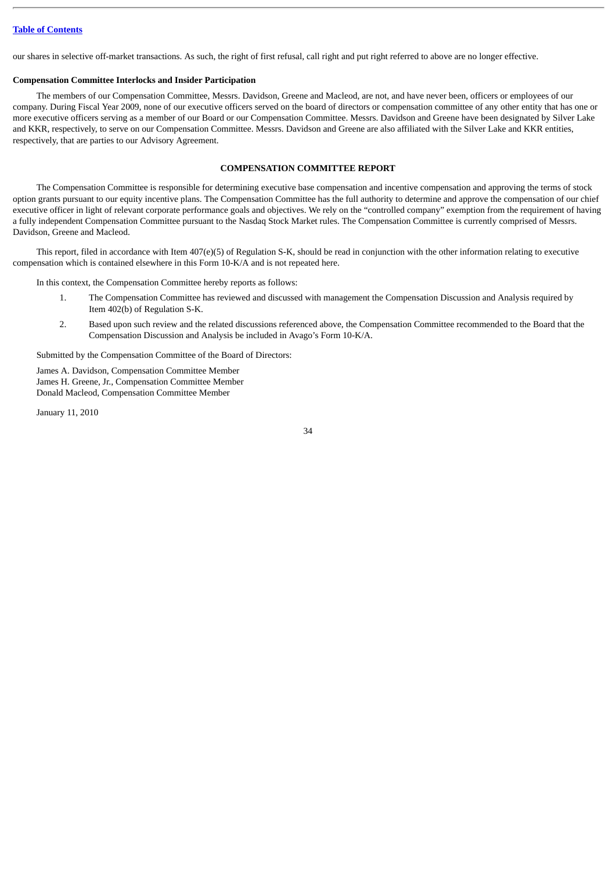our shares in selective off-market transactions. As such, the right of first refusal, call right and put right referred to above are no longer effective.

#### **Compensation Committee Interlocks and Insider Participation**

The members of our Compensation Committee, Messrs. Davidson, Greene and Macleod, are not, and have never been, officers or employees of our company. During Fiscal Year 2009, none of our executive officers served on the board of directors or compensation committee of any other entity that has one or more executive officers serving as a member of our Board or our Compensation Committee. Messrs. Davidson and Greene have been designated by Silver Lake and KKR, respectively, to serve on our Compensation Committee. Messrs. Davidson and Greene are also affiliated with the Silver Lake and KKR entities, respectively, that are parties to our Advisory Agreement.

#### **COMPENSATION COMMITTEE REPORT**

The Compensation Committee is responsible for determining executive base compensation and incentive compensation and approving the terms of stock option grants pursuant to our equity incentive plans. The Compensation Committee has the full authority to determine and approve the compensation of our chief executive officer in light of relevant corporate performance goals and objectives. We rely on the "controlled company" exemption from the requirement of having a fully independent Compensation Committee pursuant to the Nasdaq Stock Market rules. The Compensation Committee is currently comprised of Messrs. Davidson, Greene and Macleod.

This report, filed in accordance with Item 407(e)(5) of Regulation S-K, should be read in conjunction with the other information relating to executive compensation which is contained elsewhere in this Form 10-K/A and is not repeated here.

In this context, the Compensation Committee hereby reports as follows:

- 1. The Compensation Committee has reviewed and discussed with management the Compensation Discussion and Analysis required by Item 402(b) of Regulation S-K.
- 2. Based upon such review and the related discussions referenced above, the Compensation Committee recommended to the Board that the Compensation Discussion and Analysis be included in Avago's Form 10-K/A.

Submitted by the Compensation Committee of the Board of Directors:

James A. Davidson, Compensation Committee Member James H. Greene, Jr., Compensation Committee Member Donald Macleod, Compensation Committee Member

January 11, 2010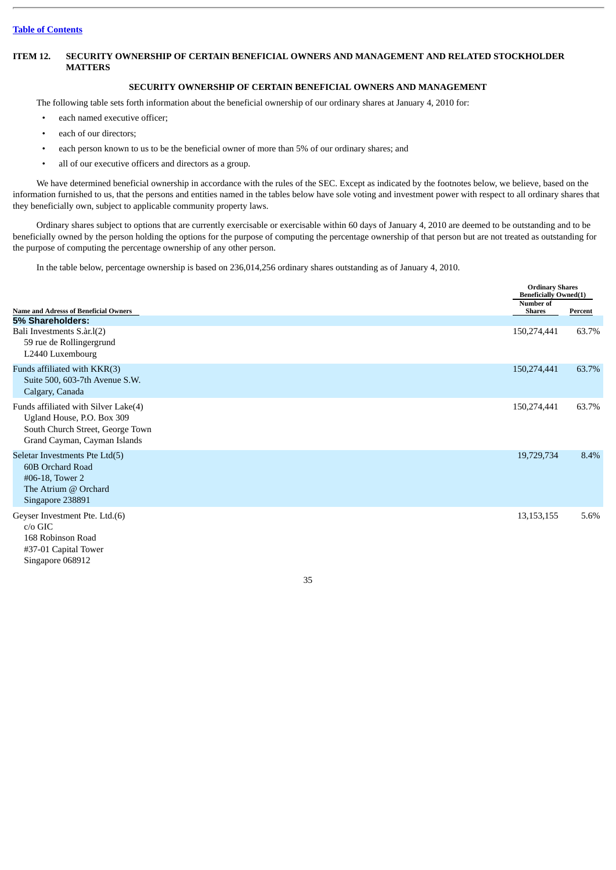# <span id="page-36-0"></span>**ITEM 12. SECURITY OWNERSHIP OF CERTAIN BENEFICIAL OWNERS AND MANAGEMENT AND RELATED STOCKHOLDER MATTERS**

# **SECURITY OWNERSHIP OF CERTAIN BENEFICIAL OWNERS AND MANAGEMENT**

The following table sets forth information about the beneficial ownership of our ordinary shares at January 4, 2010 for:

- each named executive officer;
- each of our directors;

#37-01 Capital Tower Singapore 068912

- each person known to us to be the beneficial owner of more than 5% of our ordinary shares; and
- all of our executive officers and directors as a group.

We have determined beneficial ownership in accordance with the rules of the SEC. Except as indicated by the footnotes below, we believe, based on the information furnished to us, that the persons and entities named in the tables below have sole voting and investment power with respect to all ordinary shares that they beneficially own, subject to applicable community property laws.

Ordinary shares subject to options that are currently exercisable or exercisable within 60 days of January 4, 2010 are deemed to be outstanding and to be beneficially owned by the person holding the options for the purpose of computing the percentage ownership of that person but are not treated as outstanding for the purpose of computing the percentage ownership of any other person.

In the table below, percentage ownership is based on 236,014,256 ordinary shares outstanding as of January 4, 2010.

|                                                                                                                                        | <b>Ordinary Shares</b><br><b>Beneficially Owned(1)</b> |         |
|----------------------------------------------------------------------------------------------------------------------------------------|--------------------------------------------------------|---------|
| <b>Name and Adresss of Beneficial Owners</b>                                                                                           | Number of<br><b>Shares</b>                             | Percent |
| 5% Shareholders:<br>Bali Investments S.àr.l(2)                                                                                         | 150,274,441                                            | 63.7%   |
| 59 rue de Rollingergrund<br>L2440 Luxembourg                                                                                           |                                                        |         |
| Funds affiliated with KKR(3)<br>Suite 500, 603-7th Avenue S.W.<br>Calgary, Canada                                                      | 150,274,441                                            | 63.7%   |
| Funds affiliated with Silver Lake(4)<br>Ugland House, P.O. Box 309<br>South Church Street, George Town<br>Grand Cayman, Cayman Islands | 150,274,441                                            | 63.7%   |
| Seletar Investments Pte Ltd(5)<br>60B Orchard Road<br>#06-18, Tower 2<br>The Atrium @ Orchard<br>Singapore 238891                      | 19,729,734                                             | 8.4%    |
| Geyser Investment Pte. Ltd.(6)<br>$c/o$ GIC<br>168 Robinson Road                                                                       | 13, 153, 155                                           | 5.6%    |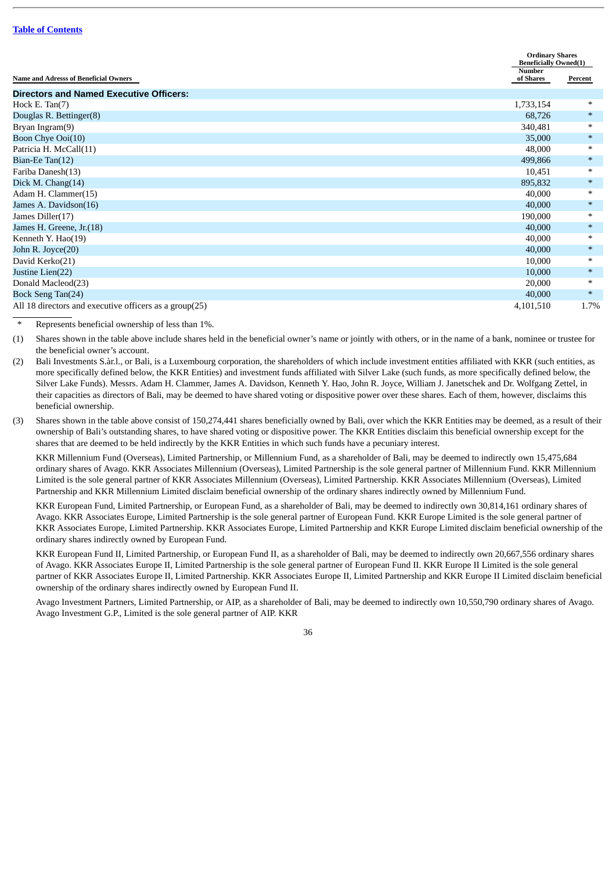|                                                        | <b>Ordinary Shares</b><br><b>Beneficially Owned(1)</b><br><b>Number</b> |         |
|--------------------------------------------------------|-------------------------------------------------------------------------|---------|
| <b>Name and Adresss of Beneficial Owners</b>           | of Shares                                                               | Percent |
| <b>Directors and Named Executive Officers:</b>         |                                                                         |         |
| Hock E. Tan $(7)$                                      | 1,733,154                                                               | $\ast$  |
| Douglas R. Bettinger(8)                                | 68,726                                                                  | $\ast$  |
| Bryan Ingram(9)                                        | 340,481                                                                 | $\ast$  |
| Boon Chye Ooi(10)                                      | 35,000                                                                  | $\ast$  |
| Patricia H. McCall(11)                                 | 48,000                                                                  | *       |
| Bian-Ee Tan(12)                                        | 499,866                                                                 | $\ast$  |
| Fariba Danesh(13)                                      | 10,451                                                                  | $\ast$  |
| Dick M. Chang(14)                                      | 895,832                                                                 | $\ast$  |
| Adam H. Clammer(15)                                    | 40,000                                                                  | $\ast$  |
| James A. Davidson(16)                                  | 40,000                                                                  | $\ast$  |
| James Diller(17)                                       | 190,000                                                                 | $\ast$  |
| James H. Greene, Jr.(18)                               | 40,000                                                                  | $\ast$  |
| Kenneth Y. Hao(19)                                     | 40,000                                                                  | $\ast$  |
| John R. Joyce(20)                                      | 40,000                                                                  | $\ast$  |
| David Kerko(21)                                        | 10,000                                                                  | $\ast$  |
| Justine Lien(22)                                       | 10,000                                                                  | $\ast$  |
| Donald Macleod(23)                                     | 20,000                                                                  | $\ast$  |
| Bock Seng Tan(24)                                      | 40,000                                                                  | $\ast$  |
| All 18 directors and executive officers as a group(25) | 4,101,510                                                               | 1.7%    |

Represents beneficial ownership of less than 1%.

(1) Shares shown in the table above include shares held in the beneficial owner's name or jointly with others, or in the name of a bank, nominee or trustee for the beneficial owner's account.

(2) Bali Investments S.àr.l., or Bali, is a Luxembourg corporation, the shareholders of which include investment entities affiliated with KKR (such entities, as more specifically defined below, the KKR Entities) and investment funds affiliated with Silver Lake (such funds, as more specifically defined below, the Silver Lake Funds). Messrs. Adam H. Clammer, James A. Davidson, Kenneth Y. Hao, John R. Joyce, William J. Janetschek and Dr. Wolfgang Zettel, in their capacities as directors of Bali, may be deemed to have shared voting or dispositive power over these shares. Each of them, however, disclaims this beneficial ownership.

(3) Shares shown in the table above consist of 150,274,441 shares beneficially owned by Bali, over which the KKR Entities may be deemed, as a result of their ownership of Bali's outstanding shares, to have shared voting or dispositive power. The KKR Entities disclaim this beneficial ownership except for the shares that are deemed to be held indirectly by the KKR Entities in which such funds have a pecuniary interest.

KKR Millennium Fund (Overseas), Limited Partnership, or Millennium Fund, as a shareholder of Bali, may be deemed to indirectly own 15,475,684 ordinary shares of Avago. KKR Associates Millennium (Overseas), Limited Partnership is the sole general partner of Millennium Fund. KKR Millennium Limited is the sole general partner of KKR Associates Millennium (Overseas), Limited Partnership. KKR Associates Millennium (Overseas), Limited Partnership and KKR Millennium Limited disclaim beneficial ownership of the ordinary shares indirectly owned by Millennium Fund.

KKR European Fund, Limited Partnership, or European Fund, as a shareholder of Bali, may be deemed to indirectly own 30,814,161 ordinary shares of Avago. KKR Associates Europe, Limited Partnership is the sole general partner of European Fund. KKR Europe Limited is the sole general partner of KKR Associates Europe, Limited Partnership. KKR Associates Europe, Limited Partnership and KKR Europe Limited disclaim beneficial ownership of the ordinary shares indirectly owned by European Fund.

KKR European Fund II, Limited Partnership, or European Fund II, as a shareholder of Bali, may be deemed to indirectly own 20,667,556 ordinary shares of Avago. KKR Associates Europe II, Limited Partnership is the sole general partner of European Fund II. KKR Europe II Limited is the sole general partner of KKR Associates Europe II, Limited Partnership. KKR Associates Europe II, Limited Partnership and KKR Europe II Limited disclaim beneficial ownership of the ordinary shares indirectly owned by European Fund II.

Avago Investment Partners, Limited Partnership, or AIP, as a shareholder of Bali, may be deemed to indirectly own 10,550,790 ordinary shares of Avago. Avago Investment G.P., Limited is the sole general partner of AIP. KKR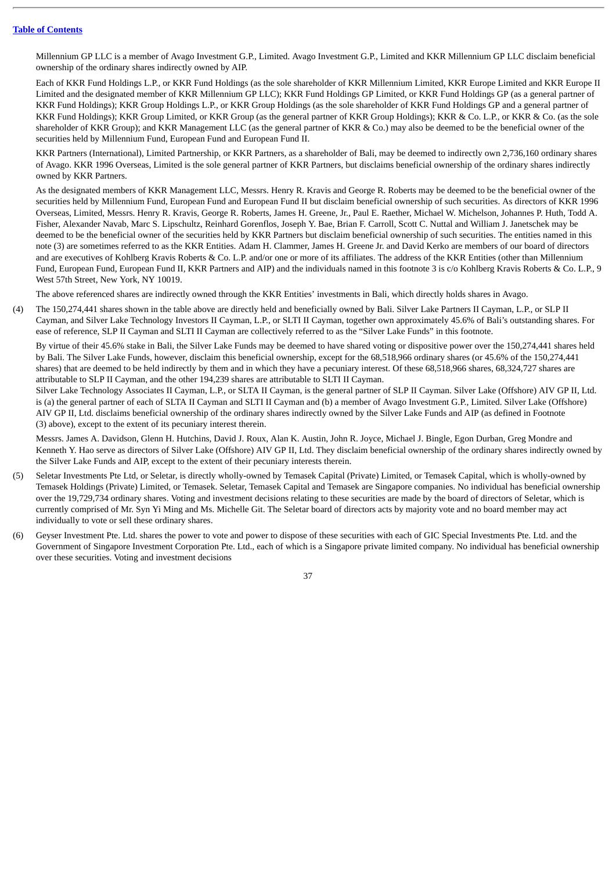Millennium GP LLC is a member of Avago Investment G.P., Limited. Avago Investment G.P., Limited and KKR Millennium GP LLC disclaim beneficial ownership of the ordinary shares indirectly owned by AIP.

Each of KKR Fund Holdings L.P., or KKR Fund Holdings (as the sole shareholder of KKR Millennium Limited, KKR Europe Limited and KKR Europe II Limited and the designated member of KKR Millennium GP LLC); KKR Fund Holdings GP Limited, or KKR Fund Holdings GP (as a general partner of KKR Fund Holdings); KKR Group Holdings L.P., or KKR Group Holdings (as the sole shareholder of KKR Fund Holdings GP and a general partner of KKR Fund Holdings); KKR Group Limited, or KKR Group (as the general partner of KKR Group Holdings); KKR & Co. L.P., or KKR & Co. (as the sole shareholder of KKR Group); and KKR Management LLC (as the general partner of KKR & Co.) may also be deemed to be the beneficial owner of the securities held by Millennium Fund, European Fund and European Fund II.

KKR Partners (International), Limited Partnership, or KKR Partners, as a shareholder of Bali, may be deemed to indirectly own 2,736,160 ordinary shares of Avago. KKR 1996 Overseas, Limited is the sole general partner of KKR Partners, but disclaims beneficial ownership of the ordinary shares indirectly owned by KKR Partners.

As the designated members of KKR Management LLC, Messrs. Henry R. Kravis and George R. Roberts may be deemed to be the beneficial owner of the securities held by Millennium Fund, European Fund and European Fund II but disclaim beneficial ownership of such securities. As directors of KKR 1996 Overseas, Limited, Messrs. Henry R. Kravis, George R. Roberts, James H. Greene, Jr., Paul E. Raether, Michael W. Michelson, Johannes P. Huth, Todd A. Fisher, Alexander Navab, Marc S. Lipschultz, Reinhard Gorenflos, Joseph Y. Bae, Brian F. Carroll, Scott C. Nuttal and William J. Janetschek may be deemed to be the beneficial owner of the securities held by KKR Partners but disclaim beneficial ownership of such securities. The entities named in this note (3) are sometimes referred to as the KKR Entities. Adam H. Clammer, James H. Greene Jr. and David Kerko are members of our board of directors and are executives of Kohlberg Kravis Roberts & Co. L.P. and/or one or more of its affiliates. The address of the KKR Entities (other than Millennium Fund, European Fund, European Fund II, KKR Partners and AIP) and the individuals named in this footnote 3 is c/o Kohlberg Kravis Roberts & Co. L.P., 9 West 57th Street, New York, NY 10019.

The above referenced shares are indirectly owned through the KKR Entities' investments in Bali, which directly holds shares in Avago.

(4) The 150,274,441 shares shown in the table above are directly held and beneficially owned by Bali. Silver Lake Partners II Cayman, L.P., or SLP II Cayman, and Silver Lake Technology Investors II Cayman, L.P., or SLTI II Cayman, together own approximately 45.6% of Bali's outstanding shares. For ease of reference, SLP II Cayman and SLTI II Cayman are collectively referred to as the "Silver Lake Funds" in this footnote.

By virtue of their 45.6% stake in Bali, the Silver Lake Funds may be deemed to have shared voting or dispositive power over the 150,274,441 shares held by Bali. The Silver Lake Funds, however, disclaim this beneficial ownership, except for the 68,518,966 ordinary shares (or 45.6% of the 150,274,441 shares) that are deemed to be held indirectly by them and in which they have a pecuniary interest. Of these 68,518,966 shares, 68,324,727 shares are attributable to SLP II Cayman, and the other 194,239 shares are attributable to SLTI II Cayman.

Silver Lake Technology Associates II Cayman, L.P., or SLTA II Cayman, is the general partner of SLP II Cayman. Silver Lake (Offshore) AIV GP II, Ltd. is (a) the general partner of each of SLTA II Cayman and SLTI II Cayman and (b) a member of Avago Investment G.P., Limited. Silver Lake (Offshore) AIV GP II, Ltd. disclaims beneficial ownership of the ordinary shares indirectly owned by the Silver Lake Funds and AIP (as defined in Footnote (3) above), except to the extent of its pecuniary interest therein.

Messrs. James A. Davidson, Glenn H. Hutchins, David J. Roux, Alan K. Austin, John R. Joyce, Michael J. Bingle, Egon Durban, Greg Mondre and Kenneth Y. Hao serve as directors of Silver Lake (Offshore) AIV GP II, Ltd. They disclaim beneficial ownership of the ordinary shares indirectly owned by the Silver Lake Funds and AIP, except to the extent of their pecuniary interests therein.

- (5) Seletar Investments Pte Ltd, or Seletar, is directly wholly-owned by Temasek Capital (Private) Limited, or Temasek Capital, which is wholly-owned by Temasek Holdings (Private) Limited, or Temasek. Seletar, Temasek Capital and Temasek are Singapore companies. No individual has beneficial ownership over the 19,729,734 ordinary shares. Voting and investment decisions relating to these securities are made by the board of directors of Seletar, which is currently comprised of Mr. Syn Yi Ming and Ms. Michelle Git. The Seletar board of directors acts by majority vote and no board member may act individually to vote or sell these ordinary shares.
- (6) Geyser Investment Pte. Ltd. shares the power to vote and power to dispose of these securities with each of GIC Special Investments Pte. Ltd. and the Government of Singapore Investment Corporation Pte. Ltd., each of which is a Singapore private limited company. No individual has beneficial ownership over these securities. Voting and investment decisions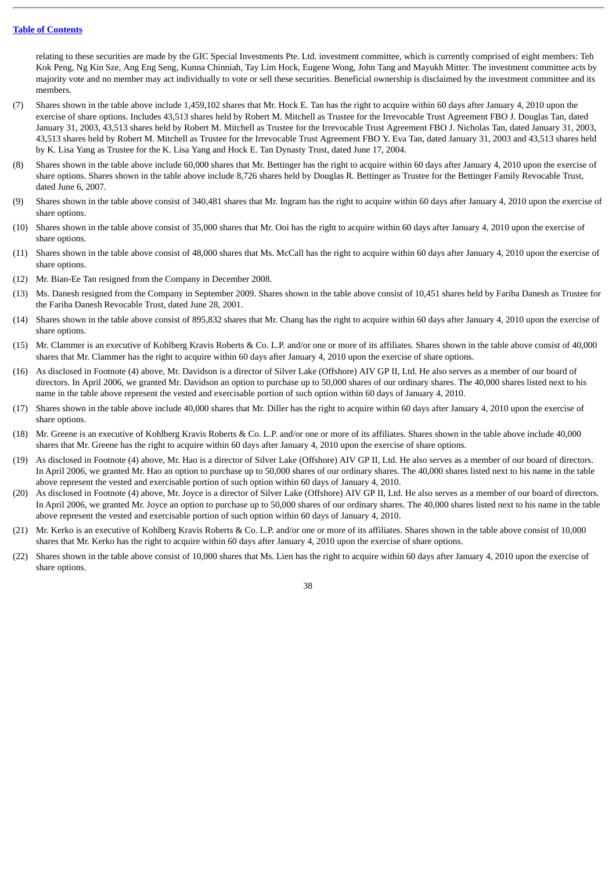relating to these securities are made by the GIC Special Investments Pte. Ltd. investment committee, which is currently comprised of eight members: Teh Kok Peng, Ng Kin Sze, Ang Eng Seng, Kunna Chinniah, Tay Lim Hock, Eugene Wong, John Tang and Mayukh Mitter. The investment committee acts by majority vote and no member may act individually to vote or sell these securities. Beneficial ownership is disclaimed by the investment committee and its members.

- (7) Shares shown in the table above include 1,459,102 shares that Mr. Hock E. Tan has the right to acquire within 60 days after January 4, 2010 upon the exercise of share options. Includes 43,513 shares held by Robert M. Mitchell as Trustee for the Irrevocable Trust Agreement FBO J. Douglas Tan, dated January 31, 2003, 43,513 shares held by Robert M. Mitchell as Trustee for the Irrevocable Trust Agreement FBO J. Nicholas Tan, dated January 31, 2003, 43,513 shares held by Robert M. Mitchell as Trustee for the Irrevocable Trust Agreement FBO Y. Eva Tan, dated January 31, 2003 and 43,513 shares held by K. Lisa Yang as Trustee for the K. Lisa Yang and Hock E. Tan Dynasty Trust, dated June 17, 2004.
- (8) Shares shown in the table above include 60,000 shares that Mr. Bettinger has the right to acquire within 60 days after January 4, 2010 upon the exercise of share options. Shares shown in the table above include 8,726 shares held by Douglas R. Bettinger as Trustee for the Bettinger Family Revocable Trust, dated June 6, 2007.
- Shares shown in the table above consist of 340,481 shares that Mr. Ingram has the right to acquire within 60 days after January 4, 2010 upon the exercise of share options.
- (10) Shares shown in the table above consist of 35,000 shares that Mr. Ooi has the right to acquire within 60 days after January 4, 2010 upon the exercise of share options.
- (11) Shares shown in the table above consist of 48,000 shares that Ms. McCall has the right to acquire within 60 days after January 4, 2010 upon the exercise of share options.
- (12) Mr. Bian-Ee Tan resigned from the Company in December 2008.
- (13) Ms. Danesh resigned from the Company in September 2009. Shares shown in the table above consist of 10,451 shares held by Fariba Danesh as Trustee for the Fariba Danesh Revocable Trust, dated June 28, 2001.
- (14) Shares shown in the table above consist of 895,832 shares that Mr. Chang has the right to acquire within 60 days after January 4, 2010 upon the exercise of share options.
- (15) Mr. Clammer is an executive of Kohlberg Kravis Roberts & Co. L.P. and/or one or more of its affiliates. Shares shown in the table above consist of 40,000 shares that Mr. Clammer has the right to acquire within 60 days after January 4, 2010 upon the exercise of share options.
- (16) As disclosed in Footnote (4) above, Mr. Davidson is a director of Silver Lake (Offshore) AIV GP II, Ltd. He also serves as a member of our board of directors. In April 2006, we granted Mr. Davidson an option to purchase up to 50,000 shares of our ordinary shares. The 40,000 shares listed next to his name in the table above represent the vested and exercisable portion of such option within 60 days of January 4, 2010.
- (17) Shares shown in the table above include 40,000 shares that Mr. Diller has the right to acquire within 60 days after January 4, 2010 upon the exercise of share options.
- (18) Mr. Greene is an executive of Kohlberg Kravis Roberts & Co. L.P. and/or one or more of its affiliates. Shares shown in the table above include 40,000 shares that Mr. Greene has the right to acquire within 60 days after January 4, 2010 upon the exercise of share options.
- (19) As disclosed in Footnote (4) above, Mr. Hao is a director of Silver Lake (Offshore) AIV GP II, Ltd. He also serves as a member of our board of directors. In April 2006, we granted Mr. Hao an option to purchase up to 50,000 shares of our ordinary shares. The 40,000 shares listed next to his name in the table above represent the vested and exercisable portion of such option within 60 days of January 4, 2010.
- (20) As disclosed in Footnote (4) above, Mr. Joyce is a director of Silver Lake (Offshore) AIV GP II, Ltd. He also serves as a member of our board of directors. In April 2006, we granted Mr. Joyce an option to purchase up to 50,000 shares of our ordinary shares. The 40,000 shares listed next to his name in the table above represent the vested and exercisable portion of such option within 60 days of January 4, 2010.
- (21) Mr. Kerko is an executive of Kohlberg Kravis Roberts & Co. L.P. and/or one or more of its affiliates. Shares shown in the table above consist of 10,000 shares that Mr. Kerko has the right to acquire within 60 days after January 4, 2010 upon the exercise of share options.
- (22) Shares shown in the table above consist of 10,000 shares that Ms. Lien has the right to acquire within 60 days after January 4, 2010 upon the exercise of share options.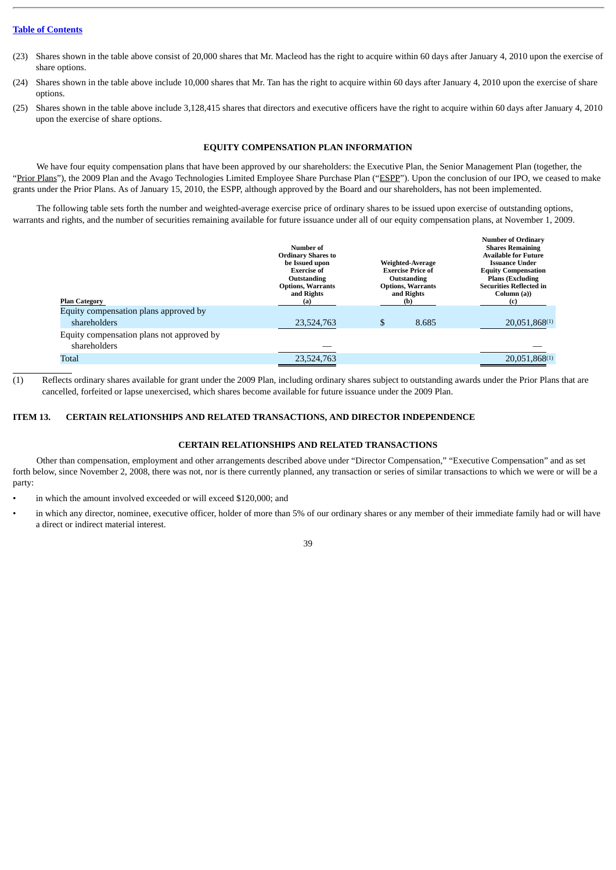- (23) Shares shown in the table above consist of 20,000 shares that Mr. Macleod has the right to acquire within 60 days after January 4, 2010 upon the exercise of share options.
- (24) Shares shown in the table above include 10,000 shares that Mr. Tan has the right to acquire within 60 days after January 4, 2010 upon the exercise of share options.
- (25) Shares shown in the table above include 3,128,415 shares that directors and executive officers have the right to acquire within 60 days after January 4, 2010 upon the exercise of share options.

#### **EQUITY COMPENSATION PLAN INFORMATION**

We have four equity compensation plans that have been approved by our shareholders: the Executive Plan, the Senior Management Plan (together, the "Prior Plans"), the 2009 Plan and the Avago Technologies Limited Employee Share Purchase Plan ("ESPP"). Upon the conclusion of our IPO, we ceased to make grants under the Prior Plans. As of January 15, 2010, the ESPP, although approved by the Board and our shareholders, has not been implemented.

The following table sets forth the number and weighted-average exercise price of ordinary shares to be issued upon exercise of outstanding options, warrants and rights, and the number of securities remaining available for future issuance under all of our equity compensation plans, at November 1, 2009.

| Number of<br><b>Ordinary Shares to</b><br>be Issued upon<br>Weighted-Average<br><b>Exercise Price of</b><br><b>Exercise of</b><br>Outstanding<br>Outstanding<br><b>Options, Warrants</b><br><b>Options, Warrants</b><br>and Rights<br>and Rights<br><b>Plan Category</b><br>(b)<br>(a) | <b>Number of Ordinary</b><br><b>Shares Remaining</b><br><b>Available for Future</b><br><b>Issuance Under</b><br><b>Equity Compensation</b><br><b>Plans (Excluding</b><br><b>Securities Reflected in</b><br>Column (a))<br>(c) |
|----------------------------------------------------------------------------------------------------------------------------------------------------------------------------------------------------------------------------------------------------------------------------------------|-------------------------------------------------------------------------------------------------------------------------------------------------------------------------------------------------------------------------------|
| Equity compensation plans approved by                                                                                                                                                                                                                                                  |                                                                                                                                                                                                                               |
| \$<br>8.685<br>shareholders<br>23,524,763                                                                                                                                                                                                                                              | 20,051,868(1)                                                                                                                                                                                                                 |
| Equity compensation plans not approved by<br>shareholders                                                                                                                                                                                                                              |                                                                                                                                                                                                                               |
| Total<br>23,524,763                                                                                                                                                                                                                                                                    | 20,051,868(1)                                                                                                                                                                                                                 |

(1) Reflects ordinary shares available for grant under the 2009 Plan, including ordinary shares subject to outstanding awards under the Prior Plans that are cancelled, forfeited or lapse unexercised, which shares become available for future issuance under the 2009 Plan.

#### <span id="page-40-0"></span>**ITEM 13. CERTAIN RELATIONSHIPS AND RELATED TRANSACTIONS, AND DIRECTOR INDEPENDENCE**

#### **CERTAIN RELATIONSHIPS AND RELATED TRANSACTIONS**

Other than compensation, employment and other arrangements described above under "Director Compensation," "Executive Compensation" and as set forth below, since November 2, 2008, there was not, nor is there currently planned, any transaction or series of similar transactions to which we were or will be a party:

- in which the amount involved exceeded or will exceed \$120,000; and
- in which any director, nominee, executive officer, holder of more than 5% of our ordinary shares or any member of their immediate family had or will have a direct or indirect material interest.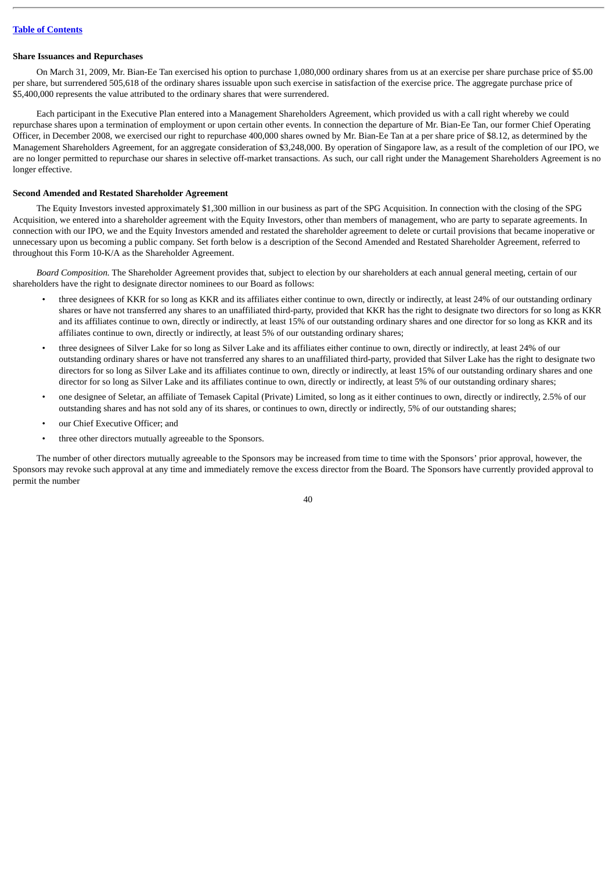#### **Share Issuances and Repurchases**

On March 31, 2009, Mr. Bian-Ee Tan exercised his option to purchase 1,080,000 ordinary shares from us at an exercise per share purchase price of \$5.00 per share, but surrendered 505,618 of the ordinary shares issuable upon such exercise in satisfaction of the exercise price. The aggregate purchase price of \$5,400,000 represents the value attributed to the ordinary shares that were surrendered.

Each participant in the Executive Plan entered into a Management Shareholders Agreement, which provided us with a call right whereby we could repurchase shares upon a termination of employment or upon certain other events. In connection the departure of Mr. Bian-Ee Tan, our former Chief Operating Officer, in December 2008, we exercised our right to repurchase 400,000 shares owned by Mr. Bian-Ee Tan at a per share price of \$8.12, as determined by the Management Shareholders Agreement, for an aggregate consideration of \$3,248,000. By operation of Singapore law, as a result of the completion of our IPO, we are no longer permitted to repurchase our shares in selective off-market transactions. As such, our call right under the Management Shareholders Agreement is no longer effective.

#### **Second Amended and Restated Shareholder Agreement**

The Equity Investors invested approximately \$1,300 million in our business as part of the SPG Acquisition. In connection with the closing of the SPG Acquisition, we entered into a shareholder agreement with the Equity Investors, other than members of management, who are party to separate agreements. In connection with our IPO, we and the Equity Investors amended and restated the shareholder agreement to delete or curtail provisions that became inoperative or unnecessary upon us becoming a public company. Set forth below is a description of the Second Amended and Restated Shareholder Agreement, referred to throughout this Form 10-K/A as the Shareholder Agreement.

*Board Composition.* The Shareholder Agreement provides that, subject to election by our shareholders at each annual general meeting, certain of our shareholders have the right to designate director nominees to our Board as follows:

- three designees of KKR for so long as KKR and its affiliates either continue to own, directly or indirectly, at least 24% of our outstanding ordinary shares or have not transferred any shares to an unaffiliated third-party, provided that KKR has the right to designate two directors for so long as KKR and its affiliates continue to own, directly or indirectly, at least 15% of our outstanding ordinary shares and one director for so long as KKR and its affiliates continue to own, directly or indirectly, at least 5% of our outstanding ordinary shares;
- three designees of Silver Lake for so long as Silver Lake and its affiliates either continue to own, directly or indirectly, at least 24% of our outstanding ordinary shares or have not transferred any shares to an unaffiliated third-party, provided that Silver Lake has the right to designate two directors for so long as Silver Lake and its affiliates continue to own, directly or indirectly, at least 15% of our outstanding ordinary shares and one director for so long as Silver Lake and its affiliates continue to own, directly or indirectly, at least 5% of our outstanding ordinary shares;
- one designee of Seletar, an affiliate of Temasek Capital (Private) Limited, so long as it either continues to own, directly or indirectly, 2.5% of our outstanding shares and has not sold any of its shares, or continues to own, directly or indirectly, 5% of our outstanding shares;
- our Chief Executive Officer; and
- three other directors mutually agreeable to the Sponsors.

The number of other directors mutually agreeable to the Sponsors may be increased from time to time with the Sponsors' prior approval, however, the Sponsors may revoke such approval at any time and immediately remove the excess director from the Board. The Sponsors have currently provided approval to permit the number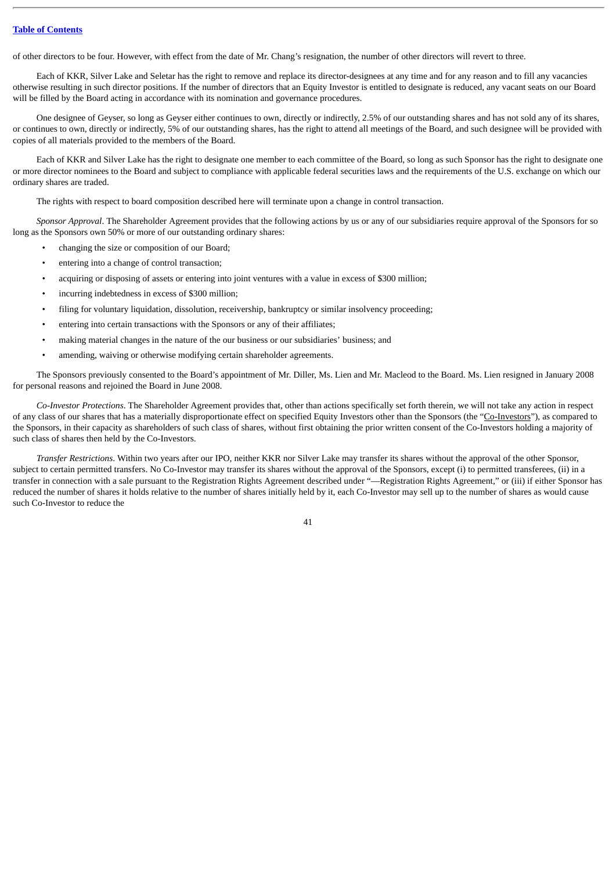of other directors to be four. However, with effect from the date of Mr. Chang's resignation, the number of other directors will revert to three.

Each of KKR, Silver Lake and Seletar has the right to remove and replace its director-designees at any time and for any reason and to fill any vacancies otherwise resulting in such director positions. If the number of directors that an Equity Investor is entitled to designate is reduced, any vacant seats on our Board will be filled by the Board acting in accordance with its nomination and governance procedures.

One designee of Geyser, so long as Geyser either continues to own, directly or indirectly, 2.5% of our outstanding shares and has not sold any of its shares, or continues to own, directly or indirectly, 5% of our outstanding shares, has the right to attend all meetings of the Board, and such designee will be provided with copies of all materials provided to the members of the Board.

Each of KKR and Silver Lake has the right to designate one member to each committee of the Board, so long as such Sponsor has the right to designate one or more director nominees to the Board and subject to compliance with applicable federal securities laws and the requirements of the U.S. exchange on which our ordinary shares are traded.

The rights with respect to board composition described here will terminate upon a change in control transaction.

*Sponsor Approval*. The Shareholder Agreement provides that the following actions by us or any of our subsidiaries require approval of the Sponsors for so long as the Sponsors own 50% or more of our outstanding ordinary shares:

- changing the size or composition of our Board;
- entering into a change of control transaction;
- acquiring or disposing of assets or entering into joint ventures with a value in excess of \$300 million;
- incurring indebtedness in excess of \$300 million;
- filing for voluntary liquidation, dissolution, receivership, bankruptcy or similar insolvency proceeding;
- entering into certain transactions with the Sponsors or any of their affiliates;
- making material changes in the nature of the our business or our subsidiaries' business; and
- amending, waiving or otherwise modifying certain shareholder agreements.

The Sponsors previously consented to the Board's appointment of Mr. Diller, Ms. Lien and Mr. Macleod to the Board. Ms. Lien resigned in January 2008 for personal reasons and rejoined the Board in June 2008.

*Co-Investor Protections*. The Shareholder Agreement provides that, other than actions specifically set forth therein, we will not take any action in respect of any class of our shares that has a materially disproportionate effect on specified Equity Investors other than the Sponsors (the "Co-Investors"), as compared to the Sponsors, in their capacity as shareholders of such class of shares, without first obtaining the prior written consent of the Co-Investors holding a majority of such class of shares then held by the Co-Investors.

*Transfer Restrictions*. Within two years after our IPO, neither KKR nor Silver Lake may transfer its shares without the approval of the other Sponsor, subject to certain permitted transfers. No Co-Investor may transfer its shares without the approval of the Sponsors, except (i) to permitted transferees, (ii) in a transfer in connection with a sale pursuant to the Registration Rights Agreement described under "—Registration Rights Agreement," or (iii) if either Sponsor has reduced the number of shares it holds relative to the number of shares initially held by it, each Co-Investor may sell up to the number of shares as would cause such Co-Investor to reduce the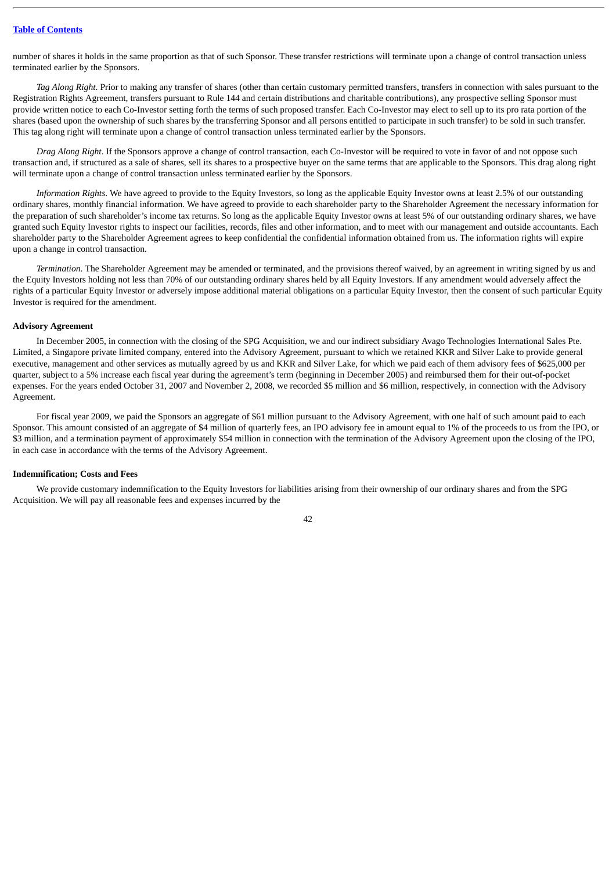number of shares it holds in the same proportion as that of such Sponsor. These transfer restrictions will terminate upon a change of control transaction unless terminated earlier by the Sponsors.

*Tag Along Right*. Prior to making any transfer of shares (other than certain customary permitted transfers, transfers in connection with sales pursuant to the Registration Rights Agreement, transfers pursuant to Rule 144 and certain distributions and charitable contributions), any prospective selling Sponsor must provide written notice to each Co-Investor setting forth the terms of such proposed transfer. Each Co-Investor may elect to sell up to its pro rata portion of the shares (based upon the ownership of such shares by the transferring Sponsor and all persons entitled to participate in such transfer) to be sold in such transfer. This tag along right will terminate upon a change of control transaction unless terminated earlier by the Sponsors.

*Drag Along Right*. If the Sponsors approve a change of control transaction, each Co-Investor will be required to vote in favor of and not oppose such transaction and, if structured as a sale of shares, sell its shares to a prospective buyer on the same terms that are applicable to the Sponsors. This drag along right will terminate upon a change of control transaction unless terminated earlier by the Sponsors.

*Information Rights*. We have agreed to provide to the Equity Investors, so long as the applicable Equity Investor owns at least 2.5% of our outstanding ordinary shares, monthly financial information. We have agreed to provide to each shareholder party to the Shareholder Agreement the necessary information for the preparation of such shareholder's income tax returns. So long as the applicable Equity Investor owns at least 5% of our outstanding ordinary shares, we have granted such Equity Investor rights to inspect our facilities, records, files and other information, and to meet with our management and outside accountants. Each shareholder party to the Shareholder Agreement agrees to keep confidential the confidential information obtained from us. The information rights will expire upon a change in control transaction.

*Termination*. The Shareholder Agreement may be amended or terminated, and the provisions thereof waived, by an agreement in writing signed by us and the Equity Investors holding not less than 70% of our outstanding ordinary shares held by all Equity Investors. If any amendment would adversely affect the rights of a particular Equity Investor or adversely impose additional material obligations on a particular Equity Investor, then the consent of such particular Equity Investor is required for the amendment.

#### **Advisory Agreement**

In December 2005, in connection with the closing of the SPG Acquisition, we and our indirect subsidiary Avago Technologies International Sales Pte. Limited, a Singapore private limited company, entered into the Advisory Agreement, pursuant to which we retained KKR and Silver Lake to provide general executive, management and other services as mutually agreed by us and KKR and Silver Lake, for which we paid each of them advisory fees of \$625,000 per quarter, subject to a 5% increase each fiscal year during the agreement's term (beginning in December 2005) and reimbursed them for their out-of-pocket expenses. For the years ended October 31, 2007 and November 2, 2008, we recorded \$5 million and \$6 million, respectively, in connection with the Advisory Agreement.

For fiscal year 2009, we paid the Sponsors an aggregate of \$61 million pursuant to the Advisory Agreement, with one half of such amount paid to each Sponsor. This amount consisted of an aggregate of \$4 million of quarterly fees, an IPO advisory fee in amount equal to 1% of the proceeds to us from the IPO, or \$3 million, and a termination payment of approximately \$54 million in connection with the termination of the Advisory Agreement upon the closing of the IPO, in each case in accordance with the terms of the Advisory Agreement.

#### **Indemnification; Costs and Fees**

We provide customary indemnification to the Equity Investors for liabilities arising from their ownership of our ordinary shares and from the SPG Acquisition. We will pay all reasonable fees and expenses incurred by the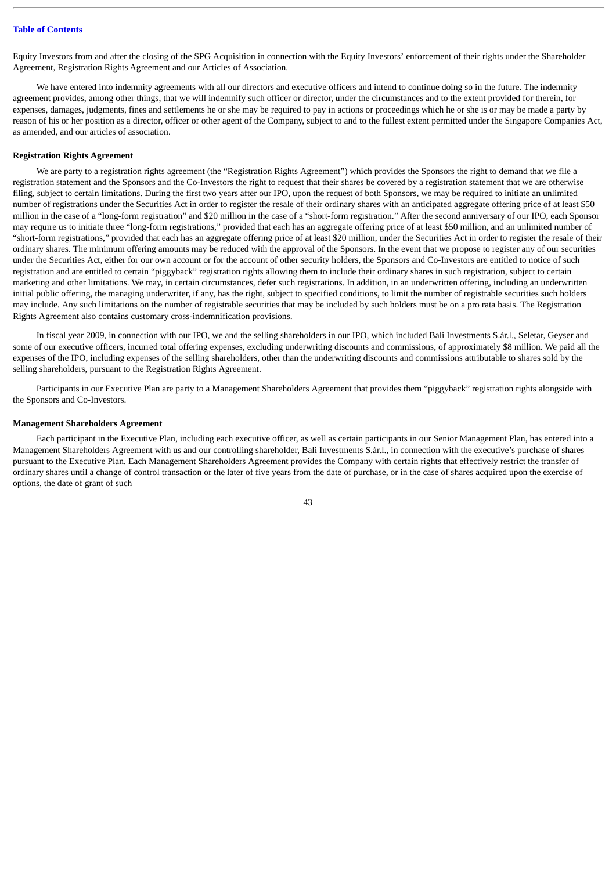Equity Investors from and after the closing of the SPG Acquisition in connection with the Equity Investors' enforcement of their rights under the Shareholder Agreement, Registration Rights Agreement and our Articles of Association.

We have entered into indemnity agreements with all our directors and executive officers and intend to continue doing so in the future. The indemnity agreement provides, among other things, that we will indemnify such officer or director, under the circumstances and to the extent provided for therein, for expenses, damages, judgments, fines and settlements he or she may be required to pay in actions or proceedings which he or she is or may be made a party by reason of his or her position as a director, officer or other agent of the Company, subject to and to the fullest extent permitted under the Singapore Companies Act, as amended, and our articles of association.

#### **Registration Rights Agreement**

We are party to a registration rights agreement (the "Registration Rights Agreement") which provides the Sponsors the right to demand that we file a registration statement and the Sponsors and the Co-Investors the right to request that their shares be covered by a registration statement that we are otherwise filing, subject to certain limitations. During the first two years after our IPO, upon the request of both Sponsors, we may be required to initiate an unlimited number of registrations under the Securities Act in order to register the resale of their ordinary shares with an anticipated aggregate offering price of at least \$50 million in the case of a "long-form registration" and \$20 million in the case of a "short-form registration." After the second anniversary of our IPO, each Sponsor may require us to initiate three "long-form registrations," provided that each has an aggregate offering price of at least \$50 million, and an unlimited number of "short-form registrations," provided that each has an aggregate offering price of at least \$20 million, under the Securities Act in order to register the resale of their ordinary shares. The minimum offering amounts may be reduced with the approval of the Sponsors. In the event that we propose to register any of our securities under the Securities Act, either for our own account or for the account of other security holders, the Sponsors and Co-Investors are entitled to notice of such registration and are entitled to certain "piggyback" registration rights allowing them to include their ordinary shares in such registration, subject to certain marketing and other limitations. We may, in certain circumstances, defer such registrations. In addition, in an underwritten offering, including an underwritten initial public offering, the managing underwriter, if any, has the right, subject to specified conditions, to limit the number of registrable securities such holders may include. Any such limitations on the number of registrable securities that may be included by such holders must be on a pro rata basis. The Registration Rights Agreement also contains customary cross-indemnification provisions.

In fiscal year 2009, in connection with our IPO, we and the selling shareholders in our IPO, which included Bali Investments S.àr.l., Seletar, Geyser and some of our executive officers, incurred total offering expenses, excluding underwriting discounts and commissions, of approximately \$8 million. We paid all the expenses of the IPO, including expenses of the selling shareholders, other than the underwriting discounts and commissions attributable to shares sold by the selling shareholders, pursuant to the Registration Rights Agreement.

Participants in our Executive Plan are party to a Management Shareholders Agreement that provides them "piggyback" registration rights alongside with the Sponsors and Co-Investors.

#### **Management Shareholders Agreement**

Each participant in the Executive Plan, including each executive officer, as well as certain participants in our Senior Management Plan, has entered into a Management Shareholders Agreement with us and our controlling shareholder, Bali Investments S.àr.l., in connection with the executive's purchase of shares pursuant to the Executive Plan. Each Management Shareholders Agreement provides the Company with certain rights that effectively restrict the transfer of ordinary shares until a change of control transaction or the later of five years from the date of purchase, or in the case of shares acquired upon the exercise of options, the date of grant of such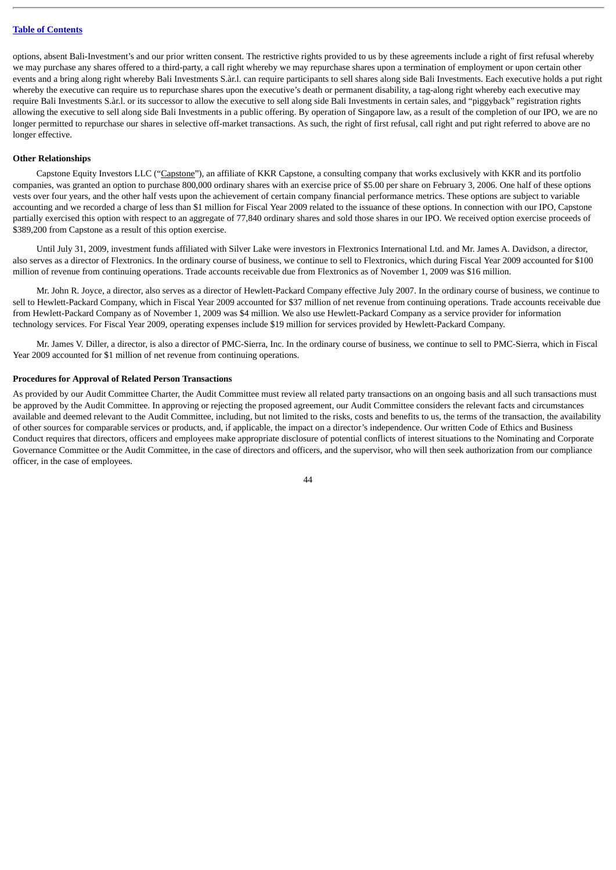options, absent Bali-Investment's and our prior written consent. The restrictive rights provided to us by these agreements include a right of first refusal whereby we may purchase any shares offered to a third-party, a call right whereby we may repurchase shares upon a termination of employment or upon certain other events and a bring along right whereby Bali Investments S.àr.l. can require participants to sell shares along side Bali Investments. Each executive holds a put right whereby the executive can require us to repurchase shares upon the executive's death or permanent disability, a tag-along right whereby each executive may require Bali Investments S.àr.l. or its successor to allow the executive to sell along side Bali Investments in certain sales, and "piggyback" registration rights allowing the executive to sell along side Bali Investments in a public offering. By operation of Singapore law, as a result of the completion of our IPO, we are no longer permitted to repurchase our shares in selective off-market transactions. As such, the right refusal, call right and put right referred to above are no longer effective.

#### **Other Relationships**

Capstone Equity Investors LLC ("Capstone"), an affiliate of KKR Capstone, a consulting company that works exclusively with KKR and its portfolio companies, was granted an option to purchase 800,000 ordinary shares with an exercise price of \$5.00 per share on February 3, 2006. One half of these options vests over four years, and the other half vests upon the achievement of certain company financial performance metrics. These options are subject to variable accounting and we recorded a charge of less than \$1 million for Fiscal Year 2009 related to the issuance of these options. In connection with our IPO, Capstone partially exercised this option with respect to an aggregate of 77,840 ordinary shares and sold those shares in our IPO. We received option exercise proceeds of \$389,200 from Capstone as a result of this option exercise.

Until July 31, 2009, investment funds affiliated with Silver Lake were investors in Flextronics International Ltd. and Mr. James A. Davidson, a director, also serves as a director of Flextronics. In the ordinary course of business, we continue to sell to Flextronics, which during Fiscal Year 2009 accounted for \$100 million of revenue from continuing operations. Trade accounts receivable due from Flextronics as of November 1, 2009 was \$16 million.

Mr. John R. Joyce, a director, also serves as a director of Hewlett-Packard Company effective July 2007. In the ordinary course of business, we continue to sell to Hewlett-Packard Company, which in Fiscal Year 2009 accounted for \$37 million of net revenue from continuing operations. Trade accounts receivable due from Hewlett-Packard Company as of November 1, 2009 was \$4 million. We also use Hewlett-Packard Company as a service provider for information technology services. For Fiscal Year 2009, operating expenses include \$19 million for services provided by Hewlett-Packard Company.

Mr. James V. Diller, a director, is also a director of PMC-Sierra, Inc. In the ordinary course of business, we continue to sell to PMC-Sierra, which in Fiscal Year 2009 accounted for \$1 million of net revenue from continuing operations.

#### **Procedures for Approval of Related Person Transactions**

As provided by our Audit Committee Charter, the Audit Committee must review all related party transactions on an ongoing basis and all such transactions must be approved by the Audit Committee. In approving or rejecting the proposed agreement, our Audit Committee considers the relevant facts and circumstances available and deemed relevant to the Audit Committee, including, but not limited to the risks, costs and benefits to us, the terms of the transaction, the availability of other sources for comparable services or products, and, if applicable, the impact on a director's independence. Our written Code of Ethics and Business Conduct requires that directors, officers and employees make appropriate disclosure of potential conflicts of interest situations to the Nominating and Corporate Governance Committee or the Audit Committee, in the case of directors and officers, and the supervisor, who will then seek authorization from our compliance officer, in the case of employees.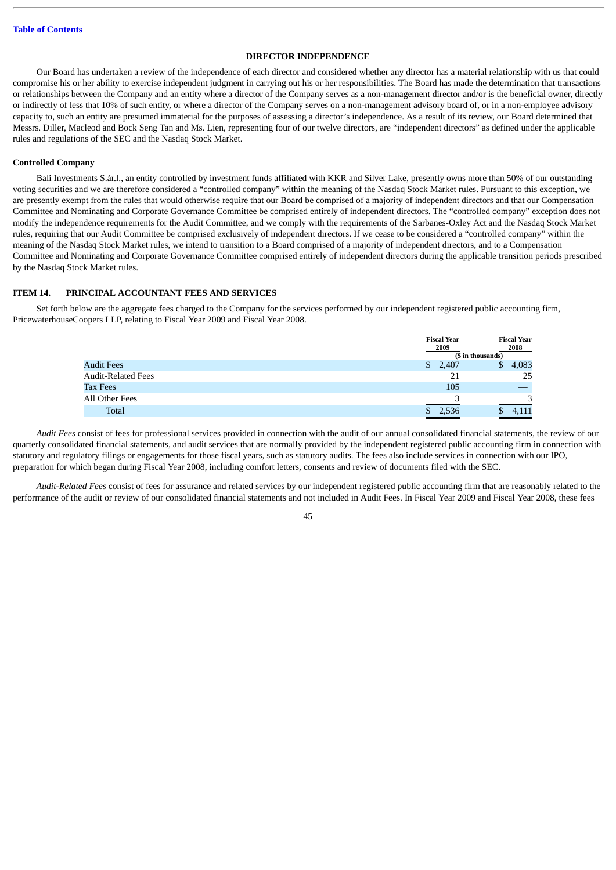#### **DIRECTOR INDEPENDENCE**

Our Board has undertaken a review of the independence of each director and considered whether any director has a material relationship with us that could compromise his or her ability to exercise independent judgment in carrying out his or her responsibilities. The Board has made the determination that transactions or relationships between the Company and an entity where a director of the Company serves as a non-management director and/or is the beneficial owner, directly or indirectly of less that 10% of such entity, or where a director of the Company serves on a non-management advisory board of, or in a non-employee advisory capacity to, such an entity are presumed immaterial for the purposes of assessing a director's independence. As a result of its review, our Board determined that Messrs. Diller, Macleod and Bock Seng Tan and Ms. Lien, representing four of our twelve directors, are "independent directors" as defined under the applicable rules and regulations of the SEC and the Nasdaq Stock Market.

#### **Controlled Company**

Bali Investments S.àr.l., an entity controlled by investment funds affiliated with KKR and Silver Lake, presently owns more than 50% of our outstanding voting securities and we are therefore considered a "controlled company" within the meaning of the Nasdaq Stock Market rules. Pursuant to this exception, we are presently exempt from the rules that would otherwise require that our Board be comprised of a majority of independent directors and that our Compensation Committee and Nominating and Corporate Governance Committee be comprised entirely of independent directors. The "controlled company" exception does not modify the independence requirements for the Audit Committee, and we comply with the requirements of the Sarbanes-Oxley Act and the Nasdaq Stock Market rules, requiring that our Audit Committee be comprised exclusively of independent directors. If we cease to be considered a "controlled company" within the meaning of the Nasdaq Stock Market rules, we intend to transition to a Board comprised of a majority of independent directors, and to a Compensation Committee and Nominating and Corporate Governance Committee comprised entirely of independent directors during the applicable transition periods prescribed by the Nasdaq Stock Market rules.

#### <span id="page-46-0"></span>**ITEM 14. PRINCIPAL ACCOUNTANT FEES AND SERVICES**

Set forth below are the aggregate fees charged to the Company for the services performed by our independent registered public accounting firm, PricewaterhouseCoopers LLP, relating to Fiscal Year 2009 and Fiscal Year 2008.

| <b>Fiscal Year</b><br>2008 |  |
|----------------------------|--|
|                            |  |
| 4,083                      |  |
| 25                         |  |
|                            |  |
| 3                          |  |
|                            |  |
| \$                         |  |

*Audit Fees* consist of fees for professional services provided in connection with the audit of our annual consolidated financial statements, the review of our quarterly consolidated financial statements, and audit services that are normally provided by the independent registered public accounting firm in connection with statutory and regulatory filings or engagements for those fiscal years, such as statutory audits. The fees also include services in connection with our IPO, preparation for which began during Fiscal Year 2008, including comfort letters, consents and review of documents filed with the SEC.

*Audit-Related Fees* consist of fees for assurance and related services by our independent registered public accounting firm that are reasonably related to the performance of the audit or review of our consolidated financial statements and not included in Audit Fees. In Fiscal Year 2009 and Fiscal Year 2008, these fees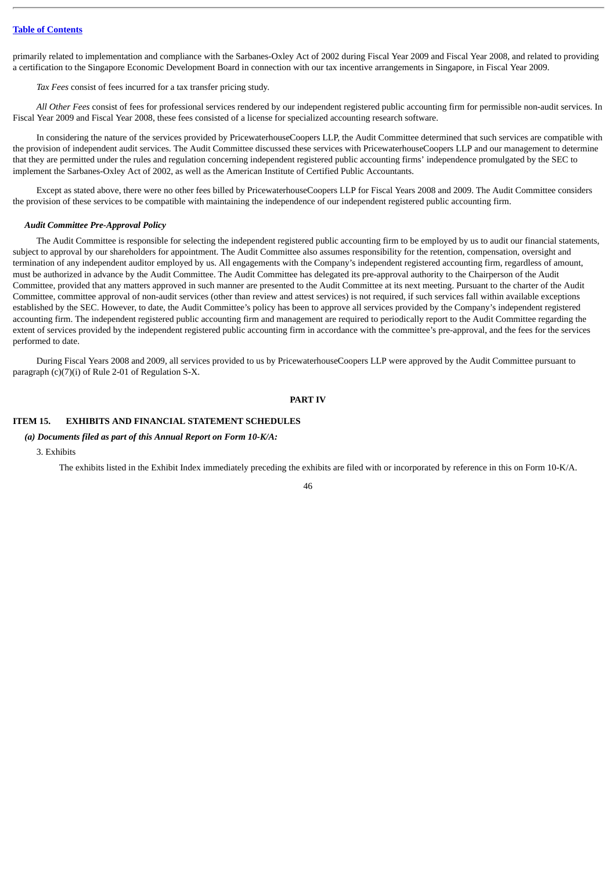primarily related to implementation and compliance with the Sarbanes-Oxley Act of 2002 during Fiscal Year 2009 and Fiscal Year 2008, and related to providing a certification to the Singapore Economic Development Board in connection with our tax incentive arrangements in Singapore, in Fiscal Year 2009.

*Tax Fees* consist of fees incurred for a tax transfer pricing study.

*All Other Fees* consist of fees for professional services rendered by our independent registered public accounting firm for permissible non-audit services. In Fiscal Year 2009 and Fiscal Year 2008, these fees consisted of a license for specialized accounting research software.

In considering the nature of the services provided by PricewaterhouseCoopers LLP, the Audit Committee determined that such services are compatible with the provision of independent audit services. The Audit Committee discussed these services with PricewaterhouseCoopers LLP and our management to determine that they are permitted under the rules and regulation concerning independent registered public accounting firms' independence promulgated by the SEC to implement the Sarbanes-Oxley Act of 2002, as well as the American Institute of Certified Public Accountants.

Except as stated above, there were no other fees billed by PricewaterhouseCoopers LLP for Fiscal Years 2008 and 2009. The Audit Committee considers the provision of these services to be compatible with maintaining the independence of our independent registered public accounting firm.

#### *Audit Committee Pre-Approval Policy*

The Audit Committee is responsible for selecting the independent registered public accounting firm to be employed by us to audit our financial statements, subject to approval by our shareholders for appointment. The Audit Committee also assumes responsibility for the retention, compensation, oversight and termination of any independent auditor employed by us. All engagements with the Company's independent registered accounting firm, regardless of amount, must be authorized in advance by the Audit Committee. The Audit Committee has delegated its pre-approval authority to the Chairperson of the Audit Committee, provided that any matters approved in such manner are presented to the Audit Committee at its next meeting. Pursuant to the charter of the Audit Committee, committee approval of non-audit services (other than review and attest services) is not required, if such services fall within available exceptions established by the SEC. However, to date, the Audit Committee's policy has been to approve all services provided by the Company's independent registered accounting firm. The independent registered public accounting firm and management are required to periodically report to the Audit Committee regarding the extent of services provided by the independent registered public accounting firm in accordance with the committee's pre-approval, and the fees for the services performed to date.

During Fiscal Years 2008 and 2009, all services provided to us by PricewaterhouseCoopers LLP were approved by the Audit Committee pursuant to paragraph (c)(7)(i) of Rule 2-01 of Regulation S-X.

#### **PART IV**

#### <span id="page-47-0"></span>**ITEM 15. EXHIBITS AND FINANCIAL STATEMENT SCHEDULES**

#### *(a) Documents filed as part of this Annual Report on Form 10-K/A:*

3. Exhibits

The exhibits listed in the Exhibit Index immediately preceding the exhibits are filed with or incorporated by reference in this on Form 10-K/A.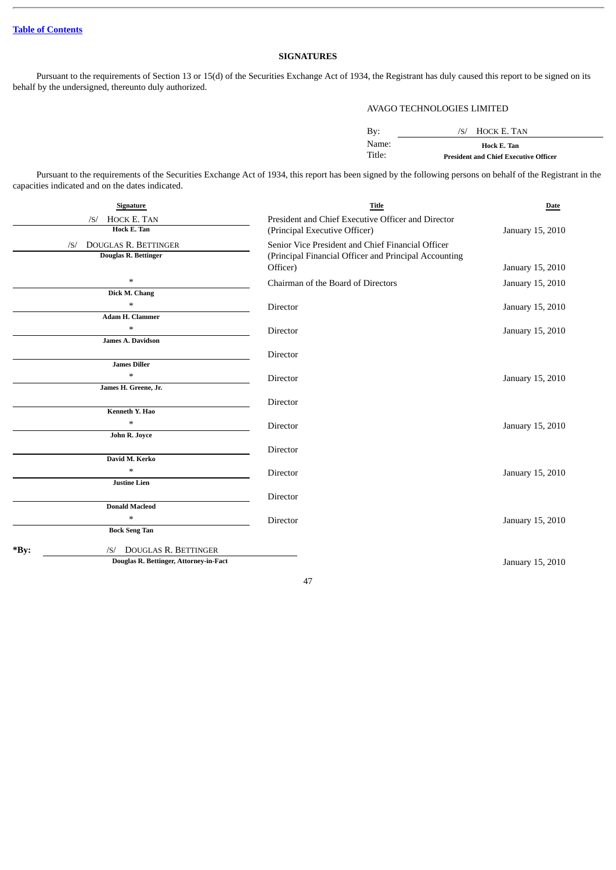# **SIGNATURES**

<span id="page-48-0"></span>Pursuant to the requirements of Section 13 or 15(d) of the Securities Exchange Act of 1934, the Registrant has duly caused this report to be signed on its behalf by the undersigned, thereunto duly authorized.

# AVAGO TECHNOLOGIES LIMITED

| By:    | $/S/$ HOCK E. TAN                            |
|--------|----------------------------------------------|
| Name:  | Hock E. Tan                                  |
| Title: | <b>President and Chief Executive Officer</b> |

Pursuant to the requirements of the Securities Exchange Act of 1934, this report has been signed by the following persons on behalf of the Registrant in the capacities indicated and on the dates indicated.

| Signature                                     | <b>Title</b>                                          | Date             |
|-----------------------------------------------|-------------------------------------------------------|------------------|
| HOCK E. TAN<br>/S/                            | President and Chief Executive Officer and Director    |                  |
| <b>Hock E. Tan</b>                            | (Principal Executive Officer)                         | January 15, 2010 |
| <b>DOUGLAS R. BETTINGER</b><br>/S/            | Senior Vice President and Chief Financial Officer     |                  |
| <b>Douglas R. Bettinger</b>                   | (Principal Financial Officer and Principal Accounting |                  |
|                                               | Officer)                                              | January 15, 2010 |
| $\ast$                                        | Chairman of the Board of Directors                    | January 15, 2010 |
| Dick M. Chang                                 |                                                       |                  |
| $\ast$                                        | Director                                              | January 15, 2010 |
| <b>Adam H. Clammer</b>                        |                                                       |                  |
| $\ast$                                        | <b>Director</b>                                       | January 15, 2010 |
| <b>James A. Davidson</b>                      |                                                       |                  |
|                                               | Director                                              |                  |
| <b>James Diller</b>                           |                                                       |                  |
| $\ast$                                        | Director                                              | January 15, 2010 |
| James H. Greene, Jr.                          |                                                       |                  |
|                                               | Director                                              |                  |
| <b>Kenneth Y. Hao</b>                         |                                                       |                  |
| $\ast$                                        | Director                                              | January 15, 2010 |
| John R. Joyce                                 |                                                       |                  |
|                                               | Director                                              |                  |
| David M. Kerko                                |                                                       |                  |
| $\ast$                                        | Director                                              | January 15, 2010 |
| <b>Justine Lien</b>                           |                                                       |                  |
|                                               | Director                                              |                  |
| <b>Donald Macleod</b>                         |                                                       |                  |
| $\ast$                                        | Director                                              | January 15, 2010 |
| <b>Bock Seng Tan</b>                          |                                                       |                  |
| <b>DOUGLAS R. BETTINGER</b><br>$*$ By:<br>/S/ |                                                       |                  |
| Douglas R. Bettinger, Attorney-in-Fact        |                                                       | January 15, 2010 |
|                                               |                                                       |                  |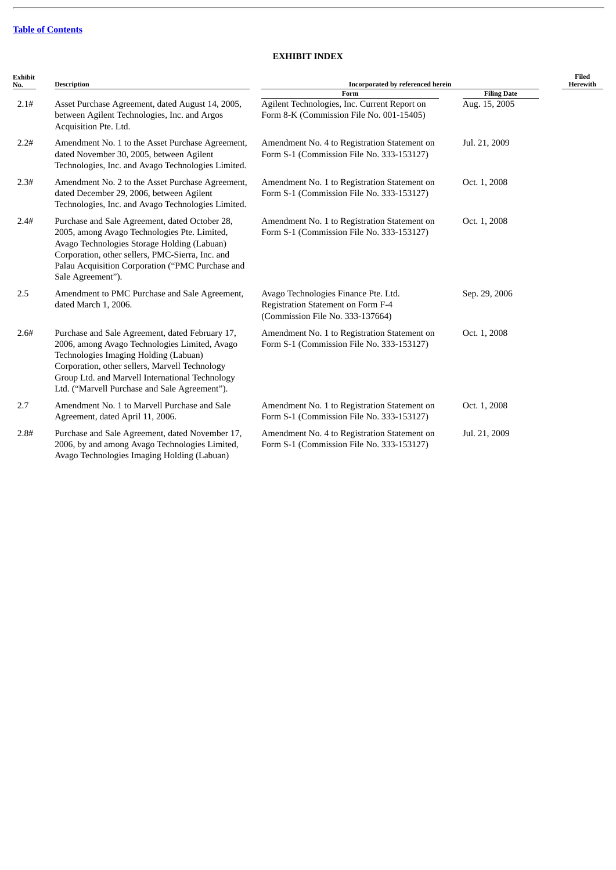# **EXHIBIT INDEX**

<span id="page-49-0"></span>

| Exhibit<br>No. | <b>Description</b>                                                                                                                                                                                                                                                                              | Incorporated by referenced herein                                                                              |                    | Filed<br>Herewith |
|----------------|-------------------------------------------------------------------------------------------------------------------------------------------------------------------------------------------------------------------------------------------------------------------------------------------------|----------------------------------------------------------------------------------------------------------------|--------------------|-------------------|
|                |                                                                                                                                                                                                                                                                                                 | Form                                                                                                           | <b>Filing Date</b> |                   |
| 2.1#           | Asset Purchase Agreement, dated August 14, 2005,<br>between Agilent Technologies, Inc. and Argos<br>Acquisition Pte. Ltd.                                                                                                                                                                       | Agilent Technologies, Inc. Current Report on<br>Form 8-K (Commission File No. 001-15405)                       | Aug. 15, 2005      |                   |
| 2.2#           | Amendment No. 1 to the Asset Purchase Agreement,<br>dated November 30, 2005, between Agilent<br>Technologies, Inc. and Avago Technologies Limited.                                                                                                                                              | Amendment No. 4 to Registration Statement on<br>Form S-1 (Commission File No. 333-153127)                      | Jul. 21, 2009      |                   |
| 2.3#           | Amendment No. 2 to the Asset Purchase Agreement,<br>dated December 29, 2006, between Agilent<br>Technologies, Inc. and Avago Technologies Limited.                                                                                                                                              | Amendment No. 1 to Registration Statement on<br>Form S-1 (Commission File No. 333-153127)                      | Oct. 1, 2008       |                   |
| 2.4#           | Purchase and Sale Agreement, dated October 28,<br>2005, among Avago Technologies Pte. Limited,<br>Avago Technologies Storage Holding (Labuan)<br>Corporation, other sellers, PMC-Sierra, Inc. and<br>Palau Acquisition Corporation ("PMC Purchase and<br>Sale Agreement").                      | Amendment No. 1 to Registration Statement on<br>Form S-1 (Commission File No. 333-153127)                      | Oct. 1, 2008       |                   |
| 2.5            | Amendment to PMC Purchase and Sale Agreement,<br>dated March 1, 2006.                                                                                                                                                                                                                           | Avago Technologies Finance Pte. Ltd.<br>Registration Statement on Form F-4<br>(Commission File No. 333-137664) | Sep. 29, 2006      |                   |
| 2.6#           | Purchase and Sale Agreement, dated February 17,<br>2006, among Avago Technologies Limited, Avago<br>Technologies Imaging Holding (Labuan)<br>Corporation, other sellers, Marvell Technology<br>Group Ltd. and Marvell International Technology<br>Ltd. ("Marvell Purchase and Sale Agreement"). | Amendment No. 1 to Registration Statement on<br>Form S-1 (Commission File No. 333-153127)                      | Oct. 1, 2008       |                   |
| 2.7            | Amendment No. 1 to Marvell Purchase and Sale<br>Agreement, dated April 11, 2006.                                                                                                                                                                                                                | Amendment No. 1 to Registration Statement on<br>Form S-1 (Commission File No. 333-153127)                      | Oct. 1, 2008       |                   |
| 2.8#           | Purchase and Sale Agreement, dated November 17,<br>2006, by and among Avago Technologies Limited,<br>Avago Technologies Imaging Holding (Labuan)                                                                                                                                                | Amendment No. 4 to Registration Statement on<br>Form S-1 (Commission File No. 333-153127)                      | Jul. 21, 2009      |                   |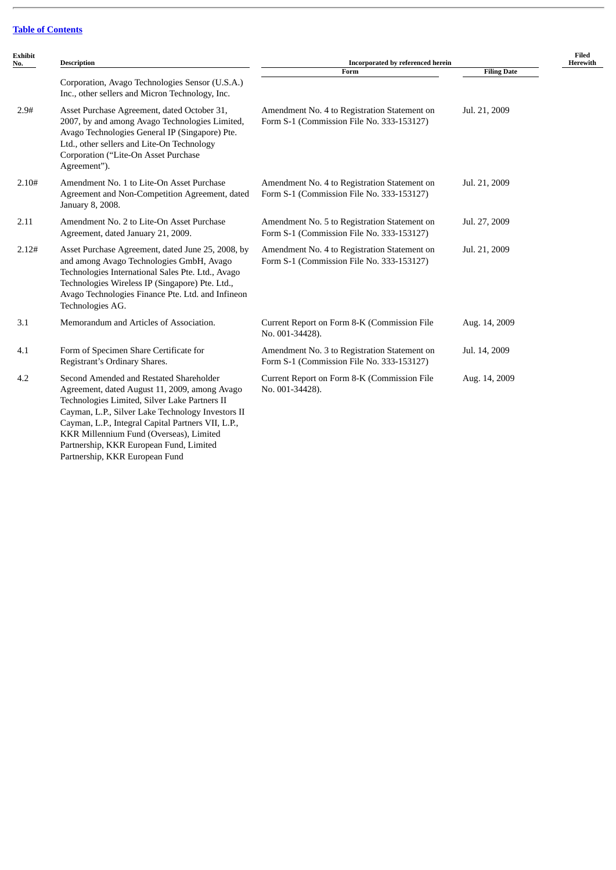| Exhibit<br>No. | <b>Description</b>                                                                                                                                                                                                                                                                                                                       | Incorporated by referenced herein                                                         |                    | Filed<br>Herewith |
|----------------|------------------------------------------------------------------------------------------------------------------------------------------------------------------------------------------------------------------------------------------------------------------------------------------------------------------------------------------|-------------------------------------------------------------------------------------------|--------------------|-------------------|
|                |                                                                                                                                                                                                                                                                                                                                          | Form                                                                                      | <b>Filing Date</b> |                   |
|                | Corporation, Avago Technologies Sensor (U.S.A.)<br>Inc., other sellers and Micron Technology, Inc.                                                                                                                                                                                                                                       |                                                                                           |                    |                   |
| 2.9#           | Asset Purchase Agreement, dated October 31,<br>2007, by and among Avago Technologies Limited,<br>Avago Technologies General IP (Singapore) Pte.<br>Ltd., other sellers and Lite-On Technology<br>Corporation ("Lite-On Asset Purchase<br>Agreement").                                                                                    | Amendment No. 4 to Registration Statement on<br>Form S-1 (Commission File No. 333-153127) | Jul. 21, 2009      |                   |
| 2.10#          | Amendment No. 1 to Lite-On Asset Purchase<br>Agreement and Non-Competition Agreement, dated<br>January 8, 2008.                                                                                                                                                                                                                          | Amendment No. 4 to Registration Statement on<br>Form S-1 (Commission File No. 333-153127) | Jul. 21, 2009      |                   |
| 2.11           | Amendment No. 2 to Lite-On Asset Purchase<br>Agreement, dated January 21, 2009.                                                                                                                                                                                                                                                          | Amendment No. 5 to Registration Statement on<br>Form S-1 (Commission File No. 333-153127) | Jul. 27, 2009      |                   |
| 2.12#          | Asset Purchase Agreement, dated June 25, 2008, by<br>and among Avago Technologies GmbH, Avago<br>Technologies International Sales Pte. Ltd., Avago<br>Technologies Wireless IP (Singapore) Pte. Ltd.,<br>Avago Technologies Finance Pte. Ltd. and Infineon<br>Technologies AG.                                                           | Amendment No. 4 to Registration Statement on<br>Form S-1 (Commission File No. 333-153127) | Jul. 21, 2009      |                   |
| 3.1            | Memorandum and Articles of Association.                                                                                                                                                                                                                                                                                                  | Current Report on Form 8-K (Commission File<br>No. 001-34428).                            | Aug. 14, 2009      |                   |
| 4.1            | Form of Specimen Share Certificate for<br>Registrant's Ordinary Shares.                                                                                                                                                                                                                                                                  | Amendment No. 3 to Registration Statement on<br>Form S-1 (Commission File No. 333-153127) | Jul. 14, 2009      |                   |
| 4.2            | Second Amended and Restated Shareholder<br>Agreement, dated August 11, 2009, among Avago<br>Technologies Limited, Silver Lake Partners II<br>Cayman, L.P., Silver Lake Technology Investors II<br>Cayman, L.P., Integral Capital Partners VII, L.P.,<br>KKR Millennium Fund (Overseas), Limited<br>Dartnorchin KKD European Eund Limited | Current Report on Form 8-K (Commission File<br>No. 001-34428).                            | Aug. 14, 2009      |                   |

Partnership, KKR European Fund, Limited Partnership, KKR European Fund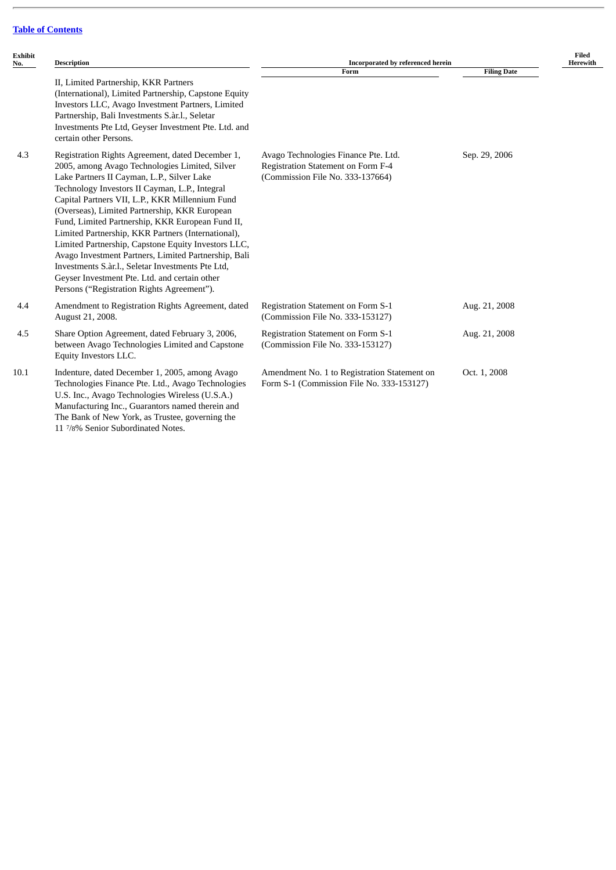11 7/8% Senior Subordinated Notes.

| Exhibit<br>No. | <b>Description</b>                                                                                                                                                                                                                                                                                                                                                                                                                                                                                                                                                                                                                                                                  | Incorporated by referenced herein                                                                              |                    | Filed<br>Herewith |
|----------------|-------------------------------------------------------------------------------------------------------------------------------------------------------------------------------------------------------------------------------------------------------------------------------------------------------------------------------------------------------------------------------------------------------------------------------------------------------------------------------------------------------------------------------------------------------------------------------------------------------------------------------------------------------------------------------------|----------------------------------------------------------------------------------------------------------------|--------------------|-------------------|
|                |                                                                                                                                                                                                                                                                                                                                                                                                                                                                                                                                                                                                                                                                                     | Form                                                                                                           | <b>Filing Date</b> |                   |
|                | II, Limited Partnership, KKR Partners<br>(International), Limited Partnership, Capstone Equity<br>Investors LLC, Avago Investment Partners, Limited<br>Partnership, Bali Investments S.àr.l., Seletar<br>Investments Pte Ltd, Geyser Investment Pte. Ltd. and<br>certain other Persons.                                                                                                                                                                                                                                                                                                                                                                                             |                                                                                                                |                    |                   |
| 4.3            | Registration Rights Agreement, dated December 1,<br>2005, among Avago Technologies Limited, Silver<br>Lake Partners II Cayman, L.P., Silver Lake<br>Technology Investors II Cayman, L.P., Integral<br>Capital Partners VII, L.P., KKR Millennium Fund<br>(Overseas), Limited Partnership, KKR European<br>Fund, Limited Partnership, KKR European Fund II,<br>Limited Partnership, KKR Partners (International),<br>Limited Partnership, Capstone Equity Investors LLC,<br>Avago Investment Partners, Limited Partnership, Bali<br>Investments S.àr.l., Seletar Investments Pte Ltd,<br>Geyser Investment Pte. Ltd. and certain other<br>Persons ("Registration Rights Agreement"). | Avago Technologies Finance Pte. Ltd.<br>Registration Statement on Form F-4<br>(Commission File No. 333-137664) | Sep. 29, 2006      |                   |
| 4.4            | Amendment to Registration Rights Agreement, dated<br>August 21, 2008.                                                                                                                                                                                                                                                                                                                                                                                                                                                                                                                                                                                                               | Registration Statement on Form S-1<br>(Commission File No. 333-153127)                                         | Aug. 21, 2008      |                   |
| 4.5            | Share Option Agreement, dated February 3, 2006,<br>between Avago Technologies Limited and Capstone<br>Equity Investors LLC.                                                                                                                                                                                                                                                                                                                                                                                                                                                                                                                                                         | Registration Statement on Form S-1<br>(Commission File No. 333-153127)                                         | Aug. 21, 2008      |                   |
| 10.1           | Indenture, dated December 1, 2005, among Avago<br>Technologies Finance Pte. Ltd., Avago Technologies<br>U.S. Inc., Avago Technologies Wireless (U.S.A.)<br>Manufacturing Inc., Guarantors named therein and<br>The Bank of New York, as Trustee, governing the                                                                                                                                                                                                                                                                                                                                                                                                                      | Amendment No. 1 to Registration Statement on<br>Form S-1 (Commission File No. 333-153127)                      | Oct. 1, 2008       |                   |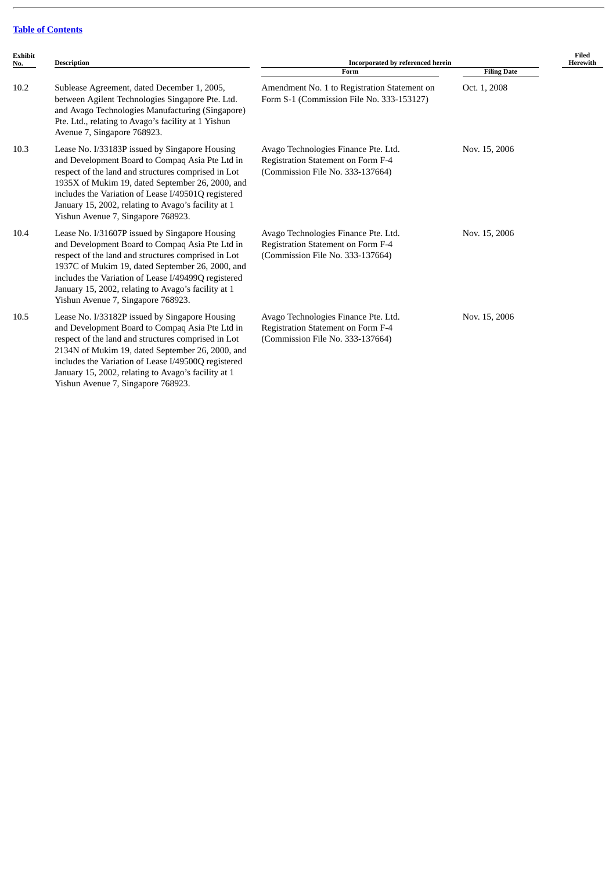| Exhibit<br>No. | <b>Description</b>                                                                                                                                                                                                                                                                                                                                               | Incorporated by referenced herein                                                                              |                    | Filed<br>Herewith |
|----------------|------------------------------------------------------------------------------------------------------------------------------------------------------------------------------------------------------------------------------------------------------------------------------------------------------------------------------------------------------------------|----------------------------------------------------------------------------------------------------------------|--------------------|-------------------|
|                |                                                                                                                                                                                                                                                                                                                                                                  | Form                                                                                                           | <b>Filing Date</b> |                   |
| 10.2           | Sublease Agreement, dated December 1, 2005,<br>between Agilent Technologies Singapore Pte. Ltd.<br>and Avago Technologies Manufacturing (Singapore)<br>Pte. Ltd., relating to Avago's facility at 1 Yishun<br>Avenue 7, Singapore 768923.                                                                                                                        | Amendment No. 1 to Registration Statement on<br>Form S-1 (Commission File No. 333-153127)                      | Oct. 1, 2008       |                   |
| 10.3           | Lease No. I/33183P issued by Singapore Housing<br>and Development Board to Compaq Asia Pte Ltd in<br>respect of the land and structures comprised in Lot<br>1935X of Mukim 19, dated September 26, 2000, and<br>includes the Variation of Lease I/49501Q registered<br>January 15, 2002, relating to Avago's facility at 1<br>Yishun Avenue 7, Singapore 768923. | Avago Technologies Finance Pte. Ltd.<br>Registration Statement on Form F-4<br>(Commission File No. 333-137664) | Nov. 15, 2006      |                   |
| 10.4           | Lease No. I/31607P issued by Singapore Housing<br>and Development Board to Compaq Asia Pte Ltd in<br>respect of the land and structures comprised in Lot<br>1937C of Mukim 19, dated September 26, 2000, and<br>includes the Variation of Lease I/49499Q registered<br>January 15, 2002, relating to Avago's facility at 1<br>Yishun Avenue 7, Singapore 768923. | Avago Technologies Finance Pte. Ltd.<br>Registration Statement on Form F-4<br>(Commission File No. 333-137664) | Nov. 15, 2006      |                   |
| 10.5           | Lease No. I/33182P issued by Singapore Housing<br>and Development Board to Compaq Asia Pte Ltd in<br>respect of the land and structures comprised in Lot<br>2134N of Mukim 19, dated September 26, 2000, and<br>includes the Variation of Lease I/49500Q registered<br>January 15, 2002, relating to Avago's facility at 1<br>Yishun Avenue 7, Singapore 768923. | Avago Technologies Finance Pte. Ltd.<br>Registration Statement on Form F-4<br>(Commission File No. 333-137664) | Nov. 15, 2006      |                   |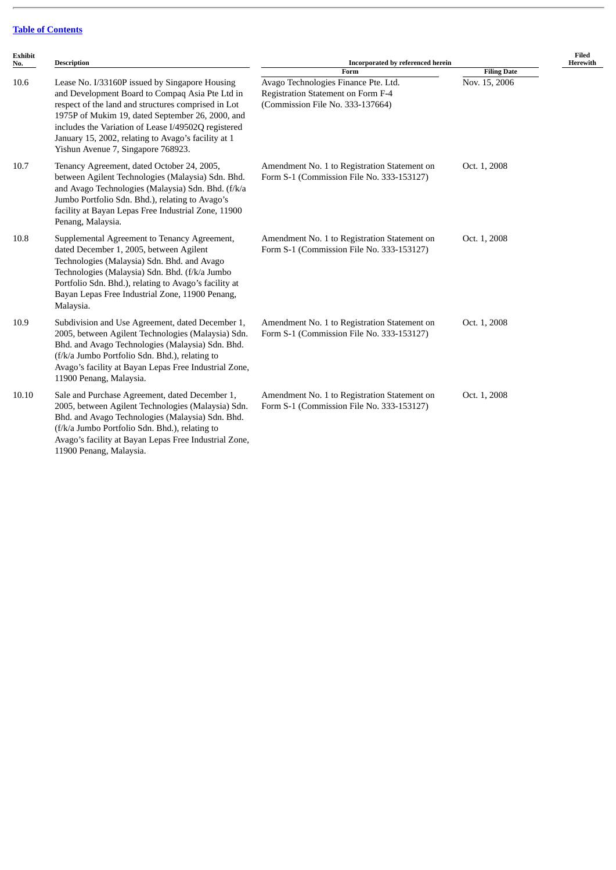L.

| Exhibit<br>No. | <b>Description</b>                                                                                                                                                                                                                                                                                                                                               | Incorporated by referenced herein                                                                              |                    | Filed<br>Herewith |
|----------------|------------------------------------------------------------------------------------------------------------------------------------------------------------------------------------------------------------------------------------------------------------------------------------------------------------------------------------------------------------------|----------------------------------------------------------------------------------------------------------------|--------------------|-------------------|
|                |                                                                                                                                                                                                                                                                                                                                                                  | Form                                                                                                           | <b>Filing Date</b> |                   |
| 10.6           | Lease No. I/33160P issued by Singapore Housing<br>and Development Board to Compaq Asia Pte Ltd in<br>respect of the land and structures comprised in Lot<br>1975P of Mukim 19, dated September 26, 2000, and<br>includes the Variation of Lease I/49502Q registered<br>January 15, 2002, relating to Avago's facility at 1<br>Yishun Avenue 7, Singapore 768923. | Avago Technologies Finance Pte. Ltd.<br>Registration Statement on Form F-4<br>(Commission File No. 333-137664) | Nov. 15, 2006      |                   |
| 10.7           | Tenancy Agreement, dated October 24, 2005,<br>between Agilent Technologies (Malaysia) Sdn. Bhd.<br>and Avago Technologies (Malaysia) Sdn. Bhd. (f/k/a<br>Jumbo Portfolio Sdn. Bhd.), relating to Avago's<br>facility at Bayan Lepas Free Industrial Zone, 11900<br>Penang, Malaysia.                                                                             | Amendment No. 1 to Registration Statement on<br>Form S-1 (Commission File No. 333-153127)                      | Oct. 1, 2008       |                   |
| 10.8           | Supplemental Agreement to Tenancy Agreement,<br>dated December 1, 2005, between Agilent<br>Technologies (Malaysia) Sdn. Bhd. and Avago<br>Technologies (Malaysia) Sdn. Bhd. (f/k/a Jumbo<br>Portfolio Sdn. Bhd.), relating to Avago's facility at<br>Bayan Lepas Free Industrial Zone, 11900 Penang,<br>Malaysia.                                                | Amendment No. 1 to Registration Statement on<br>Form S-1 (Commission File No. 333-153127)                      | Oct. 1, 2008       |                   |
| 10.9           | Subdivision and Use Agreement, dated December 1,<br>2005, between Agilent Technologies (Malaysia) Sdn.<br>Bhd. and Avago Technologies (Malaysia) Sdn. Bhd.<br>(f/k/a Jumbo Portfolio Sdn. Bhd.), relating to<br>Avago's facility at Bayan Lepas Free Industrial Zone,<br>11900 Penang, Malaysia.                                                                 | Amendment No. 1 to Registration Statement on<br>Form S-1 (Commission File No. 333-153127)                      | Oct. 1, 2008       |                   |
| 10.10          | Sale and Purchase Agreement, dated December 1,<br>2005, between Agilent Technologies (Malaysia) Sdn.<br>Bhd. and Avago Technologies (Malaysia) Sdn. Bhd.<br>(f/k/a Jumbo Portfolio Sdn. Bhd.), relating to<br>Avago's facility at Bayan Lepas Free Industrial Zone,<br>11900 Penang, Malaysia.                                                                   | Amendment No. 1 to Registration Statement on<br>Form S-1 (Commission File No. 333-153127)                      | Oct. 1, 2008       |                   |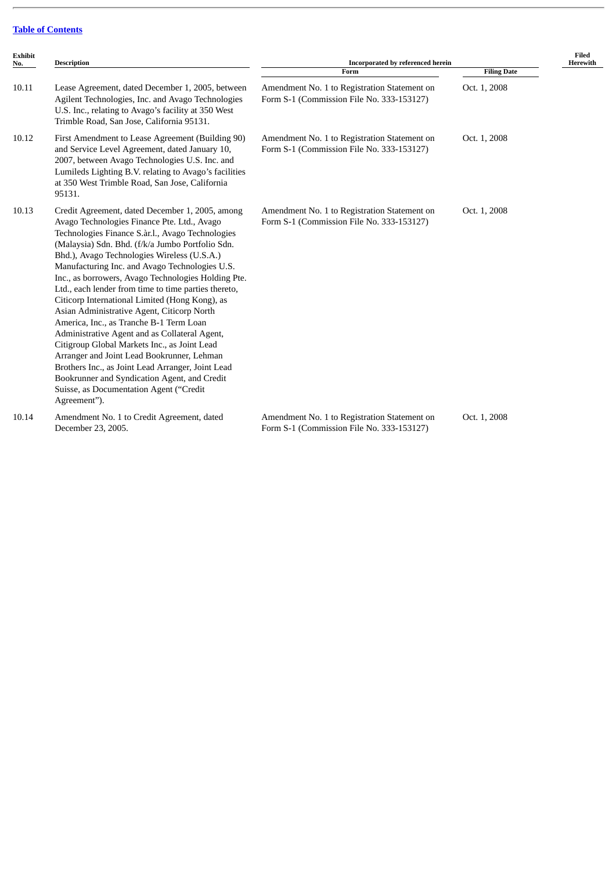j.

| Exhibit<br>No. | <b>Description</b>                                                                                                                                                                                                                                                                                                                                                                                                                                                                                                                                                                                                                                                                                                                                                                                                                                                               | Incorporated by referenced herein                                                         |                    | Filed<br>Herewith |
|----------------|----------------------------------------------------------------------------------------------------------------------------------------------------------------------------------------------------------------------------------------------------------------------------------------------------------------------------------------------------------------------------------------------------------------------------------------------------------------------------------------------------------------------------------------------------------------------------------------------------------------------------------------------------------------------------------------------------------------------------------------------------------------------------------------------------------------------------------------------------------------------------------|-------------------------------------------------------------------------------------------|--------------------|-------------------|
|                |                                                                                                                                                                                                                                                                                                                                                                                                                                                                                                                                                                                                                                                                                                                                                                                                                                                                                  | Form                                                                                      | <b>Filing Date</b> |                   |
| 10.11          | Lease Agreement, dated December 1, 2005, between<br>Agilent Technologies, Inc. and Avago Technologies<br>U.S. Inc., relating to Avago's facility at 350 West<br>Trimble Road, San Jose, California 95131.                                                                                                                                                                                                                                                                                                                                                                                                                                                                                                                                                                                                                                                                        | Amendment No. 1 to Registration Statement on<br>Form S-1 (Commission File No. 333-153127) | Oct. 1, 2008       |                   |
| 10.12          | First Amendment to Lease Agreement (Building 90)<br>and Service Level Agreement, dated January 10,<br>2007, between Avago Technologies U.S. Inc. and<br>Lumileds Lighting B.V. relating to Avago's facilities<br>at 350 West Trimble Road, San Jose, California<br>95131.                                                                                                                                                                                                                                                                                                                                                                                                                                                                                                                                                                                                        | Amendment No. 1 to Registration Statement on<br>Form S-1 (Commission File No. 333-153127) | Oct. 1, 2008       |                   |
| 10.13          | Credit Agreement, dated December 1, 2005, among<br>Avago Technologies Finance Pte. Ltd., Avago<br>Technologies Finance S.àr.l., Avago Technologies<br>(Malaysia) Sdn. Bhd. (f/k/a Jumbo Portfolio Sdn.<br>Bhd.), Avago Technologies Wireless (U.S.A.)<br>Manufacturing Inc. and Avago Technologies U.S.<br>Inc., as borrowers, Avago Technologies Holding Pte.<br>Ltd., each lender from time to time parties thereto,<br>Citicorp International Limited (Hong Kong), as<br>Asian Administrative Agent, Citicorp North<br>America, Inc., as Tranche B-1 Term Loan<br>Administrative Agent and as Collateral Agent,<br>Citigroup Global Markets Inc., as Joint Lead<br>Arranger and Joint Lead Bookrunner, Lehman<br>Brothers Inc., as Joint Lead Arranger, Joint Lead<br>Bookrunner and Syndication Agent, and Credit<br>Suisse, as Documentation Agent ("Credit<br>Agreement"). | Amendment No. 1 to Registration Statement on<br>Form S-1 (Commission File No. 333-153127) | Oct. 1, 2008       |                   |
| 10.14          | Amendment No. 1 to Credit Agreement, dated<br>December 23, 2005.                                                                                                                                                                                                                                                                                                                                                                                                                                                                                                                                                                                                                                                                                                                                                                                                                 | Amendment No. 1 to Registration Statement on<br>Form S-1 (Commission File No. 333-153127) | Oct. 1, 2008       |                   |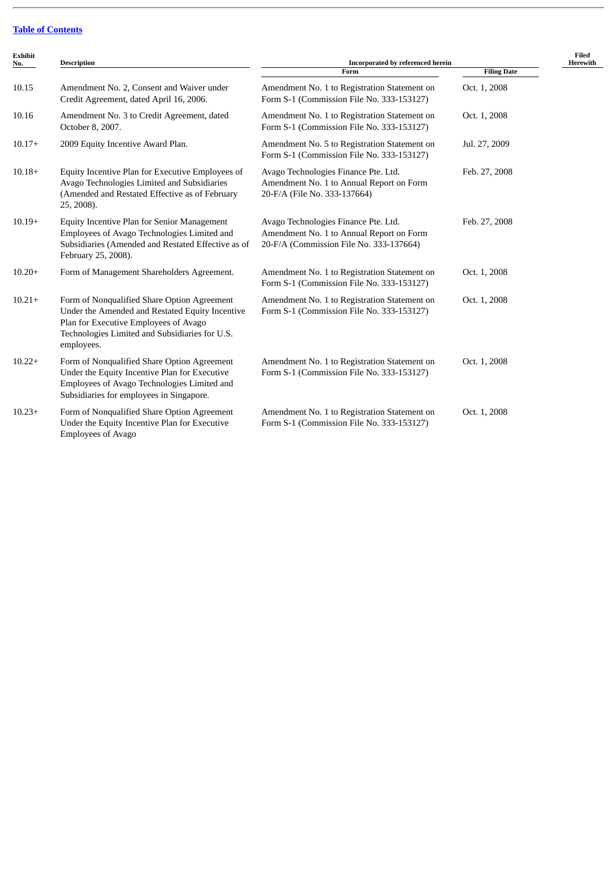| Exhibit<br>No. | <b>Description</b>                                                                                                                                                                                      | Incorporated by referenced herein                                                                                           |                    | Filed<br>Herewith |
|----------------|---------------------------------------------------------------------------------------------------------------------------------------------------------------------------------------------------------|-----------------------------------------------------------------------------------------------------------------------------|--------------------|-------------------|
|                |                                                                                                                                                                                                         | Form                                                                                                                        | <b>Filing Date</b> |                   |
| 10.15          | Amendment No. 2, Consent and Waiver under<br>Credit Agreement, dated April 16, 2006.                                                                                                                    | Amendment No. 1 to Registration Statement on<br>Form S-1 (Commission File No. 333-153127)                                   | Oct. 1, 2008       |                   |
| 10.16          | Amendment No. 3 to Credit Agreement, dated<br>October 8, 2007.                                                                                                                                          | Amendment No. 1 to Registration Statement on<br>Form S-1 (Commission File No. 333-153127)                                   | Oct. 1, 2008       |                   |
| $10.17+$       | 2009 Equity Incentive Award Plan.                                                                                                                                                                       | Amendment No. 5 to Registration Statement on<br>Form S-1 (Commission File No. 333-153127)                                   | Jul. 27, 2009      |                   |
| $10.18+$       | Equity Incentive Plan for Executive Employees of<br>Avago Technologies Limited and Subsidiaries<br>(Amended and Restated Effective as of February<br>25, 2008).                                         | Avago Technologies Finance Pte. Ltd.<br>Amendment No. 1 to Annual Report on Form<br>20-F/A (File No. 333-137664)            | Feb. 27, 2008      |                   |
| $10.19+$       | Equity Incentive Plan for Senior Management<br>Employees of Avago Technologies Limited and<br>Subsidiaries (Amended and Restated Effective as of<br>February 25, 2008).                                 | Avago Technologies Finance Pte. Ltd.<br>Amendment No. 1 to Annual Report on Form<br>20-F/A (Commission File No. 333-137664) | Feb. 27, 2008      |                   |
| $10.20+$       | Form of Management Shareholders Agreement.                                                                                                                                                              | Amendment No. 1 to Registration Statement on<br>Form S-1 (Commission File No. 333-153127)                                   | Oct. 1, 2008       |                   |
| $10.21+$       | Form of Nonqualified Share Option Agreement<br>Under the Amended and Restated Equity Incentive<br>Plan for Executive Employees of Avago<br>Technologies Limited and Subsidiaries for U.S.<br>employees. | Amendment No. 1 to Registration Statement on<br>Form S-1 (Commission File No. 333-153127)                                   | Oct. 1, 2008       |                   |
| $10.22+$       | Form of Nonqualified Share Option Agreement<br>Under the Equity Incentive Plan for Executive<br>Employees of Avago Technologies Limited and<br>Subsidiaries for employees in Singapore.                 | Amendment No. 1 to Registration Statement on<br>Form S-1 (Commission File No. 333-153127)                                   | Oct. 1, 2008       |                   |
| $10.23+$       | Form of Nonqualified Share Option Agreement<br>Under the Equity Incentive Plan for Executive<br><b>Employees of Avago</b>                                                                               | Amendment No. 1 to Registration Statement on<br>Form S-1 (Commission File No. 333-153127)                                   | Oct. 1, 2008       |                   |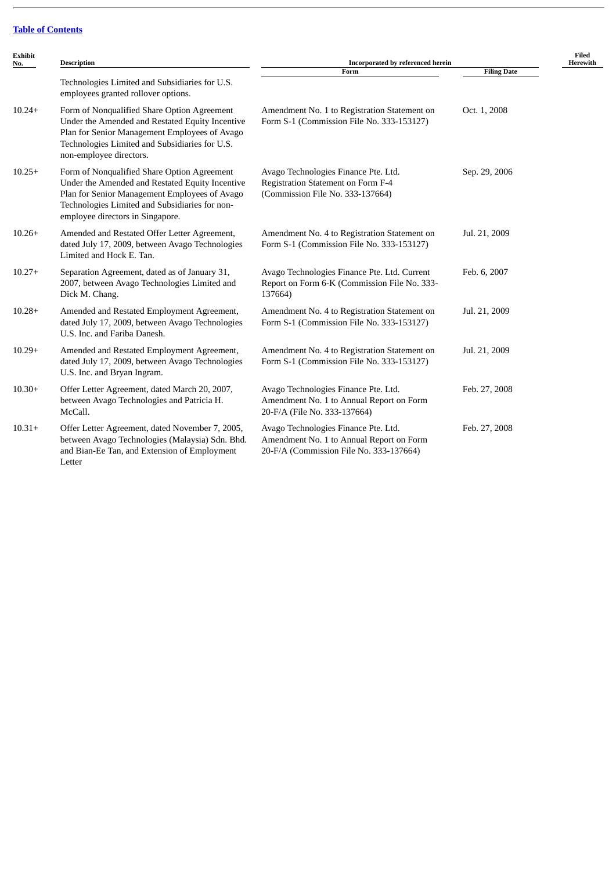L.

| <b>Exhibit</b><br>No. | <b>Description</b>                                                                                                                                                                                                                    | Incorporated by referenced herein                                                                                           |                    | File<br>Herey |
|-----------------------|---------------------------------------------------------------------------------------------------------------------------------------------------------------------------------------------------------------------------------------|-----------------------------------------------------------------------------------------------------------------------------|--------------------|---------------|
|                       |                                                                                                                                                                                                                                       | Form                                                                                                                        | <b>Filing Date</b> |               |
|                       | Technologies Limited and Subsidiaries for U.S.<br>employees granted rollover options.                                                                                                                                                 |                                                                                                                             |                    |               |
| $10.24+$              | Form of Nonqualified Share Option Agreement<br>Under the Amended and Restated Equity Incentive<br>Plan for Senior Management Employees of Avago<br>Technologies Limited and Subsidiaries for U.S.<br>non-employee directors.          | Amendment No. 1 to Registration Statement on<br>Form S-1 (Commission File No. 333-153127)                                   | Oct. 1, 2008       |               |
| $10.25+$              | Form of Nonqualified Share Option Agreement<br>Under the Amended and Restated Equity Incentive<br>Plan for Senior Management Employees of Avago<br>Technologies Limited and Subsidiaries for non-<br>employee directors in Singapore. | Avago Technologies Finance Pte. Ltd.<br>Registration Statement on Form F-4<br>(Commission File No. 333-137664)              | Sep. 29, 2006      |               |
| $10.26+$              | Amended and Restated Offer Letter Agreement,<br>dated July 17, 2009, between Avago Technologies<br>Limited and Hock E. Tan.                                                                                                           | Amendment No. 4 to Registration Statement on<br>Form S-1 (Commission File No. 333-153127)                                   | Jul. 21, 2009      |               |
| $10.27+$              | Separation Agreement, dated as of January 31,<br>2007, between Avago Technologies Limited and<br>Dick M. Chang.                                                                                                                       | Avago Technologies Finance Pte. Ltd. Current<br>Report on Form 6-K (Commission File No. 333-<br>137664)                     | Feb. 6, 2007       |               |
| $10.28+$              | Amended and Restated Employment Agreement,<br>dated July 17, 2009, between Avago Technologies<br>U.S. Inc. and Fariba Danesh.                                                                                                         | Amendment No. 4 to Registration Statement on<br>Form S-1 (Commission File No. 333-153127)                                   | Jul. 21, 2009      |               |
| $10.29+$              | Amended and Restated Employment Agreement,<br>dated July 17, 2009, between Avago Technologies<br>U.S. Inc. and Bryan Ingram.                                                                                                          | Amendment No. 4 to Registration Statement on<br>Form S-1 (Commission File No. 333-153127)                                   | Jul. 21, 2009      |               |
| $10.30+$              | Offer Letter Agreement, dated March 20, 2007,<br>between Avago Technologies and Patricia H.<br>McCall.                                                                                                                                | Avago Technologies Finance Pte. Ltd.<br>Amendment No. 1 to Annual Report on Form<br>20-F/A (File No. 333-137664)            | Feb. 27, 2008      |               |
| $10.31+$              | Offer Letter Agreement, dated November 7, 2005,<br>between Avago Technologies (Malaysia) Sdn. Bhd.<br>and Bian-Ee Tan, and Extension of Employment<br>Letter                                                                          | Avago Technologies Finance Pte. Ltd.<br>Amendment No. 1 to Annual Report on Form<br>20-F/A (Commission File No. 333-137664) | Feb. 27, 2008      |               |

**Filed Herewith**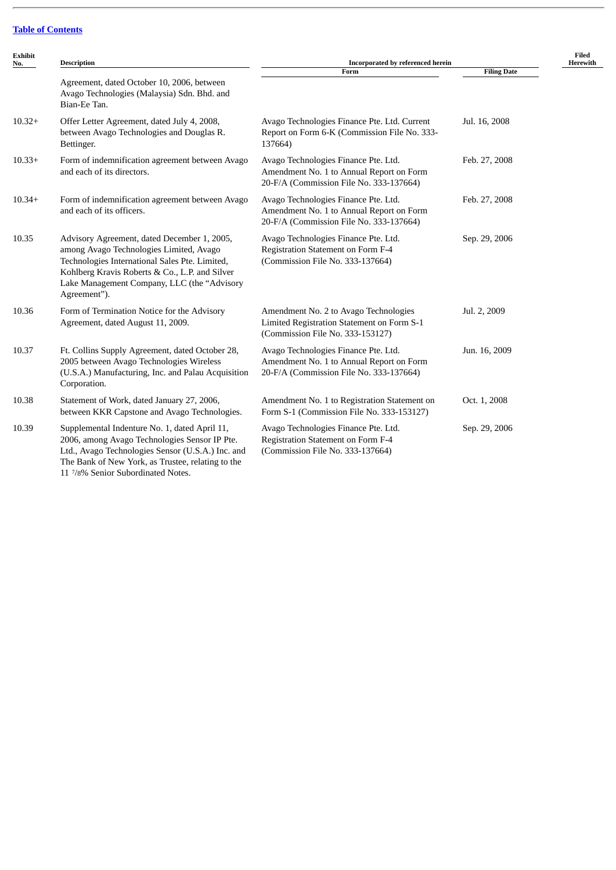| Exhibit<br>No. | <b>Description</b>                                                                                                                                                                                                                                        | Incorporated by referenced herein                                                                                           |                    | Fi<br>Her |
|----------------|-----------------------------------------------------------------------------------------------------------------------------------------------------------------------------------------------------------------------------------------------------------|-----------------------------------------------------------------------------------------------------------------------------|--------------------|-----------|
|                | Agreement, dated October 10, 2006, between<br>Avago Technologies (Malaysia) Sdn. Bhd. and<br>Bian-Ee Tan.                                                                                                                                                 | Form                                                                                                                        | <b>Filing Date</b> |           |
| $10.32+$       | Offer Letter Agreement, dated July 4, 2008,<br>between Avago Technologies and Douglas R.<br>Bettinger.                                                                                                                                                    | Avago Technologies Finance Pte. Ltd. Current<br>Report on Form 6-K (Commission File No. 333-<br>137664)                     | Jul. 16, 2008      |           |
| $10.33+$       | Form of indemnification agreement between Avago<br>and each of its directors.                                                                                                                                                                             | Avago Technologies Finance Pte. Ltd.<br>Amendment No. 1 to Annual Report on Form<br>20-F/A (Commission File No. 333-137664) | Feb. 27, 2008      |           |
| $10.34+$       | Form of indemnification agreement between Avago<br>and each of its officers.                                                                                                                                                                              | Avago Technologies Finance Pte. Ltd.<br>Amendment No. 1 to Annual Report on Form<br>20-F/A (Commission File No. 333-137664) | Feb. 27, 2008      |           |
| 10.35          | Advisory Agreement, dated December 1, 2005,<br>among Avago Technologies Limited, Avago<br>Technologies International Sales Pte. Limited,<br>Kohlberg Kravis Roberts & Co., L.P. and Silver<br>Lake Management Company, LLC (the "Advisory<br>Agreement"). | Avago Technologies Finance Pte. Ltd.<br>Registration Statement on Form F-4<br>(Commission File No. 333-137664)              | Sep. 29, 2006      |           |
| 10.36          | Form of Termination Notice for the Advisory<br>Agreement, dated August 11, 2009.                                                                                                                                                                          | Amendment No. 2 to Avago Technologies<br>Limited Registration Statement on Form S-1<br>(Commission File No. 333-153127)     | Jul. 2, 2009       |           |
| 10.37          | Ft. Collins Supply Agreement, dated October 28,<br>2005 between Avago Technologies Wireless<br>(U.S.A.) Manufacturing, Inc. and Palau Acquisition<br>Corporation.                                                                                         | Avago Technologies Finance Pte. Ltd.<br>Amendment No. 1 to Annual Report on Form<br>20-F/A (Commission File No. 333-137664) | Jun. 16, 2009      |           |
| 10.38          | Statement of Work, dated January 27, 2006,<br>between KKR Capstone and Avago Technologies.                                                                                                                                                                | Amendment No. 1 to Registration Statement on<br>Form S-1 (Commission File No. 333-153127)                                   | Oct. 1, 2008       |           |
| 10.39          | Supplemental Indenture No. 1, dated April 11,<br>2006, among Avago Technologies Sensor IP Pte.<br>Ltd., Avago Technologies Sensor (U.S.A.) Inc. and<br>The Bank of New York, as Trustee, relating to the                                                  | Avago Technologies Finance Pte. Ltd.<br>Registration Statement on Form F-4<br>(Commission File No. 333-137664)              | Sep. 29, 2006      |           |

11 7/8% Senior Subordinated Notes.

**Filed Herewith**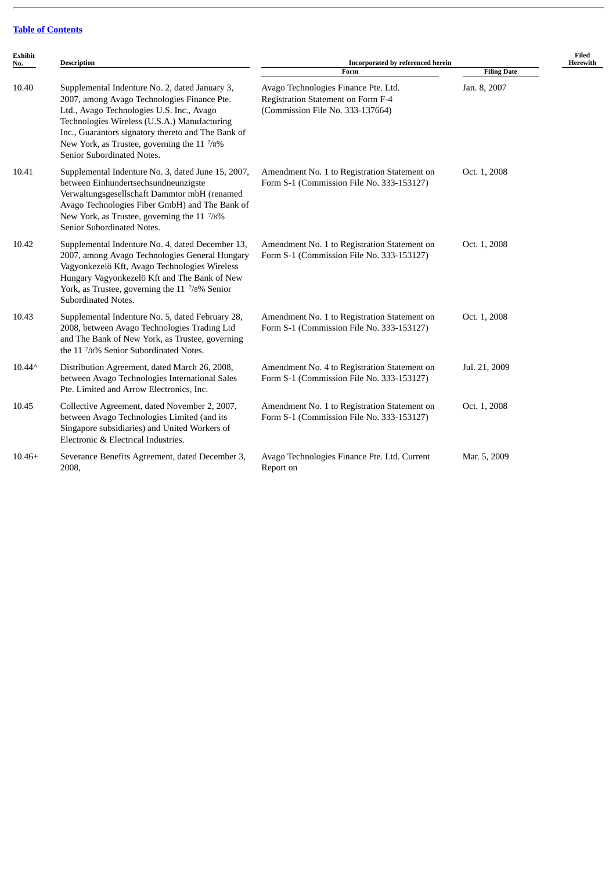$\overline{a}$ 

| Exhibit<br>No. | <b>Description</b>                                                                                                                                                                                                                                                                                                            | Incorporated by referenced herein                                                                              |                    | Filed<br>Herewi |
|----------------|-------------------------------------------------------------------------------------------------------------------------------------------------------------------------------------------------------------------------------------------------------------------------------------------------------------------------------|----------------------------------------------------------------------------------------------------------------|--------------------|-----------------|
|                |                                                                                                                                                                                                                                                                                                                               | Form                                                                                                           | <b>Filing Date</b> |                 |
| 10.40          | Supplemental Indenture No. 2, dated January 3,<br>2007, among Avago Technologies Finance Pte.<br>Ltd., Avago Technologies U.S. Inc., Avago<br>Technologies Wireless (U.S.A.) Manufacturing<br>Inc., Guarantors signatory thereto and The Bank of<br>New York, as Trustee, governing the 11 7/8%<br>Senior Subordinated Notes. | Avago Technologies Finance Pte. Ltd.<br>Registration Statement on Form F-4<br>(Commission File No. 333-137664) | Jan. 8, 2007       |                 |
| 10.41          | Supplemental Indenture No. 3, dated June 15, 2007,<br>between Einhundertsechsundneunzigste<br>Verwaltungsgesellschaft Dammtor mbH (renamed<br>Avago Technologies Fiber GmbH) and The Bank of<br>New York, as Trustee, governing the 11 7/8%<br>Senior Subordinated Notes.                                                     | Amendment No. 1 to Registration Statement on<br>Form S-1 (Commission File No. 333-153127)                      | Oct. 1, 2008       |                 |
| 10.42          | Supplemental Indenture No. 4, dated December 13,<br>2007, among Avago Technologies General Hungary<br>Vagyonkezelö Kft, Avago Technologies Wireless<br>Hungary Vagyonkezelö Kft and The Bank of New<br>York, as Trustee, governing the 11 7/8% Senior<br>Subordinated Notes.                                                  | Amendment No. 1 to Registration Statement on<br>Form S-1 (Commission File No. 333-153127)                      | Oct. 1, 2008       |                 |
| 10.43          | Supplemental Indenture No. 5, dated February 28,<br>2008, between Avago Technologies Trading Ltd<br>and The Bank of New York, as Trustee, governing<br>the 11 7/8% Senior Subordinated Notes.                                                                                                                                 | Amendment No. 1 to Registration Statement on<br>Form S-1 (Commission File No. 333-153127)                      | Oct. 1, 2008       |                 |
| $10.44^$       | Distribution Agreement, dated March 26, 2008,<br>between Avago Technologies International Sales<br>Pte. Limited and Arrow Electronics, Inc.                                                                                                                                                                                   | Amendment No. 4 to Registration Statement on<br>Form S-1 (Commission File No. 333-153127)                      | Jul. 21, 2009      |                 |
| 10.45          | Collective Agreement, dated November 2, 2007,<br>between Avago Technologies Limited (and its<br>Singapore subsidiaries) and United Workers of<br>Electronic & Electrical Industries.                                                                                                                                          | Amendment No. 1 to Registration Statement on<br>Form S-1 (Commission File No. 333-153127)                      | Oct. 1, 2008       |                 |
| $10.46+$       | Severance Benefits Agreement, dated December 3,<br>2008,                                                                                                                                                                                                                                                                      | Avago Technologies Finance Pte. Ltd. Current<br>Report on                                                      | Mar. 5, 2009       |                 |

**Filed** <u>ith</u>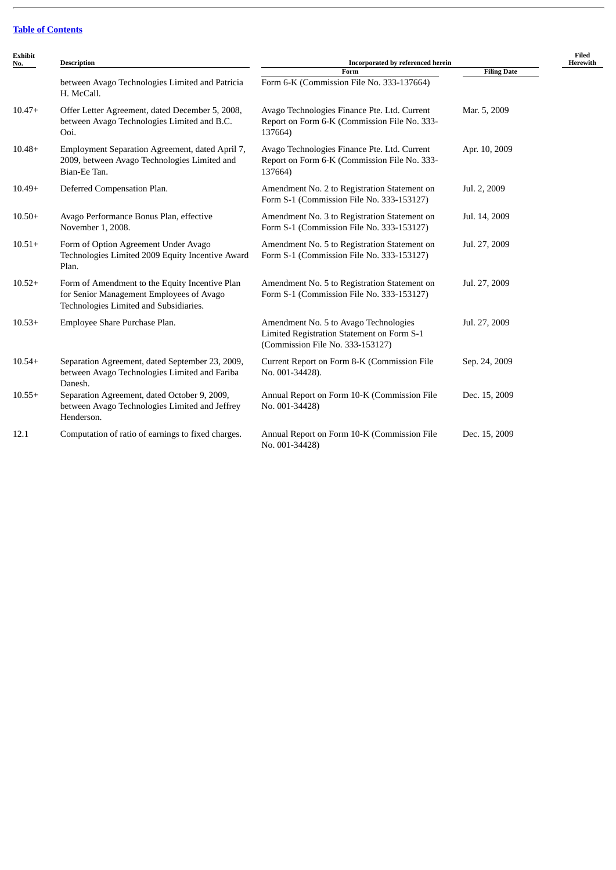J.

| Exhibit<br>No. | <b>Description</b>                                                                                                                   | Incorporated by referenced herein                                                                                       |                    | Filed<br>Herewith |
|----------------|--------------------------------------------------------------------------------------------------------------------------------------|-------------------------------------------------------------------------------------------------------------------------|--------------------|-------------------|
|                |                                                                                                                                      | Form                                                                                                                    | <b>Filing Date</b> |                   |
|                | between Avago Technologies Limited and Patricia<br>H. McCall.                                                                        | Form 6-K (Commission File No. 333-137664)                                                                               |                    |                   |
| $10.47+$       | Offer Letter Agreement, dated December 5, 2008,<br>between Avago Technologies Limited and B.C.<br>Ooi.                               | Avago Technologies Finance Pte. Ltd. Current<br>Report on Form 6-K (Commission File No. 333-<br>137664)                 | Mar. 5, 2009       |                   |
| $10.48+$       | Employment Separation Agreement, dated April 7,<br>2009, between Avago Technologies Limited and<br>Bian-Ee Tan.                      | Avago Technologies Finance Pte. Ltd. Current<br>Report on Form 6-K (Commission File No. 333-<br>137664)                 | Apr. 10, 2009      |                   |
| $10.49+$       | Deferred Compensation Plan.                                                                                                          | Amendment No. 2 to Registration Statement on<br>Form S-1 (Commission File No. 333-153127)                               | Jul. 2, 2009       |                   |
| $10.50+$       | Avago Performance Bonus Plan, effective<br>November 1, 2008.                                                                         | Amendment No. 3 to Registration Statement on<br>Form S-1 (Commission File No. 333-153127)                               | Jul. 14, 2009      |                   |
| $10.51+$       | Form of Option Agreement Under Avago<br>Technologies Limited 2009 Equity Incentive Award<br>Plan.                                    | Amendment No. 5 to Registration Statement on<br>Form S-1 (Commission File No. 333-153127)                               | Jul. 27, 2009      |                   |
| $10.52+$       | Form of Amendment to the Equity Incentive Plan<br>for Senior Management Employees of Avago<br>Technologies Limited and Subsidiaries. | Amendment No. 5 to Registration Statement on<br>Form S-1 (Commission File No. 333-153127)                               | Jul. 27, 2009      |                   |
| $10.53+$       | Employee Share Purchase Plan.                                                                                                        | Amendment No. 5 to Avago Technologies<br>Limited Registration Statement on Form S-1<br>(Commission File No. 333-153127) | Jul. 27, 2009      |                   |
| $10.54+$       | Separation Agreement, dated September 23, 2009,<br>between Avago Technologies Limited and Fariba<br>Danesh.                          | Current Report on Form 8-K (Commission File<br>No. 001-34428).                                                          | Sep. 24, 2009      |                   |
| $10.55+$       | Separation Agreement, dated October 9, 2009,<br>between Avago Technologies Limited and Jeffrey<br>Henderson.                         | Annual Report on Form 10-K (Commission File<br>No. 001-34428)                                                           | Dec. 15, 2009      |                   |
| 12.1           | Computation of ratio of earnings to fixed charges.                                                                                   | Annual Report on Form 10-K (Commission File<br>No. 001-34428)                                                           | Dec. 15, 2009      |                   |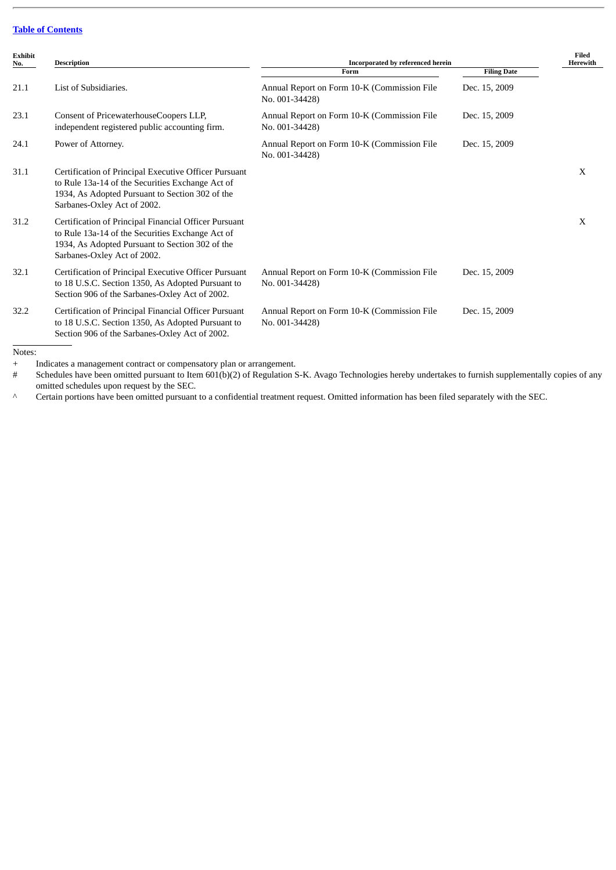| <b>Exhibit</b><br>No. | <b>Description</b>                                                                                                                                                                          | Incorporated by referenced herein                             |                    | Filed<br><b>Herewith</b> |
|-----------------------|---------------------------------------------------------------------------------------------------------------------------------------------------------------------------------------------|---------------------------------------------------------------|--------------------|--------------------------|
|                       |                                                                                                                                                                                             | Form                                                          | <b>Filing Date</b> |                          |
| 21.1                  | List of Subsidiaries.                                                                                                                                                                       | Annual Report on Form 10-K (Commission File<br>No. 001-34428) | Dec. 15, 2009      |                          |
| 23.1                  | Consent of PricewaterhouseCoopers LLP,<br>independent registered public accounting firm.                                                                                                    | Annual Report on Form 10-K (Commission File<br>No. 001-34428) | Dec. 15, 2009      |                          |
| 24.1                  | Power of Attorney.                                                                                                                                                                          | Annual Report on Form 10-K (Commission File<br>No. 001-34428) | Dec. 15, 2009      |                          |
| 31.1                  | Certification of Principal Executive Officer Pursuant<br>to Rule 13a-14 of the Securities Exchange Act of<br>1934, As Adopted Pursuant to Section 302 of the<br>Sarbanes-Oxley Act of 2002. |                                                               |                    | X                        |
| 31.2                  | Certification of Principal Financial Officer Pursuant<br>to Rule 13a-14 of the Securities Exchange Act of<br>1934, As Adopted Pursuant to Section 302 of the<br>Sarbanes-Oxley Act of 2002. |                                                               |                    | X                        |
| 32.1                  | Certification of Principal Executive Officer Pursuant<br>to 18 U.S.C. Section 1350, As Adopted Pursuant to<br>Section 906 of the Sarbanes-Oxley Act of 2002.                                | Annual Report on Form 10-K (Commission File<br>No. 001-34428) | Dec. 15, 2009      |                          |
| 32.2                  | Certification of Principal Financial Officer Pursuant<br>to 18 U.S.C. Section 1350, As Adopted Pursuant to<br>Section 906 of the Sarbanes-Oxley Act of 2002.                                | Annual Report on Form 10-K (Commission File<br>No. 001-34428) | Dec. 15, 2009      |                          |

Notes:

+ Indicates a management contract or compensatory plan or arrangement.

# Schedules have been omitted pursuant to Item 601(b)(2) of Regulation S-K. Avago Technologies hereby undertakes to furnish supplementally copies of any omitted schedules upon request by the SEC.

^ Certain portions have been omitted pursuant to a confidential treatment request. Omitted information has been filed separately with the SEC.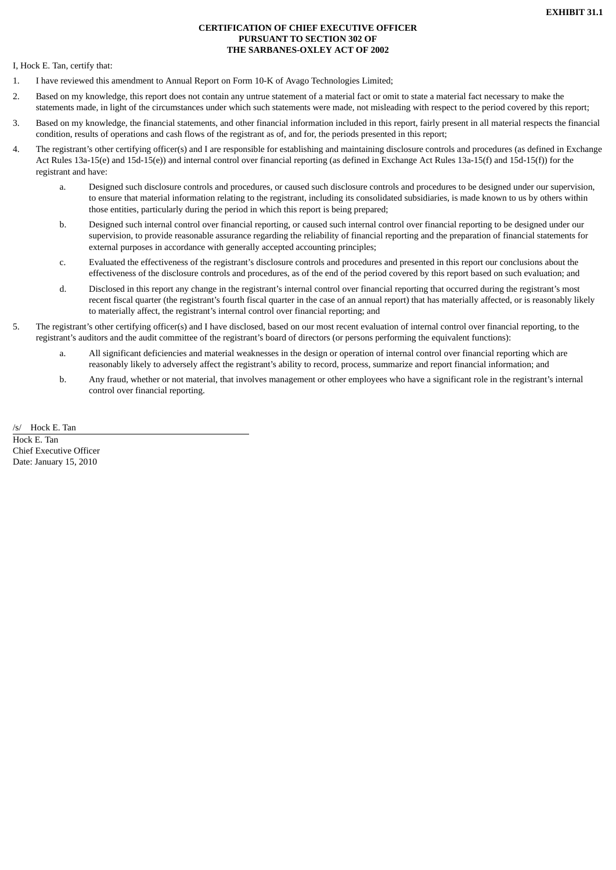#### **CERTIFICATION OF CHIEF EXECUTIVE OFFICER PURSUANT TO SECTION 302 OF THE SARBANES-OXLEY ACT OF 2002**

I, Hock E. Tan, certify that:

- 1. I have reviewed this amendment to Annual Report on Form 10-K of Avago Technologies Limited;
- 2. Based on my knowledge, this report does not contain any untrue statement of a material fact or omit to state a material fact necessary to make the statements made, in light of the circumstances under which such statements were made, not misleading with respect to the period covered by this report;
- 3. Based on my knowledge, the financial statements, and other financial information included in this report, fairly present in all material respects the financial condition, results of operations and cash flows of the registrant as of, and for, the periods presented in this report;
- 4. The registrant's other certifying officer(s) and I are responsible for establishing and maintaining disclosure controls and procedures (as defined in Exchange Act Rules 13a-15(e) and 15d-15(e)) and internal control over financial reporting (as defined in Exchange Act Rules 13a-15(f) and 15d-15(f)) for the registrant and have:
	- a. Designed such disclosure controls and procedures, or caused such disclosure controls and procedures to be designed under our supervision, to ensure that material information relating to the registrant, including its consolidated subsidiaries, is made known to us by others within those entities, particularly during the period in which this report is being prepared;
	- b. Designed such internal control over financial reporting, or caused such internal control over financial reporting to be designed under our supervision, to provide reasonable assurance regarding the reliability of financial reporting and the preparation of financial statements for external purposes in accordance with generally accepted accounting principles;
	- c. Evaluated the effectiveness of the registrant's disclosure controls and procedures and presented in this report our conclusions about the effectiveness of the disclosure controls and procedures, as of the end of the period covered by this report based on such evaluation; and
	- d. Disclosed in this report any change in the registrant's internal control over financial reporting that occurred during the registrant's most recent fiscal quarter (the registrant's fourth fiscal quarter in the case of an annual report) that has materially affected, or is reasonably likely to materially affect, the registrant's internal control over financial reporting; and
- 5. The registrant's other certifying officer(s) and I have disclosed, based on our most recent evaluation of internal control over financial reporting, to the registrant's auditors and the audit committee of the registrant's board of directors (or persons performing the equivalent functions):
	- a. All significant deficiencies and material weaknesses in the design or operation of internal control over financial reporting which are reasonably likely to adversely affect the registrant's ability to record, process, summarize and report financial information; and
	- b. Any fraud, whether or not material, that involves management or other employees who have a significant role in the registrant's internal control over financial reporting.

/s/ Hock E. Tan Hock E. Tan Chief Executive Officer Date: January 15, 2010